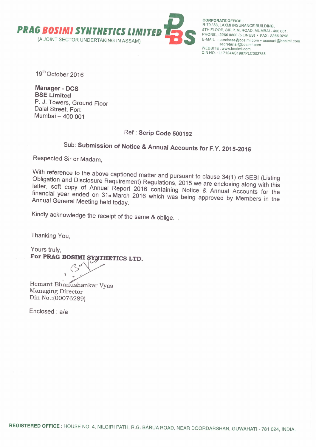

**CORPORATE OFFICE:** R-79/83, LAXMI INSURANCE BUILDING. 5TH FLOOR, SIR P. M. ROAD, MUMBAI - 400 001. PHONE.: 2266 0300 (5 LINES) · FAX: 2266 0298 E-MAIL : purchase@bosimi.com · account@bosimi.com secretarial@bosimi.com<br>WEBSITE : www.bosimi.com<br>CIN NO. : L17124AS1987PLC002758

19th October 2016

**Manager - DCS BSE Limited** P. J. Towers, Ground Floor Dalal Street, Fort Mumbai - 400 001

# Ref: Scrip Code 500192

# Sub: Submission of Notice & Annual Accounts for F.Y. 2015-2016

Respected Sir or Madam,

With reference to the above captioned matter and pursuant to clause 34(1) of SEBI (Listing Obligation and Disclosure Requirement) Regulations, 2015 we are enclosing along with this letter, soft copy of Annual Report 2016 containing Notice & Annual Accounts for the financial year ended on 31<sup>st</sup> March 2016 which was being approved by Members in the Annual General Meeting held today.

Kindly acknowledge the receipt of the same & oblige.

Thanking You.

Yours truly. For PRAG BOSIMI SYNTHETICS LTD.

Hemant Bhanushankar Vyas Managing Director Din No.: (00076289)

Enclosed: a/a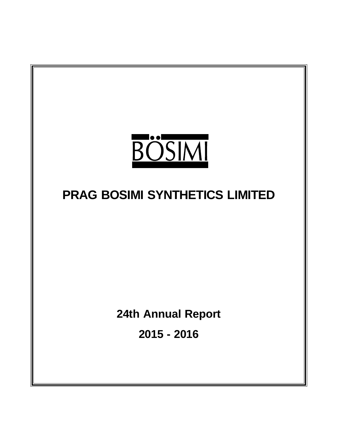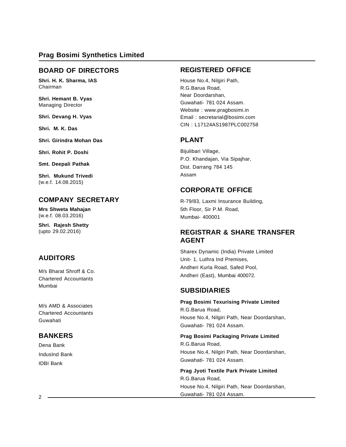### **BOARD OF DIRECTORS**

**Shri. H. K. Sharma, IAS** Chairman

**Shri. Hemant B. Vyas** Managing Director

**Shri. Devang H. Vyas**

**Shri. M. K. Das**

**Shri. Girindra Mohan Das**

**Shri. Rohit P. Doshi**

**Smt. Deepali Pathak**

**Shri. Mukund Trivedi** (w.e.f. 14.08.2015)

# **COMPANY SECRETARY**

**Mrs Shweta Mahajan** (w.e.f. 08.03.2016)

**Shri. Rajesh Shetty** (upto 29.02.2016)

# **AUDITORS**

M/s Bharat Shroff & Co. Chartered Accountants Mumbai

M/s AMD & Associates Chartered Accountants Guwahati

# **BANKERS**

Dena Bank IndusInd Bank IDBI Bank

### **REGISTERED OFFICE**

House No.4, Nilgiri Path, R.G.Barua Road, Near Doordarshan, Guwahati- 781 024 Assam. Website : www.pragbosimi.in Email : secretarial@bosimi.com CIN : L17124AS1987PLC002758

# **PLANT**

Bijulibari Village, P.O. Khandajan, Via Sipajhar, Dist. Darrang 784 145 Assam

# **CORPORATE OFFICE**

R-79/83, Laxmi Insurance Building, 5th Floor, Sir P.M. Road, Mumbai- 400001

# **REGISTRAR & SHARE TRANSFER AGENT**

Sharex Dynamic (India) Private Limited Unit- 1, Luthra Ind Premises, Andheri Kurla Road, Safed Pool, Andheri (East), Mumbai 400072.

### **SUBSIDIARIES**

**Prag Bosimi Texurising Private Limited** R.G.Barua Road, House No.4, Nilgiri Path, Near Doordarshan, Guwahati- 781 024 Assam.

**Prag Bosimi Packaging Private Limited** R.G.Barua Road, House No.4, Nilgiri Path, Near Doordarshan, Guwahati- 781 024 Assam.

**Prag Jyoti Textile Park Private Limited** R.G.Barua Road, House No.4, Nilgiri Path, Near Doordarshan, Guwahati- 781 024 Assam.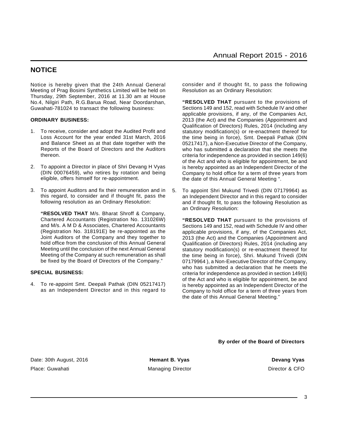### **NOTICE**

Notice is hereby given that the 24th Annual General Meeting of Prag Bosimi Synthetics Limited will be held on Thursday, 29th September, 2016 at 11.30 am at House No.4, Nilgiri Path, R.G.Barua Road, Near Doordarshan, Guwahati-781024 to transact the following business:

### **ORDINARY BUSINESS:**

- 1. To receive, consider and adopt the Audited Profit and Loss Account for the year ended 31st March, 2016 and Balance Sheet as at that date together with the Reports of the Board of Directors and the Auditors thereon.
- 2. To appoint a Director in place of Shri Devang H Vyas (DIN 00076459), who retires by rotation and being eligible, offers himself for re-appointment.
- 3. To appoint Auditors and fix their remuneration and in this regard, to consider and if thought fit, pass the following resolution as an Ordinary Resolution:

**"RESOLVED THAT** M/s. Bharat Shroff & Company, Chartered Accountants (Registration No. 131026W) and M/s. A M D & Associates, Chartered Accountants (Registration No. 318191E) be re-appointed as the Joint Auditors of the Company and they together to hold office from the conclusion of this Annual General Meeting until the conclusion of the next Annual General Meeting of the Company at such remuneration as shall be fixed by the Board of Directors of the Company."

### **SPECIAL BUSINESS:**

4. To re-appoint Smt. Deepali Pathak (DIN 05217417) as an Independent Director and in this regard to consider and if thought fit, to pass the following Resolution as an Ordinary Resolution:

**"RESOLVED THAT** pursuant to the provisions of Sections 149 and 152, read with Schedule IV and other applicable provisions, if any, of the Companies Act, 2013 (the Act) and the Companies (Appointment and Qualification of Directors) Rules, 2014 (including any statutory modification(s) or re-enactment thereof for the time being in force), Smt. Deepali Pathak (DIN 05217417), a Non-Executive Director of the Company, who has submitted a declaration that she meets the criteria for independence as provided in section 149(6) of the Act and who is eligible for appointment, be and is hereby appointed as an Independent Director of the Company to hold office for a term of three years from the date of this Annual General Meeting ".

5. To appoint Shri Mukund Trivedi (DIN 07179964) as an Independent Director and in this regard to consider and if thought fit, to pass the following Resolution as an Ordinary Resolution:

**"RESOLVED THAT** pursuant to the provisions of Sections 149 and 152, read with Schedule IV and other applicable provisions, if any, of the Companies Act, 2013 (the Act) and the Companies (Appointment and Qualification of Directors) Rules, 2014 (including any statutory modification(s) or re-enactment thereof for the time being in force), Shri. Mukund Trivedi (DIN 07179964 ), a Non-Executive Director of the Company, who has submitted a declaration that he meets the criteria for independence as provided in section 149(6) of the Act and who is eligible for appointment, be and is hereby appointed as an Independent Director of the Company to hold office for a term of three years from the date of this Annual General Meeting."

**By order of the Board of Directors**

Date: 30th August, 2016 **Frank B. Vyas Persons and Devang Vyas Devang Vyas Devang Vyas** Place: Guwahati **Managing Director** Managing Director **Director Director B** CFO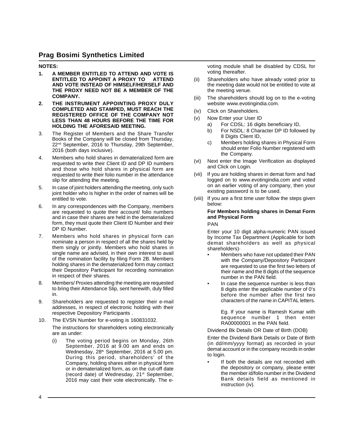### **NOTES:**

- **1. A MEMBER ENTITLED TO ATTEND AND VOTE IS ENTITLED TO APPOINT A PROXY TO AND VOTE INSTEAD OF HIMSELF/HERSELF AND THE PROXY NEED NOT BE A MEMBER OF THE COMPANY.**
- **2. THE INSTRUMENT APPOINTING PROXY DULY COMPLETED AND STAMPED, MUST REACH THE REGISTERED OFFICE OF THE COMPANY NOT LESS THAN 48 HOURS BEFORE THE TIME FOR HOLDING THE AFORESAID MEETING.**
- 3. The Register of Members and the Share Transfer Books of the Company will be closed from Thursday, 22<sup>nd</sup> September, 2016 to Thursday, 29th September, 2016 (both days inclusive).
- 4. Members who hold shares in dematerialized form are requested to write their Client ID and DP ID numbers and those who hold shares in physical form are requested to write their folio number in the attendance slip for attending the meeting.
- 5. In case of joint holders attending the meeting, only such joint holder who is higher in the order of names will be entitled to vote.
- 6. In any correspondences with the Company, members are requested to quote their account/ folio numbers and in case their shares are held in the dematerialized form, they must quote their Client ID Number and their DP ID Number.
- 7. Members who hold shares in physical form can nominate a person in respect of all the shares held by them singly or jointly. Members who hold shares in single name are advised, in their own interest to avail of the nomination facility by filing Form 2B. Members holding shares in the dematerialized form may contact their Depository Participant for recording nomination in respect of their shares.
- 8. Members/ Proxies attending the meeting are requested to bring their Attendance Slip, sent herewith, duly filled in.
- 9. Shareholders are requested to register their e-mail addresses, in respect of electronic holding with their respective Depository Participants .
- 10. The EVSN Number for e-voting is 160831032. The instructions for shareholders voting electronically are as under:
	- (i) The voting period begins on Monday, 26th September, 2016 at 9.00 am and ends on Wednesday, 28<sup>th</sup> September, 2016 at 5.00 pm. During this period, shareholders' of the Company, holding shares either in physical form or in dematerialized form, as on the cut-off date (record date) of Wednesday, 21<sup>st</sup> September, 2016 may cast their vote electronically. The e-

voting module shall be disabled by CDSL for voting thereafter.

- (ii) Shareholders who have already voted prior to the meeting date would not be entitled to vote at the meeting venue.
- (iii) The shareholders should log on to the e-voting website www.evotingindia.com.
- (iv) Click on Shareholders.
- (v) Now Enter your User ID
	- a) For CDSL: 16 digits beneficiary ID,
	- b) For NSDL: 8 Character DP ID followed by 8 Digits Client ID,
	- c) Members holding shares in Physical Form should enter Folio Number registered with the Company.
- (vi) Next enter the Image Verification as displayed and Click on Login.
- (vii) If you are holding shares in demat form and had logged on to www.evotingindia.com and voted on an earlier voting of any company, then your existing password is to be used.
- (viii) If you are a first time user follow the steps given below:

### **For Members holding shares in Demat Form and Physical Form**

#### PAN

Enter your 10 digit alpha-numeric PAN issued by Income Tax Department (Applicable for both demat shareholders as well as physical shareholders)·

- Members who have not updated their PAN with the Company/Depository Participant are requested to use the first two letters of their name and the 8 digits of the sequence number in the PAN field.
- In case the sequence number is less than 8 digits enter the applicable number of 0's before the number after the first two characters of the name in CAPITAL letters.

Eg. If your name is Ramesh Kumar with sequence number 1 then enter RA00000001 in the PAN field.

Dividend Bk Details OR Date of Birth (DOB)

Enter the Dividend Bank Details or Date of Birth (in dd/mm/yyyy format) as recorded in your demat account or in the company records in order to login.

If both the details are not recorded with the depository or company, please enter the member id/folio number in the Dividend Bank details field as mentioned in instruction (iv).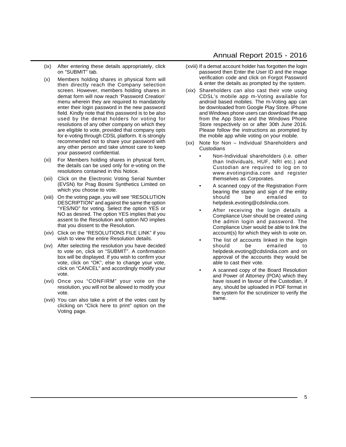- (ix) After entering these details appropriately, click on "SUBMIT" tab.
- (x) Members holding shares in physical form will then directly reach the Company selection screen. However, members holding shares in demat form will now reach 'Password Creation' menu wherein they are required to mandatorily enter their login password in the new password field. Kindly note that this password is to be also used by the demat holders for voting for resolutions of any other company on which they are eligible to vote, provided that company opts for e-voting through CDSL platform. It is strongly recommended not to share your password with any other person and take utmost care to keep your password confidential.
- (xi) For Members holding shares in physical form, the details can be used only for e-voting on the resolutions contained in this Notice.
- (xii) Click on the Electronic Voting Serial Number (EVSN) for Prag Bosimi Synthetics Limited on which you choose to vote.
- (xiii) On the voting page, you will see "RESOLUTION DESCRIPTION" and against the same the option "YES/NO" for voting. Select the option YES or NO as desired. The option YES implies that you assent to the Resolution and option NO implies that you dissent to the Resolution.
- (xiv) Click on the "RESOLUTIONS FILE LINK" if you wish to view the entire Resolution details.
- (xv) After selecting the resolution you have decided to vote on, click on "SUBMIT". A confirmation box will be displayed. If you wish to confirm your vote, click on "OK", else to change your vote, click on "CANCEL" and accordingly modify your vote.
- (xvi) Once you "CONFIRM" your vote on the resolution, you will not be allowed to modify your vote.
- (xvii) You can also take a print of the votes cast by clicking on "Click here to print" option on the Voting page.

### Annual Report 2015 - 2016

- (xviii) If a demat account holder has forgotten the login password then Enter the User ID and the image verification code and click on Forgot Password & enter the details as prompted by the system.
- (xix) Shareholders can also cast their vote using CDSL's mobile app m-Voting available for android based mobiles. The m-Voting app can be downloaded from Google Play Store. iPhone and Windows phone users can download the app from the App Store and the Windows Phone Store respectively on or after 30th June 2016. Please follow the instructions as prompted by the mobile app while voting on your mobile.
- (xx) Note for Non Individual Shareholders and **Custodians** 
	- Non-Individual shareholders (i.e. other than Individuals, HUF, NRI etc.) and Custodian are required to log on to www.evotingindia.com and register themselves as Corporates.
	- A scanned copy of the Registration Form bearing the stamp and sign of the entity should be emailed to helpdesk.evoting@cdslindia.com.
	- After receiving the login details a Compliance User should be created using the admin login and password. The Compliance User would be able to link the account(s) for which they wish to vote on.
	- The list of accounts linked in the login should be emailed to helpdesk.evoting@cdslindia.com and on approval of the accounts they would be able to cast their vote.
	- A scanned copy of the Board Resolution and Power of Attorney (POA) which they have issued in favour of the Custodian, if any, should be uploaded in PDF format in the system for the scrutinizer to verify the same.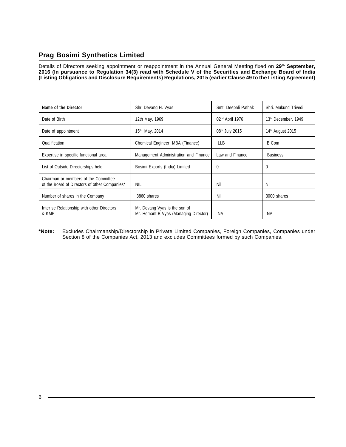Details of Directors seeking appointment or reappointment in the Annual General Meeting fixed on **29th September, 2016 (In pursuance to Regulation 34(3) read with Schedule V of the Securities and Exchange Board of India (Listing Obligations and Disclosure Requirements) Regulations, 2015 (earlier Clause 49 to the Listing Agreement)**

| Name of the Director                                                                  | Shri Devang H. Vyas                                                    | Smt. Deepali Pathak         | Shri, Mukund Trivedi         |  |
|---------------------------------------------------------------------------------------|------------------------------------------------------------------------|-----------------------------|------------------------------|--|
| Date of Birth                                                                         | 12th May, 1969                                                         | 02 <sup>nd</sup> April 1976 | 13th December, 1949          |  |
| Date of appointment                                                                   | 15 <sup>th</sup> May, 2014                                             | 08 <sup>th</sup> July 2015  | 14 <sup>th</sup> August 2015 |  |
| Qualification<br>Chemical Engineer, MBA (Finance)                                     |                                                                        | <b>LLB</b>                  | <b>B</b> Com                 |  |
| Expertise in specific functional area                                                 | Management Administration and Finance                                  | Law and Finance             | <b>Business</b>              |  |
| List of Outside Directorships held                                                    | Bosimi Exports (India) Limited                                         | 0                           | $\Omega$                     |  |
| Chairman or members of the Committee<br>of the Board of Directors of other Companies* | NIL                                                                    | Nil                         | Nil                          |  |
| Number of shares in the Company                                                       | 3860 shares                                                            | Nil                         | 3000 shares                  |  |
| Inter se Relationship with other Directors<br>& KMP                                   | Mr. Devang Vyas is the son of<br>Mr. Hemant B Vyas (Managing Director) | ΝA                          | <b>NA</b>                    |  |

**\*Note:** Excludes Chairmanship/Directorship in Private Limited Companies, Foreign Companies, Companies under Section 8 of the Companies Act, 2013 and excludes Committees formed by such Companies.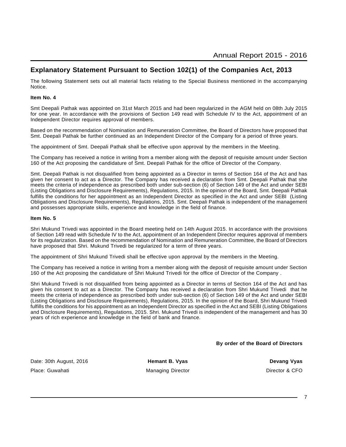# **Explanatory Statement Pursuant to Section 102(1) of the Companies Act, 2013**

The following Statement sets out all material facts relating to the Special Business mentioned in the accompanying Notice.

### **Item No. 4**

Smt Deepali Pathak was appointed on 31st March 2015 and had been regularized in the AGM held on 08th July 2015 for one year. In accordance with the provisions of Section 149 read with Schedule IV to the Act, appointment of an Independent Director requires approval of members.

Based on the recommendation of Nomination and Remuneration Committee, the Board of Directors have proposed that Smt. Deepali Pathak be further continued as an Independent Director of the Company for a period of three years.

The appointment of Smt. Deepali Pathak shall be effective upon approval by the members in the Meeting.

The Company has received a notice in writing from a member along with the deposit of requisite amount under Section 160 of the Act proposing the candidature of Smt. Deepali Pathak for the office of Director of the Company.

Smt. Deepali Pathak is not disqualified from being appointed as a Director in terms of Section 164 of the Act and has given her consent to act as a Director. The Company has received a declaration from Smt. Deepali Pathak that she meets the criteria of independence as prescribed both under sub-section (6) of Section 149 of the Act and under SEBI (Listing Obligations and Disclosure Requirements), Regulations, 2015. In the opinion of the Board, Smt. Deepali Pathak fulfills the conditions for her appointment as an Independent Director as specified in the Act and under SEBI (Listing Obligations and Disclosure Requirements), Regulations, 2015. Smt. Deepali Pathak is independent of the management and possesses appropriate skills, experience and knowledge in the field of finance.

#### **Item No. 5**

Shri Mukund Trivedi was appointed in the Board meeting held on 14th August 2015. In accordance with the provisions of Section 149 read with Schedule IV to the Act, appointment of an Independent Director requires approval of members for its regularization. Based on the recommendation of Nomination and Remuneration Committee, the Board of Directors have proposed that Shri. Mukund Trivedi be regularized for a term of three years.

The appointment of Shri Mukund Trivedi shall be effective upon approval by the members in the Meeting.

The Company has received a notice in writing from a member along with the deposit of requisite amount under Section 160 of the Act proposing the candidature of Shri Mukund Trivedi for the office of Director of the Company .

Shri Mukund Trivedi is not disqualified from being appointed as a Director in terms of Section 164 of the Act and has given his consent to act as a Director. The Company has received a declaration from Shri Mukund Trivedi that he meets the criteria of independence as prescribed both under sub-section (6) of Section 149 of the Act and under SEBI (Listing Obligations and Disclosure Requirements), Regulations, 2015. In the opinion of the Board, Shri Mukund Trivedi fulfills the conditions for his appointment as an Independent Director as specified in the Act and SEBI (Listing Obligations and Disclosure Requirements), Regulations, 2015. Shri. Mukund Trivedi is independent of the management and has 30 years of rich experience and knowledge in the field of bank and finance.

#### **By order of the Board of Directors**

Date: 30th August, 2016 **Hemant B. Vyas Hemant B. Vyas Devang Vyas** Place: Guwahati **Managing Director** Managing Director **COVID** Director & CFO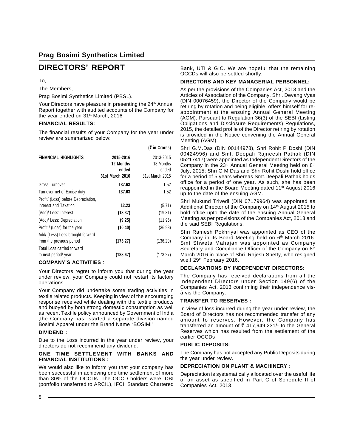# **DIRECTORS' REPORT**

### To,

The Members,

Prag Bosimi Synthetics Limited (PBSL).

Your Directors have pleasure in presenting the 24<sup>th</sup> Annual Report together with audited accounts of the Company for the year ended on 31<sup>st</sup> March, 2016

### **FINANCIAL RESULTS:**

The financial results of your Company for the year under review are summarized below:

 $\sim$  .  $\sim$ 

|                                     |                                                    | (र in Crores)                                      |
|-------------------------------------|----------------------------------------------------|----------------------------------------------------|
| <b>FINANCIAL HIGHLIGHTS</b>         | 2015-2016<br>12 Months<br>ended<br>31st March 2016 | 2013-2015<br>18 Months<br>ended<br>31st March 2015 |
| Gross Turnover                      | 137.63                                             | 1.52                                               |
| Turnover net of Excise duty         | 137.63                                             | 1.52                                               |
| Profit/ (Loss) before Depreciation, |                                                    |                                                    |
| Interest and Taxation               | 12.23                                              | (5.71)                                             |
| (Add)/ Less: Interest               | (13.37)                                            | (19.31)                                            |
| (Add)/ Less: Depreciation           | (9.25)                                             | (11.96)                                            |
| Profit / (Loss) for the year        | (10.40)                                            | (36.98)                                            |
| Add/ (Less) Loss brought forward    |                                                    |                                                    |
| from the previous period            | (173.27)                                           | (136.29)                                           |
| Total Loss carried forward          |                                                    |                                                    |
| to next period/ year                | (183.67)                                           | (173.27)                                           |

### **COMPANY'S ACTIVITIES** :

Your Directors regret to inform you that during the year under review, your Company could not restart its factory operations.

Your Company did undertake some trading activities in textile related products. Keeping in view of the encouraging response received while dealing with the textile products and buoyed by both strong domestic consumption as well as recent Textile policy announced by Government of India ,the Company has started a separate division named Bosimi Apparel under the Brand Name "BOSIMI"

### **DIVIDEND :**

Due to the Loss incurred in the year under review, your directors do not recommend any dividend.

### **ONE TIME SETTLEMENT WITH BANKS AND FINANCIAL INSTITUTIONS :**

We would also like to inform you that your company has been successful in achieving one time settlement of more than 80% of the OCCDs. The OCCD holders were IDBI (portfolio transferred to ARCIL), IFCI, Standard Chartered

Bank, UTI & GIC. We are hopeful that the remaining OCCDs will also be settled shortly.

### **DIRECTORS AND KEY MANAGERIAL PERSONNEL:**

As per the provisions of the Companies Act, 2013 and the Articles of Association of the Company, Shri. Devang Vyas (DIN 00076459), the Director of the Company would be retiring by rotation and being eligible, offers himself for reappointment at the ensuing Annual General Meeting (AGM). Pursuant to Regulation 36(3) of the SEBI (Listing Obligations and Disclosure Requirements) Regulations, 2015, the detailed profile of the Director retiring by rotation is provided in the Notice convening the Annual General Meeting (AGM).

Shri G.M.Das (DIN 00144978), Shri Rohit P Doshi (DIN 00424996) and Smt. Deepali Rajneesh Pathak (DIN 05217417) were appointed as Independent Directors of the Company in the  $23<sup>rd</sup>$  Annual General Meeting held on  $8<sup>th</sup>$ July, 2015; Shri G M Das and Shri Rohit Doshi hold office for a period of 5 years whereas Smt.Deepali Pathak holds office for a period of one year. As such, she has been reappointed in the Board Meeting dated 11<sup>th</sup> August 2016 up to the date of the ensuing AGM.

Shri Mukund Trivedi (DIN 07179964) was appointed as Additional Director of the Company on 14<sup>th</sup> August 2015 to hold office upto the date of the ensuing Annual General Meeting as per provisions of the Companies Act, 2013 and the said SEBI Regulations.

Shri Ramesh Pokhriyal was appointed as CEO of the Company in its Board Meeting held on 6<sup>th</sup> March 2016. Smt Shweta Mahajan was appointed as Company Secretary and Compliance Officer of the Company on 8<sup>th</sup> March 2016 in place of Shri. Rajesh Shetty, who resigned w.e.f 29<sup>th</sup> February 2016.

### **DECLARATIONS BY INDEPENDENT DIRECTORS:**

The Company has received declarations from all the Independent Directors under Section 149(6) of the Companies Act, 2013 confirming their independence visà-vis the Company.

### **TRANSFER TO RESERVES :**

In view of loss incurred during the year under review, the Board of Directors has not recommended transfer of any amount to reserves. However, the Company has transferred an amount of  $\bar{\tau}$  417,949,231/- to the General Reserves which has resulted from the settlement of the earlier OCCDs

### **PUBLIC DEPOSITS:**

The Company has not accepted any Public Deposits during the year under review.

### **DEPRECIATION ON PLANT & MACHINERY :**

Depreciation is systematically allocated over the useful life of an asset as specified in Part C of Schedule II of Companies Act, 2013.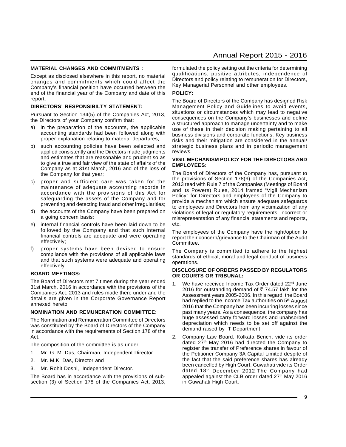### **MATERIAL CHANGES AND COMMITMENTS :**

Except as disclosed elsewhere in this report, no material changes and commitments which could affect the Company's financial position have occurred between the end of the financial year of the Company and date of this report.

### **DIRECTORS' RESPONSIBILTY STATEMENT:**

Pursuant to Section 134(5) of the Companies Act, 2013, the Directors of your Company confirm that:

- a) in the preparation of the accounts, the applicable accounting standards had been followed along with proper explanation relating to material departures;
- b) such accounting policies have been selected and applied consistently and the Directors made judgments and estimates that are reasonable and prudent so as to give a true and fair view of the state of affairs of the Company as at 31st March, 2016 and of the loss of the Company for that year;
- c) proper and sufficient care was taken for the maintenance of adequate accounting records in accordance with the provisions of this Act for safeguarding the assets of the Company and for preventing and detecting fraud and other irregularities;
- d) the accounts of the Company have been prepared on a going concern basis;
- internal financial controls have been laid down to be followed by the Company and that such internal financial controls are adequate and were operating effectively;
- f) proper systems have been devised to ensure compliance with the provisions of all applicable laws and that such systems were adequate and operating effectively.

#### **BOARD MEETINGS:**

The Board of Directors met 7 times during the year ended 31st March, 2016 in accordance with the provisions of the Companies Act, 2013 and rules made there under and the details are given in the Corporate Governance Report annexed hereto

#### **NOMINATION AND REMUNERATION COMMITTEE:**

The Nomination and Remuneration Committee of Directors was constituted by the Board of Directors of the Company in accordance with the requirements of Section 178 of the Act.

The composition of the committee is as under:

- 1. Mr. G. M. Das, Chairman, Independent Director
- 2. Mr. M.K. Das, Director and
- 3. Mr. Rohit Doshi, Independent Director.

The Board has in accordance with the provisions of subsection (3) of Section 178 of the Companies Act, 2013, formulated the policy setting out the criteria for determining qualifications, positive attributes, independence of Directors and policy relating to remuneration for Directors, Key Managerial Personnel and other employees.

### **POLICY:**

The Board of Directors of the Company has designed Risk Management Policy and Guidelines to avoid events, situations or circumstances which may lead to negative consequences on the Company's businesses and define a structured approach to manage uncertainty and to make use of these in their decision making pertaining to all business divisions and corporate functions. Key business risks and their mitigation are considered in the annual/ strategic business plans and in periodic management reviews.

#### **VIGIL MECHANISM POLICY FOR THE DIRECTORS AND EMPLOYEES:**

The Board of Directors of the Company has, pursuant to the provisions of Section 178(9) of the Companies Act, 2013 read with Rule 7 of the Companies (Meetings of Board and its Powers) Rules, 2014 framed "Vigil Mechanism Policy" for Directors and employees of the Company to provide a mechanism which ensure adequate safeguards to employees and Directors from any victimization of any violations of legal or regulatory requirements, incorrect or misrepresentation of any financial statements and reports, etc.

The employees of the Company have the right/option to report their concern/grievance to the Chairman of the Audit Committee.

The Company is committed to adhere to the highest standards of ethical, moral and legal conduct of business operations.

#### **DISCLOSURE OF ORDERS PASSED BY REGULATORS OR COURTS OR TRIBUNAL:**

- 1. We have received Income Tax Order dated 22<sup>nd</sup> June 2016 for outstanding demand of  $\bar{\tau}$  74.57 lakh for the Assessment years 2005-2006. In this regard, the Board had replied to the Income Tax authorities on 5<sup>th</sup> August 2016 that the Company has been incurring losses since past many years. As a consequence, the company has huge assessed carry forward losses and unabsorbed depreciation which needs to be set off against the demand raised by IT Department.
- 2. Company Law Board, Kolkata Bench, vide its order dated 27th May 2016 had directed the Company to register the transfer of Preference shares in favour of the Petitioner Company 3A Capital Limited despite of the fact that the said preference shares has already been cancelled by High Court, Guwahati vide its Order dated 18th December 2012.The Company had appealed against the CLB order dated 27<sup>th</sup> May 2016 in Guwahati High Court.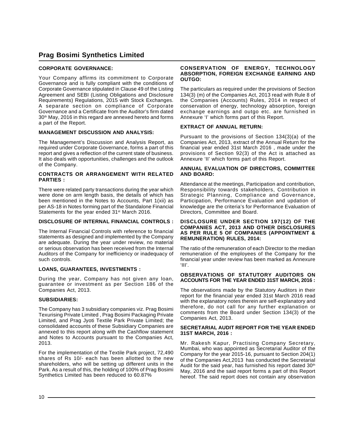### **CORPORATE GOVERNANCE:**

Your Company affirms its commitment to Corporate Governance and is fully compliant with the conditions of Corporate Governance stipulated in Clause 49 of the Listing Agreement and SEBI (Listing Obligations and Disclosure Requirements) Regulations, 2015 with Stock Exchanges. A separate section on compliance of Corporate Governance and a Certificate from the Auditor's firm dated 30th May, 2016 in this regard are annexed hereto and forms a part of the Report.

### **MANAGEMENT DISCUSSION AND ANALYSIS:**

The Management's Discussion and Analysis Report, as required under Corporate Governance, forms a part of this report and gives a reflection of the current state of business. It also deals with opportunities, challenges and the outlook of the Company.

#### **CONTRACTS OR ARRANGEMENT WITH RELATED PARTIES :**

There were related party transactions during the year which were done on arm length basis, the details of which has been mentioned in the Notes to Accounts, Part 1(xii) as per AS-18 in Notes forming part of the Standalone Financial Statements for the year ended 31<sup>st</sup> March 2016.

### **DISCLOSURE OF INTERNAL FINANCIAL CONTROLS :**

The Internal Financial Controls with reference to financial statements as designed and implemented by the Company are adequate. During the year under review, no material or serious observation has been received from the Internal Auditors of the Company for inefficiency or inadequacy of such controls.

### **LOANS, GUARANTEES, INVESTMENTS :**

During the year, Company has not given any loan, guarantee or investment as per Section 186 of the Companies Act, 2013.

### **SUBSIDIARIES:**

The Company has 3 subsidiary companies viz. Prag Bosimi Texurising Private Limited , Prag Bosimi Packaging Private Limited, and Prag Jyoti Textile Park Private Limited; the consolidated accounts of these Subsidiary Companies are annexed to this report along with the Cashflow statement and Notes to Accounts pursuant to the Companies Act, 2013.

For the implementation of the Textile Park project, 72,490 shares of Rs 10/- each has been allotted to the new shareholders, who will be setting up different units in the Park. As a result of this, the holding of 100% of Prag Bosimi Synthetics Limited has been reduced to 60.87%

#### **CONSERVATION OF ENERGY, TECHNOLOGY ABSORPTION, FOREIGN EXCHANGE EARNING AND OUTGO:**

The particulars as required under the provisions of Section 134(3) (m) of the Companies Act, 2013 read with Rule 8 of the Companies (Accounts) Rules, 2014 in respect of conservation of energy, technology absorption, foreign exchange earnings and outgo etc. are furnished in Annexure 'I' which forms part of this Report.

### **EXTRACT OF ANNUAL RETURN:**

Pursuant to the provisions of Section 134(3)(a) of the Companies Act, 2013, extract of the Annual Return for the financial year ended 31st March 2016 , made under the provisions of Section 92(3) of the Act is attached as Annexure 'II' which forms part of this Report.

#### **ANNUAL EVALUATION OF DIRECTORS, COMMITTEE AND BOARD:**

Attendance at the meetings, Participation and contribution, Responsibility towards stakeholders, Contribution in Strategic Planning, Compliance and Governance, Participation, Performance Evaluation and updation of knowledge are the criteria's for Performance Evaluation of Directors, Committee and Board.

#### **DISCLOSURE UNDER SECTION 197(12) OF THE COMPANIES ACT, 2013 AND OTHER DISCLOSURES AS PER RULE 5 OF COMPANIES (APPOINTMENT & REMUNERATION) RULES, 2014:**

The ratio of the remuneration of each Director to the median remuneration of the employees of the Company for the financial year under review has been marked as Annexure 'III'.

### **OBSERVATIONS OF STATUTORY AUDITORS ON ACCOUNTS FOR THE YEAR ENDED 31ST MARCH, 2016 :**

The observations made by the Statutory Auditors in their report for the financial year ended 31st March 2016 read with the explanatory notes therein are self-explanatory and therefore, do not call for any further explanation or comments from the Board under Section 134(3) of the Companies Act, 2013.

#### **SECRETARIAL AUDIT REPORT FOR THE YEAR ENDED 31ST MARCH, 2016 :**

Mr. Rakesh Kapur, Practising Company Secretary, Mumbai, who was appointed as Secretarial Auditor of the Company for the year 2015-16, pursuant to Section 204(1) of the Companies Act,2013 has conducted the Secretarial Audit for the said year, has furnished his report dated  $30<sup>th</sup>$ May, 2016 and the said report forms a part of this Report hereof. The said report does not contain any observation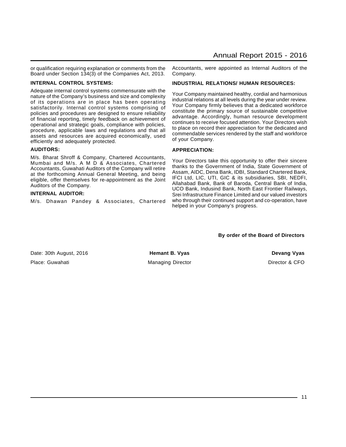or qualification requiring explanation or comments from the Board under Section 134(3) of the Companies Act, 2013.

### **INTERNAL CONTROL SYSTEMS:**

Adequate internal control systems commensurate with the nature of the Company's business and size and complexity of its operations are in place has been operating satisfactorily. Internal control systems comprising of policies and procedures are designed to ensure reliability of financial reporting, timely feedback on achievement of operational and strategic goals, compliance with policies, procedure, applicable laws and regulations and that all assets and resources are acquired economically, used efficiently and adequately protected.

### **AUDITORS:**

M/s. Bharat Shroff & Company, Chartered Accountants, Mumbai and M/s. A M D & Associates, Chartered Accountants, Guwahati Auditors of the Company will retire at the forthcoming Annual General Meeting, and being eligible, offer themselves for re-appointment as the Joint Auditors of the Company.

### **INTERNAL AUDITOR:**

M/s. Dhawan Pandey & Associates, Chartered

Accountants, were appointed as Internal Auditors of the Company.

### **INDUSTRIAL RELATIONS/ HUMAN RESOURCES:**

Your Company maintained healthy, cordial and harmonious industrial relations at all levels during the year under review. Your Company firmly believes that a dedicated workforce constitute the primary source of sustainable competitive advantage. Accordingly, human resource development continues to receive focused attention. Your Directors wish to place on record their appreciation for the dedicated and commendable services rendered by the staff and workforce of your Company.

### **APPRECIATION:**

Your Directors take this opportunity to offer their sincere thanks to the Government of India, State Government of Assam, AIDC, Dena Bank, IDBI, Standard Chartered Bank, IFCI Ltd, LIC, UTI, GIC & its subsidiaries, SBI, NEDFI, Allahabad Bank, Bank of Baroda, Central Bank of India, UCO Bank, Indusind Bank, North East Frontier Railways, Srei Infrastructure Finance Limited and our valued investors who through their continued support and co-operation, have helped in your Company's progress.

**By order of the Board of Directors**

Date: 30th August, 2016 **Fig. 2018 Hemant B. Vyas Communist Communist Communist Communist Communist Communist Communist Communist Communist Communist Communist Communist Communist Communist Communist Communist Communist** Place: Guwahati **Managing Director** Managing Director **Director Director B** CFO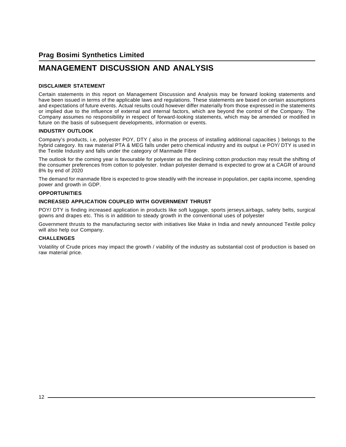# **MANAGEMENT DISCUSSION AND ANALYSIS**

### **DISCLAIMER STATEMENT**

Certain statements in this report on Management Discussion and Analysis may be forward looking statements and have been issued in terms of the applicable laws and regulations. These statements are based on certain assumptions and expectations of future events. Actual results could however differ materially from those expressed in the statements or implied due to the influence of external and internal factors, which are beyond the control of the Company. The Company assumes no responsibility in respect of forward-looking statements, which may be amended or modified in future on the basis of subsequent developments, information or events.

### **INDUSTRY OUTLOOK**

Company's products, i.e, polyester POY, DTY ( also in the process of installing additional capacities ) belongs to the hybrid category. Its raw material PTA & MEG falls under petro chemical industry and its output i.e POY/ DTY is used in the Textile Industry and falls under the category of Manmade Fibre

The outlook for the coming year is favourable for polyester as the declining cotton production may result the shifting of the consumer preferences from cotton to polyester. Indian polyester demand is expected to grow at a CAGR of around 8% by end of 2020

The demand for manmade fibre is expected to grow steadily with the increase in population, per capita income, spending power and growth in GDP.

### **OPPORTUNITIES**

### **INCREASED APPLICATION COUPLED WITH GOVERNMENT THRUST**

POY/ DTY is finding increased application in products like soft luggage, sports jerseys,airbags, safety belts, surgical gowns and drapes etc. This is in addition to steady growth in the conventional uses of polyester

Government thrusts to the manufacturing sector with initiatives like Make in India and newly announced Textile policy will also help our Company.

### **CHALLENGES**

Volatility of Crude prices may impact the growth / viability of the industry as substantial cost of production is based on raw material price.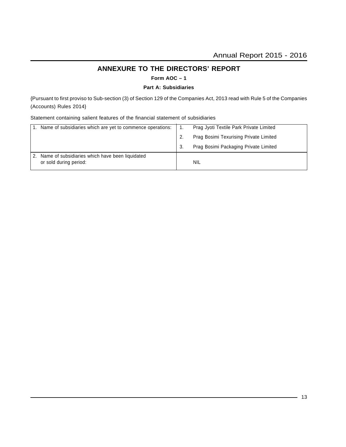# **ANNEXURE TO THE DIRECTORS' REPORT**

**Form AOC – 1**

### **Part A: Subsidiaries**

{Pursuant to first proviso to Sub-section (3) of Section 129 of the Companies Act, 2013 read with Rule 5 of the Companies (Accounts) Rules 2014}

Statement containing salient features of the financial statement of subsidiaries

| Name of subsidiaries which are yet to commence operations:                | Prag Jyoti Textile Park Private Limited |
|---------------------------------------------------------------------------|-----------------------------------------|
|                                                                           | Prag Bosimi Texurising Private Limited  |
|                                                                           | Prag Bosimi Packaging Private Limited   |
| Name of subsidiaries which have been liquidated<br>or sold during period: | NIL                                     |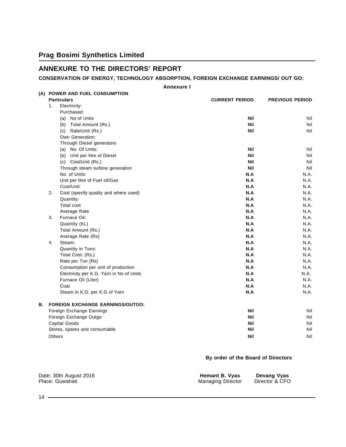# **ANNEXURE TO THE DIRECTORS' REPORT**

### **CONSERVATION OF ENERGY, TECHNOLOGY ABSORPTION, FOREIGN EXCHANGE EARNINGS/ OUT GO:**

**Annexure I**

|    |                                             | <b>Annexure I</b>     |                        |
|----|---------------------------------------------|-----------------------|------------------------|
|    | (A) POWER AND FUEL CONSUMPTION              |                       |                        |
|    | <b>Particulars</b>                          | <b>CURRENT PERIOD</b> | <b>PREVIOUS PERIOD</b> |
|    | 1.<br>Electricity:                          |                       |                        |
|    | Purchased:                                  |                       |                        |
|    | (a) No of Units                             | <b>Nil</b>            | Nil                    |
|    | (b) Total Amount (Rs.)                      | <b>Nil</b>            | Nil                    |
|    | (c) Rate/Unit (Rs.)                         | <b>Nil</b>            | Nil                    |
|    | Own Generation:                             |                       |                        |
|    | Through Diesel generators                   |                       |                        |
|    | (a) No. Of Units:                           | <b>Nil</b>            | Nil                    |
|    | (b) Unit per litre of Diesel                | <b>Nil</b>            | Nil                    |
|    | (c) Cost/Unit (Rs.)                         | <b>Nil</b>            | Nil                    |
|    | Through steam turbine generation            | <b>Nil</b>            | Nil                    |
|    | No. of Units:                               | N.A                   | N.A.                   |
|    | Unit per litre of Fuel oil/Gas              | N.A                   | N.A.                   |
|    | Cost/Unit                                   | N.A                   | N.A.                   |
|    | 2.<br>Coal (specify quality and where used) | N.A                   | N.A.                   |
|    | Quantity:                                   | N.A                   | N.A.                   |
|    | <b>Total cost</b>                           | N.A                   | N.A.                   |
|    | Average Rate                                | N.A                   | N.A.                   |
|    | Furnace Oil:<br>3.                          | N.A                   | N.A.                   |
|    | Quantity (KL)                               | N.A                   | N.A.                   |
|    | Total Amount (Rs.)                          | N.A                   | N.A.                   |
|    | Average Rate (Rs)                           | N.A                   | N.A.                   |
|    | Steam:<br>4.                                | N.A                   | N.A.                   |
|    | Quantity in Tons:                           | N.A                   | N.A.                   |
|    | Total Cost: (Rs.)                           | N.A                   | N.A.                   |
|    | Rate per Ton (Rs)                           | N.A<br>N.A            | N.A.<br>N.A.           |
|    | Consumption per unit of production          |                       |                        |
|    | Electricity per K.G. Yarn in No of Units    | N.A<br>N.A            | N.A.                   |
|    | Furnace Oil (Liter)                         |                       | N.A.                   |
|    | Coal                                        | N.A                   | N.A.                   |
|    | Steam in K.G. per K.G of Yarn               | N.A                   | N.A.                   |
| В. | <b>FOREIGN EXCHANGE EARNINGS/OUTGO:</b>     |                       |                        |
|    | Foreign Exchange Earnings                   | <b>Nil</b>            | Nil                    |
|    | Foreign Exchange Outgo                      | <b>Nil</b>            | Nil                    |
|    | Capital Goods                               | <b>Nil</b>            | Nil                    |
|    | Stores, spares and consumable               | <b>Nil</b>            | Nil                    |
|    | Others                                      | <b>Nil</b>            | Nil                    |

### **By order of the Board of Directors**

| Date: 30th August 2016 | Hemant B. Vyas           | <b>Devang Vyas</b> |
|------------------------|--------------------------|--------------------|
| Place: Guwahati        | <b>Managing Director</b> | Director & CFO     |

 $14$  —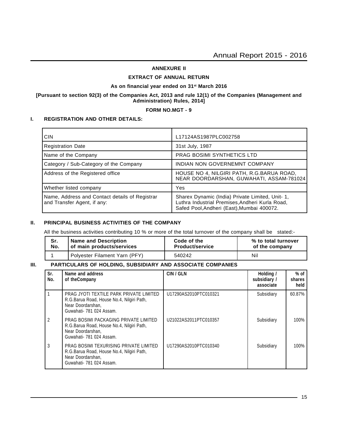### **ANNEXURE II**

### **EXTRACT OF ANNUAL RETURN**

#### **As on financial year ended on 31st March 2016**

### **[Pursuant to section 92(3) of the Companies Act, 2013 and rule 12(1) of the Companies (Management and Administration) Rules, 2014]**

### **FORM NO.MGT - 9**

### **I. REGISTRATION AND OTHER DETAILS:**

| <b>CIN</b>                                                                    | L17124AS1987PLC002758                                                                                                                             |
|-------------------------------------------------------------------------------|---------------------------------------------------------------------------------------------------------------------------------------------------|
| <b>Registration Date</b>                                                      | 31st July, 1987                                                                                                                                   |
| Name of the Company                                                           | <b>PRAG BOSIMI SYNTHETICS LTD</b>                                                                                                                 |
| Category / Sub-Category of the Company                                        | INDIAN NON GOVERNEMNT COMPANY                                                                                                                     |
| Address of the Registered office                                              | HOUSE NO 4, NILGIRI PATH, R.G.BARUA ROAD,<br>NEAR DOORDARSHAN, GUWAHATI, ASSAM-781024                                                             |
| Whether listed company                                                        | Yes                                                                                                                                               |
| Name, Address and Contact details of Registrar<br>and Transfer Agent, if any: | Sharex Dynamic (India) Private Limited, Unit- 1,<br>Luthra Industrial Premises, Andheri Kurla Road,<br>Safed Pool, Andheri (East), Mumbai 400072. |

### **II. PRINCIPAL BUSINESS ACTIVITIES OF THE COMPANY**

All the business activities contributing 10 % or more of the total turnover of the company shall be stated:-

| Sr. | <b>Name and Description</b>   | Code of the            | % to total turnover |  |  |
|-----|-------------------------------|------------------------|---------------------|--|--|
| No. | of main products/services     | <b>Product/service</b> | of the company      |  |  |
|     | Polyester Filament Yarn (PFY) | 540242                 | Nil                 |  |  |

### **III. PARTICULARS OF HOLDING, SUBSIDIARY AND ASSOCIATE COMPANIES**

| Sr.<br>No. | Name and address<br>of the Company                                                                                                    | CIN / GLN             | Holding /<br>subsidiary /<br>associate | $%$ of<br>shares<br>held |
|------------|---------------------------------------------------------------------------------------------------------------------------------------|-----------------------|----------------------------------------|--------------------------|
|            | PRAG JYOTI TEXTILE PARK PRIVATE LIMITED<br>R.G.Barua Road, House No.4, Nilgiri Path,<br>Near Doordarshan,<br>Guwahati- 781 024 Assam. | U17290AS2010PTC010321 | Subsidiary                             | 60.87%                   |
| 2          | PRAG BOSIMI PACKAGING PRIVATE LIMITED<br>R.G.Barua Road, House No.4, Nilgiri Path,<br>Near Doordarshan,<br>Guwahati- 781 024 Assam.   | U21022AS2011PTC010357 | Subsidiary                             | 100%                     |
| 3          | PRAG BOSIMI TEXURISING PRIVATE LIMITED<br>R.G.Barua Road, House No.4, Nilgiri Path,<br>Near Doordarshan,<br>Guwahati- 781 024 Assam.  | U17290AS2010PTC010340 | Subsidiary                             | 100%                     |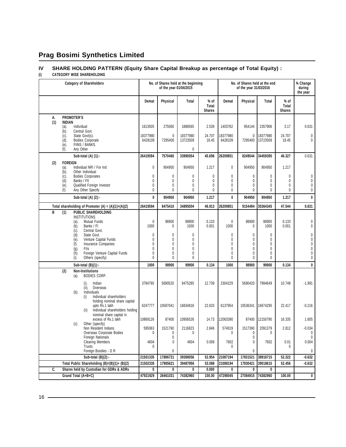### **IV SHARE HOLDING PATTERN (Equity Share Capital Breakup as percentage of Total Equity) :**

### **(i) CATEGORY WISE SHAREHOLDING**

| <b>Category of Shareholders</b> |                                                                     |                     | No. of Shares held at the beginning<br>of the year 01/04/2015 |                      |                                  | No. of Shares held at the end<br>of the year 31/03/2016 |                   |                      |                                  | % Change<br>during<br>the year |
|---------------------------------|---------------------------------------------------------------------|---------------------|---------------------------------------------------------------|----------------------|----------------------------------|---------------------------------------------------------|-------------------|----------------------|----------------------------------|--------------------------------|
|                                 |                                                                     | Demat               | Physical                                                      | Total                | $%$ of<br>Total<br><b>Shares</b> | Demat                                                   | Physical          | Total                | $%$ of<br>Total<br><b>Shares</b> |                                |
| А.                              | <b>PROMOTER'S</b>                                                   |                     |                                                               |                      |                                  |                                                         |                   |                      |                                  |                                |
| (1)                             | <b>INDIAN</b><br>Individual<br>(a).                                 | 1613505             | 275060                                                        | 1888565              | 2.539                            | 1403762                                                 | 954144            | 2357906              | 3.17                             | 0.631                          |
|                                 | Central Govt.<br>(b).                                               |                     |                                                               |                      |                                  |                                                         |                   |                      |                                  |                                |
|                                 | State Govt(s).<br>(c).<br><b>Bodies Corporate</b><br>(d).           | 18377980<br>6428109 | 0<br>7295400                                                  | 18377980<br>13723509 | 24.707<br>18.45                  | 18377980<br>6428109                                     | 0<br>7295400      | 18377980<br>13723509 | 24.707<br>18.45                  | 0<br>$\mathbf{0}$              |
|                                 | (e).<br>FIINS / BANKS.                                              |                     |                                                               |                      |                                  |                                                         |                   |                      |                                  |                                |
|                                 | (f).<br>Any Other                                                   |                     |                                                               | 0                    |                                  |                                                         |                   |                      |                                  |                                |
|                                 | Sub-total $(A)$ $(1)$ :-                                            | 26419594            | 7570460                                                       | 33990054             | 45.696                           | 26209851                                                | 8249544           | 34459395             | 46.327                           | 0.631                          |
| (2)                             | <b>FOREIGN</b>                                                      |                     |                                                               |                      |                                  |                                                         |                   |                      |                                  |                                |
|                                 | Individual NRI / For Ind<br>(a).<br>Other Individual<br>(b).        | 0                   | 904950                                                        | 904950               | 1.217                            | 0                                                       | 904950            | 904950               | 1.217                            |                                |
|                                 | <b>Bodies Corporates</b><br>(c).                                    | 0                   | 0                                                             | 0                    | 0                                | 0                                                       | 0                 | 0                    | 0                                | 0                              |
|                                 | Banks / FII<br>(d).<br>Qualified Foreign Investor<br>(e).           | $\mathbf{0}$<br>0   | 0<br>0                                                        | 0<br>0               | 0<br>0                           | 0<br>0                                                  | $\mathbf{0}$<br>0 | 0<br>0               | 0<br>0                           | 0<br>0                         |
|                                 | Any Other Specify<br>(f).                                           | 0                   | 0                                                             | 0                    | 0                                | 0                                                       | 0                 | 0                    | 0                                | 0                              |
|                                 | Sub-total (A) (2):-                                                 | 0                   | 904950                                                        | 904950               | 1.217                            | 0                                                       | 904950            | 904950               | 1.217                            | 0                              |
|                                 | Total shareholding of Promoter $(A) = (A)(1)+(A)(2)$                | 26419594            | 8475410                                                       | 34895004             | 46.913                           | 26209851                                                | 9154494           | 35364345             | 47.544                           | 0.631                          |
| B                               | <b>PUBLIC SHAREHOLDING</b><br>(1)                                   |                     |                                                               |                      |                                  |                                                         |                   |                      |                                  |                                |
|                                 | <b>INSTITUTIONS</b><br>Mutual Funds<br>(a).                         | $\mathbf{0}$        | 98900                                                         | 98900                | 0.133                            | 0                                                       | 98900             | 98900                | 0.133                            | 0                              |
|                                 | Banks / FI<br>(b).                                                  | 1000                | 0                                                             | 1000                 | 0.001                            | 1000                                                    | 0                 | 1000                 | 0.001                            | 0                              |
|                                 | Central Govt.<br>(c).<br>State Govt.<br>(d).                        | $\mathbf{0}$        | 0                                                             | 0                    |                                  | 0                                                       | 0                 | 0                    |                                  | 0                              |
|                                 | Venture Capital Funds<br>(e).                                       | 0                   | 0                                                             | 0                    |                                  | 0                                                       | 0                 | 0                    |                                  | 0                              |
|                                 | Insurance Companies<br>(f).                                         | 0                   | 0                                                             | 0                    |                                  | 0                                                       | 0                 | 0                    |                                  | 0                              |
|                                 | (g).<br>Flls<br>Foreign Venture Capital Funds<br>(h).               | $\mathbf{0}$<br>0   | 0<br>0                                                        | 0<br>0               |                                  | 0<br>0                                                  | $\mathbf{0}$<br>0 | 0<br>0               |                                  | $\pmb{0}$<br>0                 |
|                                 | Others (specify)<br>(i).                                            | 0                   | 0                                                             | 0                    |                                  | 0                                                       | 0                 | 0                    |                                  | 0                              |
|                                 | Sub-total $(B)(1)$ :-                                               | 1000                | 98900                                                         | 99900                | 0.134                            | 1000                                                    | 98900             | 99900                | 0.134                            | 0                              |
|                                 | (2)<br><b>Non-Institutions</b><br>BODIES CORP.<br>(a).              |                     |                                                               |                      |                                  |                                                         |                   |                      |                                  |                                |
|                                 | Indian<br>(i).                                                      | 3784765             | 5690520                                                       | 9475285              | 12.739                           | 2304229                                                 | 5690420           | 7994649              | 10.748                           | $-1.991$                       |
|                                 | Overseas<br>(ii).                                                   |                     |                                                               |                      |                                  |                                                         |                   |                      |                                  |                                |
|                                 | Individuals<br>$(b)$ .<br>Individual shareholders<br>(i)            |                     |                                                               |                      |                                  |                                                         |                   |                      |                                  |                                |
|                                 | holding nominal share capital                                       |                     |                                                               |                      |                                  |                                                         |                   |                      |                                  |                                |
|                                 | upto Rs.1 lakh                                                      | 6247777             | 10587041                                                      | 16834818             | 22.633                           | 6137954                                                 | 10536341          | 16674295             | 22.417                           | $-0.216$                       |
|                                 | (ii)<br>Individual shareholders holding<br>nominal share capital in |                     |                                                               |                      |                                  |                                                         |                   |                      |                                  |                                |
|                                 | excess of Rs.1 lakh                                                 | 10869126            | 87400                                                         | 10956526             | 14.73                            | 12063390                                                | 87400             | 12150790             | 16.335                           | 1.605                          |
|                                 | Other (specify)<br>$(c)$ .<br>Non Resident Indians                  | 595063              | 1521760                                                       | 2116823              | 2.846                            | 574019                                                  | 1517360           | 2091379              | 2.812                            | $-0.034$                       |
|                                 | Overseas Corporate Bodies                                           | 0                   | 0                                                             | 0                    |                                  | 0                                                       | 0                 | 0                    |                                  | 0                              |
|                                 | Foreign Nationals                                                   |                     | 0                                                             |                      |                                  |                                                         | 0                 |                      |                                  | 0                              |
|                                 | <b>Clearing Members</b><br>Trusts                                   | 4604<br>0           | 0                                                             | 4604                 | 0.006                            | 7602<br>0                                               | 0                 | 7602                 | 0.01<br>0                        | 0.004                          |
|                                 | Foreign Boodies - D R                                               |                     | 0                                                             |                      |                                  |                                                         | 0                 |                      |                                  | 0                              |
|                                 | Sub-total (B)(2):-                                                  | 21501335            | 17886721                                                      | 39388056             | 52.954                           | 21087194                                                | 17831521          | 38918715             | 52.322                           | -0.632                         |
|                                 | Total Public Shareholding (B)=(B)(1)+ (B)(2)                        | 21502335            | 17985621                                                      | 39487956             | 53.088                           | 21088194                                                | 17930421          | 39018615             | 52.456                           | $-0.632$                       |
| $\overline{c}$ .                | Shares held by Custodian for GDRs & ADRs                            | 0                   | 0                                                             | 0                    | 0.000                            | 0                                                       | 0                 | 0                    |                                  |                                |
|                                 | Grand Total (A+B+C)                                                 | 47921929            | 26461031                                                      | 74382960             | 100.00                           | 47298045                                                |                   | 27084915 74382960    | 100.00                           | $\pmb{\mathfrak{g}}$           |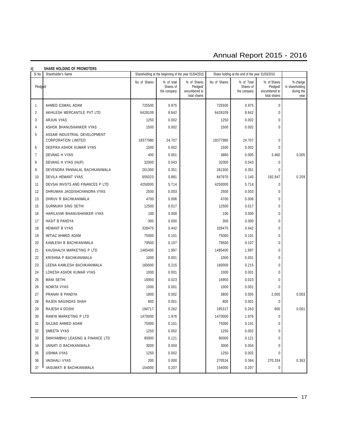# Annual Report 2015 - 2016

| ii)<br><b>SHARE HOLDING OF PROMOTERS</b> |                                                            |               |                                        |                                                          |                                                 |                                        |                                                          |                                                   |  |
|------------------------------------------|------------------------------------------------------------|---------------|----------------------------------------|----------------------------------------------------------|-------------------------------------------------|----------------------------------------|----------------------------------------------------------|---------------------------------------------------|--|
| SI No.                                   | Shareholder's Name                                         |               |                                        | Shareholding at the beginning of the year 01/04/2015     | Share holding at the end of the year 31/03/2016 |                                        |                                                          |                                                   |  |
| Pledged/                                 |                                                            | No. of Shares | % of total<br>Shares of<br>the company | % of Shares<br>Pledged/<br>encumbered to<br>total shares | No. of Shares                                   | % of Total<br>Shares of<br>the company | % of Shares<br>Pledged/<br>encumbered to<br>total shares | % change<br>in shareholding<br>during the<br>year |  |
| $\mathbf{1}$                             | AHMED ESMAIL ADAM                                          | 725500        | 0.975                                  |                                                          | 725500                                          | 0.975                                  | $\mathbf 0$                                              |                                                   |  |
| $\overline{2}$                           | AKHILESH MERCANTILE PVT LTD                                | 6428109       | 8.642                                  |                                                          | 6428109                                         | 8.642                                  | $\mathbf{0}$                                             |                                                   |  |
| 3                                        | ARJUN VYAS                                                 | 1250          | 0.002                                  |                                                          | 1250                                            | 0.002                                  | $\Omega$                                                 |                                                   |  |
| 4                                        | ASHOK BHANUSHANKER VYAS                                    | 1500          | 0.002                                  |                                                          | 1500                                            | 0.002                                  | $\Omega$                                                 |                                                   |  |
| 5                                        | ASSAM INDUSTRIAL DEVELOPMENT<br><b>CORPORATION LIMITED</b> | 18377980      | 24.707                                 |                                                          | 18377980                                        | 24.707                                 | $\mathbf 0$                                              |                                                   |  |
| 6                                        | DEEPIKA ASHOK KUMAR VYAS                                   | 1500          | 0.002                                  |                                                          | 1500                                            | 0.002                                  | $\mathbf 0$                                              |                                                   |  |
| $\overline{7}$                           | DEVANG H VYAS                                              | 400           | 0.001                                  |                                                          | 3860                                            | 0.005                                  | 3,460                                                    | 0.005                                             |  |
| 8                                        | DEVANG H VYAS (HUF)                                        | 32000         | 0.043                                  |                                                          | 32000                                           | 0.043                                  | 0                                                        |                                                   |  |
| 9                                        | DEVENDRA PANNALAL BACHKANIWALA                             | 261300        | 0.351                                  |                                                          | 261300                                          | 0.351                                  | $\theta$                                                 |                                                   |  |
| 10                                       | DEVILA HEMANT VYAS                                         | 655023        | 0.881                                  |                                                          | 847970                                          | 1.140                                  | 192,947                                                  | 0.259                                             |  |
| 11                                       | DEVSAI INVSTS AND FINANCES P LTD                           | 4250000       | 5.714                                  |                                                          | 4250000                                         | 5.714                                  | $\mathbf{0}$                                             |                                                   |  |
| 12                                       | DHRUMAN JAGDISHCHANDRA VYAS                                | 2500          | 0.003                                  |                                                          | 2500                                            | 0.003                                  | $\mathbf 0$                                              |                                                   |  |
| 13                                       | DHRUV R BACHKANIWALA                                       | 4700          | 0.006                                  |                                                          | 4700                                            | 0.006                                  | $\mathbf{0}$                                             |                                                   |  |
| 15                                       | <b>GURMUKH SING SETHI</b>                                  | 12500         | 0.017                                  |                                                          | 12500                                           | 0.017                                  | $\theta$                                                 |                                                   |  |
| 16                                       | HARILAXMI BHANUSHANKER VYAS                                | 100           | 0.000                                  |                                                          | 100                                             | 0.000                                  | $\mathbf 0$                                              |                                                   |  |
| 17                                       | HASIT B PANDYA                                             | 300           | 0.000                                  |                                                          | 300                                             | 0.000                                  | $\mathbf{0}$                                             |                                                   |  |
| 18                                       | <b>HEMANT B VYAS</b>                                       | 328475        | 0.442                                  |                                                          | 328475                                          | 0.442                                  | $\mathbf 0$                                              |                                                   |  |
| 19                                       | IMTIAZ AHMED ADAM                                          | 75000         | 0.101                                  |                                                          | 75000                                           | 0.101                                  | $\mathbf 0$                                              |                                                   |  |
| 20                                       | KAMLESH B BACHKANIWALA                                     | 79500         | 0.107                                  |                                                          | 79500                                           | 0.107                                  | $\mathbf{0}$                                             |                                                   |  |
| 21                                       | KAUSHALYA MARKETING P LTD                                  | 1485400       | 1.997                                  |                                                          | 1485400                                         | 1.997                                  | $\mathbf 0$                                              |                                                   |  |
| 22                                       | KRISHNA P BACHKANIWALA                                     | 1000          | 0.001                                  |                                                          | 1000                                            | 0.001                                  | $\mathbf{0}$                                             |                                                   |  |
| 23                                       | LEENA KAMLESH BACHKANIWALA                                 | 160000        | 0.215                                  |                                                          | 160000                                          | 0.215                                  | $\theta$                                                 |                                                   |  |
| 24                                       | LOKESH ASHOK KUMAR VYAS                                    | 1000          | 0.001                                  |                                                          | 1000                                            | 0.001                                  | $\theta$                                                 |                                                   |  |
| 25                                       | <b>MANI SETHI</b>                                          | 16950         | 0.023                                  |                                                          | 16950                                           | 0.023                                  | $\mathbf 0$                                              |                                                   |  |
| 26                                       | <b>NOMITA VYAS</b>                                         | 1000          | 0.001                                  |                                                          | 1000                                            | 0.001                                  | $\theta$                                                 |                                                   |  |
| 27                                       | PRANAV B PANDYA                                            | 1800          | 0.002                                  |                                                          | 3800                                            | 0.005                                  | 2,000                                                    | 0.003                                             |  |
| 28                                       | RAJEN NAGINDAS SHAH                                        | 800           | 0.001                                  |                                                          | 800                                             | 0.001                                  | $\mathbf 0$                                              |                                                   |  |
| 29                                       | RAJESH A DOSHI                                             | 194717        | 0.262                                  |                                                          | 195317                                          | 0.263                                  | 600                                                      | 0.001                                             |  |
| 30                                       | RAMYA MARKETING P LTD                                      | 1470000       | 1.976                                  |                                                          | 1470000                                         | 1.976                                  | $\mathbf 0$                                              |                                                   |  |
| 31                                       | SAJJAD AHMED ADAM                                          | 75000         | 0.101                                  |                                                          | 75000                                           | 0.101                                  | 0                                                        |                                                   |  |
| 32                                       | SMEETA VYAS                                                | 1250          | 0.002                                  |                                                          | 1250                                            | 0.002                                  | $\mathbf{0}$                                             |                                                   |  |
| 33                                       | SWAYAMBHU LEASING & FINANCE LTD                            | 90000         | 0.121                                  |                                                          | 90000                                           | 0.121                                  | $\mathbf{0}$                                             |                                                   |  |
| 34                                       | UNNATI D BACHKANIWALA                                      | 3000          | 0.004                                  |                                                          | 3000                                            | 0.004                                  | $\mathbf{0}$                                             |                                                   |  |
| 35                                       | USHMA VYAS                                                 | 1250          | 0.002                                  |                                                          | 1250                                            | 0.002                                  | $\mathbf{0}$                                             |                                                   |  |
| 36                                       | VAISHALI VYAS                                              | 200           | 0.000                                  |                                                          | 270534                                          | 0.364                                  | 270,334                                                  | 0.363                                             |  |
| 37                                       | VASUMATI B BACHKANIWALA                                    | 154000        | 0.207                                  |                                                          | 154000                                          | 0.207                                  | 0                                                        |                                                   |  |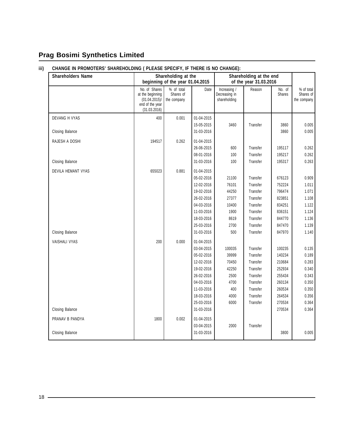### **iii) CHANGE IN PROMOTERS' SHAREHOLDING ( PLEASE SPECIFY, IF THERE IS NO CHANGE):**

| <b>Shareholders Name</b> | Shareholding at the<br>beginning of the year 01.04.2015                                  |                                        | Shareholding at the end<br>of the year 31.03.2016 |                                               |          |                         |                                        |
|--------------------------|------------------------------------------------------------------------------------------|----------------------------------------|---------------------------------------------------|-----------------------------------------------|----------|-------------------------|----------------------------------------|
|                          | No. of Shares<br>at the beginning<br>$(01.04.2015)$ /<br>end of the year<br>(31.03.2016) | % of total<br>Shares of<br>the company | Date                                              | Increasing /<br>Decreasing in<br>shareholding | Reason   | No. of<br><b>Shares</b> | % of total<br>Shares of<br>the company |
| DEVANG H VYAS            | 400                                                                                      | 0.001                                  | 01-04-2015<br>15-05-2015                          | 3460                                          | Transfer | 3860                    | 0.005                                  |
| <b>Closing Balance</b>   |                                                                                          |                                        | 31-03-2016                                        |                                               |          | 3860                    | 0.005                                  |
| RAJESH A DOSHI           | 194517                                                                                   | 0.262                                  | 01-04-2015<br>26-06-2015                          | 600                                           | Transfer | 195117                  | 0.262                                  |
|                          |                                                                                          |                                        | 08-01-2016                                        | 100                                           | Transfer | 195217                  | 0.262                                  |
| Closing Balance          |                                                                                          |                                        | 31-03-2016                                        | 100                                           | Transfer | 195317                  | 0.263                                  |
| DEVILA HEMANT VYAS       | 655023                                                                                   | 0.881                                  | 01-04-2015<br>05-02-2016                          | 21100                                         | Transfer | 676123                  | 0.909                                  |
|                          |                                                                                          |                                        | 12-02-2016                                        | 76101                                         | Transfer | 752224                  | 1.011                                  |
|                          |                                                                                          |                                        | 19-02-2016                                        | 44250                                         | Transfer | 796474                  | 1.071                                  |
|                          |                                                                                          |                                        | 26-02-2016                                        | 27377                                         | Transfer | 823851                  | 1.108                                  |
|                          |                                                                                          |                                        | 04-03-2016                                        | 10400                                         | Transfer | 834251                  | 1.122                                  |
|                          |                                                                                          |                                        | 11-03-2016                                        | 1900                                          | Transfer | 836151                  | 1.124                                  |
|                          |                                                                                          |                                        | 18-03-2016                                        | 8619                                          | Transfer | 844770                  | 1.136                                  |
|                          |                                                                                          |                                        | 25-03-2016                                        | 2700                                          | Transfer | 847470                  | 1.139                                  |
| Closing Balance          |                                                                                          |                                        | 31-03-2016                                        | 500                                           | Transfer | 847970                  | 1.140                                  |
| VAISHALI VYAS            | 200                                                                                      | 0.000                                  | 01-04-2015                                        |                                               |          |                         |                                        |
|                          |                                                                                          |                                        | 03-04-2015                                        | 100035                                        | Transfer | 100235                  | 0.135                                  |
|                          |                                                                                          |                                        | 05-02-2016                                        | 39999                                         | Transfer | 140234                  | 0.189                                  |
|                          |                                                                                          |                                        | 12-02-2016                                        | 70450                                         | Transfer | 210684                  | 0.283                                  |
|                          |                                                                                          |                                        | 19-02-2016                                        | 42250                                         | Transfer | 252934                  | 0.340                                  |
|                          |                                                                                          |                                        | 26-02-2016                                        | 2500                                          | Transfer | 255434                  | 0.343                                  |
|                          |                                                                                          |                                        | 04-03-2016                                        | 4700                                          | Transfer | 260134                  | 0.350                                  |
|                          |                                                                                          |                                        | 11-03-2016                                        | 400                                           | Transfer | 260534                  | 0.350                                  |
|                          |                                                                                          |                                        | 18-03-2016                                        | 4000                                          | Transfer | 264534                  | 0.356                                  |
| <b>Closing Balance</b>   |                                                                                          |                                        | 25-03-2016<br>31-03-2016                          | 6000                                          | Transfer | 270534<br>270534        | 0.364<br>0.364                         |
|                          |                                                                                          |                                        |                                                   |                                               |          |                         |                                        |
| PRANAV B PANDYA          | 1800                                                                                     | 0.002                                  | 01-04-2015                                        |                                               |          |                         |                                        |
|                          |                                                                                          |                                        | 03-04-2015                                        | 2000                                          | Transfer |                         |                                        |
| <b>Closing Balance</b>   |                                                                                          |                                        | 31-03-2016                                        |                                               |          | 3800                    | 0.005                                  |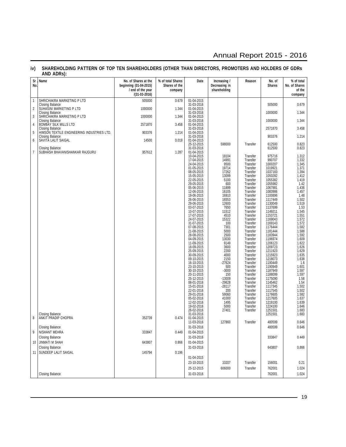# Annual Report 2015 - 2016

### **iv) SHAREHOLDING PATTERN OF TOP TEN SHAREHOLDERS (OTHER THAN DIRECTORS, PROMOTERS AND HOLDERS OF GDRs AND ADRs):**

| Sr<br>No.      | Name                                                          | No. of Shares at the<br>beginning (01-04-2015)<br>/ end of the year | % of total Shares<br>Shares of the<br>company | Date                                   | Increasing /<br>Decreasing in<br>shareholding | Reason               | No. of<br><b>Shares</b> | % of total<br>No. of Shares<br>of the |
|----------------|---------------------------------------------------------------|---------------------------------------------------------------------|-----------------------------------------------|----------------------------------------|-----------------------------------------------|----------------------|-------------------------|---------------------------------------|
|                |                                                               | /(31-03-2016)                                                       |                                               |                                        |                                               |                      |                         | company                               |
| 1              | SHRICHAKRA MARKETING P LTD<br><b>Closing Balance</b>          | 505000                                                              | 0.679                                         | 01-04-2015<br>31-03-2016               |                                               |                      | 505000                  | 0.679                                 |
| $\overline{2}$ | SUHAŠINI MARKETING P LTD<br><b>Closing Balance</b>            | 1000000                                                             | 1.344                                         | 01-04-2015<br>31-03-2016               |                                               |                      | 1000000                 | 1.344                                 |
| 3              | SHRICHAKRA MARKETING P LTD<br><b>Closing Balance</b>          | 1000000                                                             | 1.344                                         | 01-04-2015<br>31-03-2016               |                                               |                      | 1000000                 | 1.344                                 |
| 4              | BOMBAY SILK MILLS LTD<br><b>Closing Balance</b>               | 2571870                                                             | 3.458                                         | 01-04-2015<br>31-03-2016               |                                               |                      | 2571870                 | 3.458                                 |
| 5              | HIMSON TEXTILE ENGINEERING INDUSTRIES LTD.<br>Closing Balance | 903376                                                              | 1.214                                         | 01-04-2015<br>31-03-2016               |                                               |                      | 903376                  | 1.214                                 |
| 6              | SAVITÀ LALIT SAIGAL<br><b>Closing Balance</b>                 | 14500                                                               | 0.019                                         | 01-04-2015<br>25-12-2015<br>31-03-2016 | 598000                                        | Transfer             | 612500<br>612500        | 0.823<br>0.823                        |
| 7              | SUBHÄSH BHAVANISHANKAR RAJGURU                                | 957612                                                              | 1.287                                         | 01-04-2015<br>10-04-2015               | 18104                                         | Transfer             | 975716                  | 1.312                                 |
|                |                                                               |                                                                     |                                               | 17-04-2015<br>24-04-2015               | 14991<br>9500                                 | Transfer<br>Transfer | 990707<br>1000207       | 1.332<br>1.345                        |
|                |                                                               |                                                                     |                                               | 01-05-2015                             | 19714                                         | Transfer             | 1019921                 | 1.371                                 |
|                |                                                               |                                                                     |                                               | 08-05-2015<br>15-05-2015               | 17262<br>13099                                | Transfer<br>Transfer | 1037183<br>1050282      | 1.394<br>1.412                        |
|                |                                                               |                                                                     |                                               | 22-05-2015                             | 5100                                          | Transfer             | 1055382                 | 1.419                                 |
|                |                                                               |                                                                     |                                               | 29-05-2015<br>05-06-2015               | 600<br>11899                                  | Transfer<br>Transfer | 1055982<br>1067881      | 1.42<br>1.436                         |
|                |                                                               |                                                                     |                                               | 12-06-2015                             | 16105                                         | Transfer             | 1083986                 | 1.457                                 |
|                |                                                               |                                                                     |                                               | 19-06-2015                             | 16910                                         | Transfer             | 1100896                 | 1.48                                  |
|                |                                                               |                                                                     |                                               | 26-06-2015<br>29-06-2015               | 16553<br>12600                                | Transfer<br>Transfer | 1117449<br>1130049      | 1.502<br>1.519                        |
|                |                                                               |                                                                     |                                               | 03-07-2015                             | 7650                                          | Transfer             | 1137699                 | 1.53                                  |
|                |                                                               |                                                                     |                                               | 10-07-2015                             | 11512                                         | Transfer             | 1149211                 | 1.545                                 |
|                |                                                               |                                                                     |                                               | 17-07-2015<br>24-07-2015               | 4510<br>15322                                 | Transfer<br>Transfer | 1153721<br>1169043      | 1.551<br>1.572                        |
|                |                                                               |                                                                     |                                               | 31-07-2015                             | 100                                           | Transfer             | 1169143                 | 1.572                                 |
|                |                                                               |                                                                     |                                               | 07-08-2015                             | 7301                                          | Transfer             | 1176444                 | 1.582                                 |
|                |                                                               |                                                                     |                                               | 21-08-2015<br>28-08-2015               | 5000<br>2500                                  | Transfer<br>Transfer | 1181444<br>1183944      | 1.588<br>1.592                        |
|                |                                                               |                                                                     |                                               | 04-09-2015                             | 13030                                         | Transfer             | 1196974                 | 1.609                                 |
|                |                                                               |                                                                     |                                               | 11-09-2015                             | 9149                                          | Transfer             | 1206123                 | 1.622                                 |
|                |                                                               |                                                                     |                                               | 18-09-2015                             | 3600<br>2200                                  | Transfer             | 1209723                 | 1.626                                 |
|                |                                                               |                                                                     |                                               | 25-09-2015<br>30-09-2015               | 4000                                          | Transfer<br>Transfer | 1211923<br>1215923      | 1.629<br>1.635                        |
|                |                                                               |                                                                     |                                               | 09-10-2015                             | 2150                                          | Transfer             | 1218073                 | 1.638                                 |
|                |                                                               |                                                                     |                                               | 16-10-2015                             | $-27624$                                      | Transfer             | 1190449                 | 1.6                                   |
|                |                                                               |                                                                     |                                               | 23-10-2015<br>30-10-2015               | 500<br>$-3000$                                | Transfer<br>Transfer | 1190949<br>1187949      | 1.601<br>1.597                        |
|                |                                                               |                                                                     |                                               | 20-11-2015                             | 150                                           | Transfer             | 1188099                 | 1.597                                 |
|                |                                                               |                                                                     |                                               | 25-12-2015                             | $-13009$                                      | Transfer             | 1175090                 | 1.58                                  |
|                |                                                               |                                                                     |                                               | 08-01-2016<br>15-01-2016               | $-29628$<br>$-28117$                          | Transfer<br>Transfer | 1145462<br>1117345      | 1.54<br>1.502                         |
|                |                                                               |                                                                     |                                               | 22-01-2016                             | 200                                           | Transfer             | 1117545                 | 1.502                                 |
|                |                                                               |                                                                     |                                               | 29-01-2016                             | 59060                                         | Transfer             | 1176605                 | 1.582                                 |
|                |                                                               |                                                                     |                                               | 05-02-2016<br>12-02-2016               | 41000<br>1495                                 | Transfer<br>Transfer | 1217605<br>1219100      | 1.637<br>1.639                        |
|                |                                                               |                                                                     |                                               | 19-02-2016                             | 5000                                          | Transfer             | 1224100                 | 1.646                                 |
|                | Closing Balance                                               |                                                                     |                                               | 26-02-2016<br>31-03-2016               | 27401                                         | Transfer             | 1251501<br>1251501      | 1.683<br>1.683                        |
| 8              | ANKIT PRADIP CHOPRA                                           | 352739                                                              | 0.474                                         | 01-04-2015<br>11-03-2016               | 127860                                        | Transfer             | 480599                  | 0.646                                 |
|                | <b>Closing Balance</b>                                        |                                                                     |                                               | 31-03-2016                             |                                               |                      | 480599                  | 0.646                                 |
| 9              | NISHANT MEHRA                                                 | 333847                                                              | 0.449                                         | 01-04-2015                             |                                               |                      |                         |                                       |
|                | <b>Closing Balance</b>                                        |                                                                     |                                               | 31-03-2016                             |                                               |                      | 333847                  | 0.449                                 |
| 10             | <b>JINMATI M SHAH</b>                                         | 643807                                                              | 0.866                                         | 01-04-2015                             |                                               |                      |                         |                                       |
|                | <b>Closing Balance</b>                                        |                                                                     |                                               | 31-03-2016                             |                                               |                      | 643807                  | 0.866                                 |
|                | 11   SUNDEEP LALIT SAIGAL                                     | 145794                                                              | 0.196                                         |                                        |                                               |                      |                         |                                       |
|                |                                                               |                                                                     |                                               | 01-04-2015                             |                                               |                      |                         |                                       |
|                |                                                               |                                                                     |                                               | 23-10-2015                             | 10207                                         | Transfer             | 156001                  | 0.21                                  |
|                |                                                               |                                                                     |                                               | 25-12-2015                             | 606000                                        | Transfer             | 762001                  | 1.024                                 |
|                | <b>Closing Balance</b>                                        |                                                                     |                                               | 31-03-2016                             |                                               |                      | 762001                  | 1.024                                 |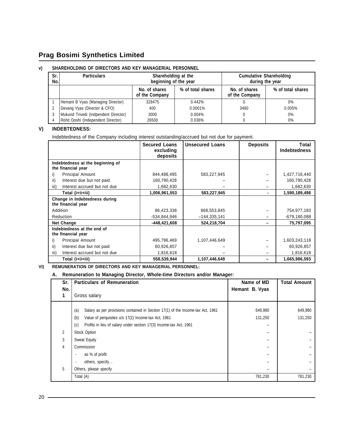### **v) SHAREHOLDING OF DIRECTORS AND KEY MANAGERIAL PERSONNEL**

| Sr.<br>No. | <b>Particulars</b>                   | Shareholding at the<br>beginning of the year |                   | <b>Cumulative Shareholding</b>  | during the year   |
|------------|--------------------------------------|----------------------------------------------|-------------------|---------------------------------|-------------------|
|            |                                      | No. of shares<br>of the Company              | % of total shares | No. of shares<br>of the Company | % of total shares |
|            | Hemant B Vyas (Managing Director)    | 328475                                       | 0.442%            |                                 | $0\%$             |
|            | Devang Vyas (Director & CFO)         | 400                                          | 0.0001%           | 3460                            | 0.005%            |
|            | Mukund Trivedi (Indpendent Director) | 3000                                         | 0.004%            |                                 | $0\%$             |
|            | Rohit Doshi (Independent Director)   | 26500                                        | 0.036%            |                                 | 0%                |

### **V) INDEBTEDNESS:**

Indebtedness of the Company including interest outstanding/accrued but not due for payment.

|                                                        | <b>Secured Loans</b><br>excluding | <b>Unsecured Loans</b> | <b>Deposits</b> | Total<br><b>Indebtedness</b> |
|--------------------------------------------------------|-----------------------------------|------------------------|-----------------|------------------------------|
|                                                        | deposits                          |                        |                 |                              |
| Indebtedness at the beginning of<br>the financial year |                                   |                        |                 |                              |
| <b>Principal Amount</b><br>i)                          | 844,488,495                       | 583,227,945            |                 | 1,427,716,440                |
| ii)<br>Interest due but not paid                       | 160,790,428                       |                        |                 | 160,790,428                  |
| Interest accrued but not due<br>iii)                   | 1,682,630                         |                        |                 | 1,682,630                    |
| Total (i+ii+iii)                                       | 1,006,961,553                     | 583,227,945            | ٠               | 1,590,189,498                |
| Change in Indebtedness during<br>the financial year    |                                   |                        |                 |                              |
| Addition                                               | 86,423,338                        | 668,553,845            |                 | 754,977,183                  |
| Reduction                                              | -534,844,946                      | $-144,335,141$         |                 | $-679,180,088$               |
| <b>Net Change</b>                                      | -448,421,608                      | 524,218,704            |                 | 75,797,095                   |
| Indebtedness at the end of<br>the financial year       |                                   |                        |                 |                              |
| Principal Amount<br>i)                                 | 495,796,469                       | 1,107,446,649          |                 | 1,603,243,118                |
| ii)<br>Interest due but not paid                       | 60,926,857                        |                        |                 | 60,926,857                   |
| iii)<br>Interest accrued but not due                   | 1,816,618                         |                        |                 | 1,816,618                    |
| Total (i+ii+iii)                                       | 558,539,944                       | 1,107,446,649          | -               | 1,665,986,593                |

### **VI) REMUNERATION OF DIRECTORS AND KEY MANAGERIAL PERSONNEL:**

### **A. Remuneration to Managing Director, Whole-time Directors and/or Manager:**

| Sr.            | <b>Particulars of Remuneration</b>                                                     | Name of MD               | <b>Total Amount</b> |
|----------------|----------------------------------------------------------------------------------------|--------------------------|---------------------|
| No.            | Gross salary                                                                           | Hemant B. Vyas           |                     |
|                | (a)<br>Salary as per provisions contained in Section 17(1) of the Income-tax Act, 1961 | 649,980                  | 649,980             |
|                | (b)<br>Value of perquisites u/s 17(2) Income-tax Act, 1961                             | 131,250                  | 131,250             |
|                | Profits in lieu of salary under section 17(3) Income-tax Act, 1961<br>(c)              | $\overline{\phantom{0}}$ |                     |
| $\overline{2}$ | Stock Option                                                                           |                          |                     |
| 3              | <b>Sweat Equity</b>                                                                    |                          |                     |
| 4              | Commission                                                                             |                          |                     |
|                | as % of profit                                                                         | -                        |                     |
|                | others, specify                                                                        |                          |                     |
| 5              | Others, please specify                                                                 |                          |                     |
|                | Total (A)                                                                              | 781,230                  | 781,230             |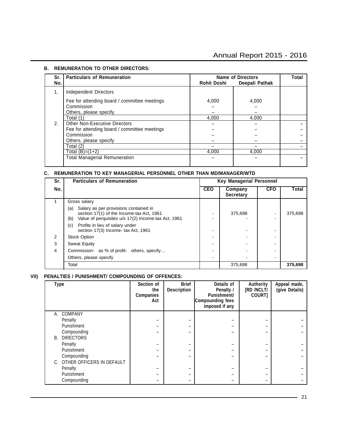### **B. REMUNERATION TO OTHER DIRECTORS:**

| Sr.<br>No. | <b>Particulars of Remuneration</b>                                                   | <b>Rohit Doshi</b> | <b>Name of Directors</b><br>Deepali Pathak | Total |
|------------|--------------------------------------------------------------------------------------|--------------------|--------------------------------------------|-------|
| 1.         | Independent Directors                                                                |                    |                                            |       |
|            | Fee for attending board / committee meetings<br>Commission<br>Others, please specify | 4,000              | 4,000                                      |       |
|            | Total (1)                                                                            | 4.000              | 4.000                                      |       |
| 2.         | <b>Other Non-Executive Directors</b>                                                 |                    |                                            |       |
|            | Fee for attending board / committee meetings                                         |                    |                                            |       |
|            | Commission                                                                           |                    |                                            |       |
|            | Others, please specify                                                               |                    |                                            |       |
|            | Total (2)                                                                            |                    |                                            |       |
|            | Total $(B)=(1+2)$                                                                    | 4.000              | 4.000                                      |       |
|            | <b>Total Managerial Remuneration</b>                                                 |                    |                                            |       |

### **C. REMUNERATION TO KEY MANAGERIAL PERSONNEL OTHER THAN MD/MANAGER/WTD**

| Sr. | <b>Particulars of Remuneration</b>                                                                                                                      | <b>Key Managerial Personnel</b> |                             |            |         |
|-----|---------------------------------------------------------------------------------------------------------------------------------------------------------|---------------------------------|-----------------------------|------------|---------|
| No. |                                                                                                                                                         | <b>CEO</b>                      | Company<br><b>Secretary</b> | <b>CFO</b> | Total   |
|     | Gross salary                                                                                                                                            |                                 |                             |            |         |
|     | Salary as per provisions contained in<br>(a)<br>section 17(1) of the Income-tax Act, 1961<br>Value of perquisites u/s 17(2) Income-tax Act, 1961<br>(b) |                                 | 375,698                     |            | 375,698 |
|     | Profits in lieu of salary under<br>(c)<br>section 17(3) Income- tax Act, 1961                                                                           |                                 |                             |            |         |
| 2   | <b>Stock Option</b>                                                                                                                                     |                                 |                             |            |         |
| 3   | Sweat Equity                                                                                                                                            |                                 |                             |            |         |
| 4   | Commission- as % of profit- others, specify                                                                                                             |                                 |                             |            |         |
|     | Others, please specify                                                                                                                                  |                                 |                             |            |         |
|     | Total                                                                                                                                                   |                                 | 375,698                     |            | 375,698 |

### **VII) PENALTIES / PUNISHMENT/ COMPOUNDING OF OFFENCES:**

| <b>Type</b>                  | Section of<br>the<br><b>Companies</b><br>Act | <b>Brief</b><br><b>Description</b> | Details of<br>Penalty /<br><b>Punishment/</b><br>Compounding fees<br>imposed if any | Authority<br><b>IRD /NCLT/</b><br>COURT] | Appeal made,<br>(give Details) |
|------------------------------|----------------------------------------------|------------------------------------|-------------------------------------------------------------------------------------|------------------------------------------|--------------------------------|
| A. COMPANY                   |                                              |                                    |                                                                                     |                                          |                                |
| Penalty                      |                                              |                                    |                                                                                     |                                          |                                |
| Punishment                   |                                              |                                    |                                                                                     |                                          |                                |
| Compounding                  |                                              |                                    |                                                                                     |                                          |                                |
| <b>B. DIRECTORS</b>          |                                              |                                    |                                                                                     |                                          |                                |
| Penalty                      |                                              |                                    |                                                                                     |                                          |                                |
| Punishment                   |                                              |                                    |                                                                                     |                                          |                                |
| Compounding                  |                                              |                                    |                                                                                     |                                          |                                |
| C. OTHER OFFICERS IN DEFAULT |                                              |                                    |                                                                                     |                                          |                                |
| Penalty                      |                                              |                                    |                                                                                     |                                          |                                |
| Punishment                   | -                                            | -                                  |                                                                                     |                                          |                                |
| Compounding                  |                                              |                                    |                                                                                     |                                          |                                |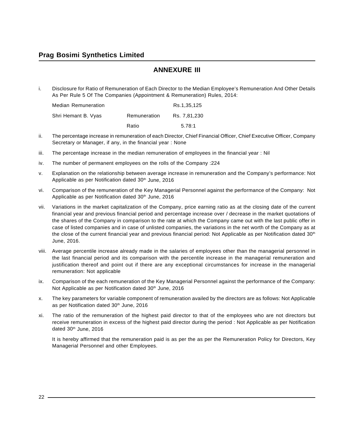# **ANNEXURE III**

i. Disclosure for Ratio of Remuneration of Each Director to the Median Employee's Remuneration And Other Details As Per Rule 5 Of The Companies (Appointment & Remuneration) Rules, 2014:

| <b>Median Remuneration</b> |              | Rs.1.35.125  |
|----------------------------|--------------|--------------|
| Shri Hemant B. Vyas        | Remuneration | Rs. 7.81.230 |
|                            | Ratio        | 5.78:1       |

- ii. The percentage increase in remuneration of each Director, Chief Financial Officer, Chief Executive Officer, Company Secretary or Manager, if any, in the financial year : None
- iii. The percentage increase in the median remuneration of employees in the financial year : Nil
- iv. The number of permanent employees on the rolls of the Company :224
- v. Explanation on the relationship between average increase in remuneration and the Company's performance: Not Applicable as per Notification dated 30<sup>th</sup> June, 2016
- vi. Comparison of the remuneration of the Key Managerial Personnel against the performance of the Company: Not Applicable as per Notification dated 30<sup>th</sup> June, 2016
- vii. Variations in the market capitalization of the Company, price earning ratio as at the closing date of the current financial year and previous financial period and percentage increase over / decrease in the market quotations of the shares of the Company in comparison to the rate at which the Company came out with the last public offer in case of listed companies and in case of unlisted companies, the variations in the net worth of the Company as at the close of the current financial year and previous financial period: Not Applicable as per Notification dated  $30<sup>th</sup>$ June, 2016.
- viii. Average percentile increase already made in the salaries of employees other than the managerial personnel in the last financial period and its comparison with the percentile increase in the managerial remuneration and justification thereof and point out if there are any exceptional circumstances for increase in the managerial remuneration: Not applicable
- ix. Comparison of the each remuneration of the Key Managerial Personnel against the performance of the Company: Not Applicable as per Notification dated 30<sup>th</sup> June, 2016
- x. The key parameters for variable component of remuneration availed by the directors are as follows: Not Applicable as per Notification dated 30<sup>th</sup> June, 2016
- xi. The ratio of the remuneration of the highest paid director to that of the employees who are not directors but receive remuneration in excess of the highest paid director during the period : Not Applicable as per Notification dated 30<sup>th</sup> June, 2016

It is hereby affirmed that the remuneration paid is as per the as per the Remuneration Policy for Directors, Key Managerial Personnel and other Employees.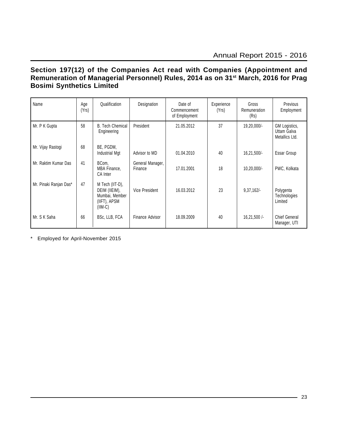# **Section 197(12) of the Companies Act read with Companies (Appointment and Remuneration of Managerial Personnel) Rules, 2014 as on 31st March, 2016 for Prag Bosimi Synthetics Limited**

| Name                   | Age<br>(Yrs) | Qualification                                                                   | Designation                 | Date of<br>Commencement<br>of Employment | Experience<br>(Yrs) | Gross<br>Remuneration<br>(Rs) | Previous<br>Employment                         |
|------------------------|--------------|---------------------------------------------------------------------------------|-----------------------------|------------------------------------------|---------------------|-------------------------------|------------------------------------------------|
| Mr. P K Gupta          | 58           | <b>B.</b> Tech Chemical<br>Engineering                                          | President                   | 21.05.2012                               | 37                  | 19,20,000/-                   | GM Logistics,<br>Uttam Galva<br>Metallics Ltd. |
| Mr. Vijay Rastogi      | 68           | BE, PGDM,<br>Industrial Mgt                                                     | Advisor to MD               | 01.04.2010                               | 40                  | $16,21,500/-$                 | Essar Group                                    |
| Mr. Raktim Kumar Das   | 41           | BCom.<br>MBA Finance,<br>CA Inter                                               | General Manager,<br>Finance | 17.01.2001                               | 18                  | $10,20,000/-$                 | PWC, Kolkata                                   |
| Mr. Pinaki Ranjan Das* | 47           | M Tech (IIT-D),<br>DEIM (IIEIM),<br>Mumbai, Member<br>(IIFT), APSM<br>$(IIM-C)$ | Vice President              | 16.03.2012                               | 23                  | $9,37,162/-$                  | Polygenta<br>Technologies<br>Limited           |
| Mr. S K Saha           | 66           | BSc, LLB, FCA                                                                   | Finance Advisor             | 18.09.2009                               | 40                  | $16,21,500$ /-                | <b>Chief General</b><br>Manager, UTI           |

\* Employed for April-November 2015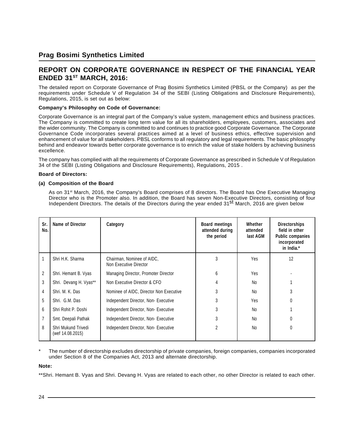# **REPORT ON CORPORATE GOVERNANCE IN RESPECT OF THE FINANCIAL YEAR ENDED 31ST MARCH, 2016:**

The detailed report on Corporate Governance of Prag Bosimi Synthetics Limited (PBSL or the Company) as per the requirements under Schedule V of Regulation 34 of the SEBI (Listing Obligations and Disclosure Requirements), Regulations, 2015, is set out as below:

### **Company's Philosophy on Code of Governance:**

Corporate Governance is an integral part of the Company's value system, management ethics and business practices. The Company is committed to create long term value for all its shareholders, employees, customers, associates and the wider community. The Company is committed to and continues to practice good Corporate Governance. The Corporate Governance Code incorporates several practices aimed at a level of business ethics, effective supervision and enhancement of value for all stakeholders. PBSL conforms to all regulatory and legal requirements. The basic philosophy behind and endeavor towards better corporate governance is to enrich the value of stake holders by achieving business excellence.

The company has complied with all the requirements of Corporate Governance as prescribed in Schedule V of Regulation 34 of the SEBI (Listing Obligations and Disclosure Requirements), Regulations, 2015 .

### **Board of Directors:**

### **(a) Composition of the Board**

As on 31<sup>st</sup> March, 2016, the Company's Board comprises of 8 directors. The Board has One Executive Managing Director who is the Promoter also. In addition, the Board has seven Non-Executive Directors, consisting of four Independent Directors. The details of the Directors during the year ended 31<sup>st</sup> March, 2016 are given below

| Sr.<br>No.     | Name of Director                        | Category                                             | <b>Board meetings</b><br>attended during<br>the period | Whether<br>attended<br>last AGM | <b>Directorships</b><br>field in other<br><b>Public companies</b><br>incorporated<br>in India.* |
|----------------|-----------------------------------------|------------------------------------------------------|--------------------------------------------------------|---------------------------------|-------------------------------------------------------------------------------------------------|
|                | Shri H.K. Sharma                        | Chairman, Nominee of AIDC,<br>Non Executive Director | 3                                                      | Yes                             | 12                                                                                              |
| $\overline{c}$ | Shri. Hemant B. Vyas                    | Managing Director, Promoter Director                 | 6                                                      | Yes                             |                                                                                                 |
| 3              | Shri. Devang H. Vyas**                  | Non Executive Director & CFO                         | 4                                                      | <b>No</b>                       |                                                                                                 |
| 4              | Shri, M. K. Das                         | Nominee of AIDC, Director Non Executive              | 3                                                      | <b>No</b>                       | 3                                                                                               |
| 5              | Shri. G.M. Das                          | Independent Director, Non-Executive                  | 3                                                      | Yes                             |                                                                                                 |
| 6              | Shri Rohit P. Doshi                     | Independent Director, Non-Executive                  | 3                                                      | No                              |                                                                                                 |
| $\overline{7}$ | Smt. Deepali Pathak                     | Independent Director, Non-Executive                  | 3                                                      | No                              | 0                                                                                               |
| 8              | Shri Mukund Trivedi<br>(wef 14.08.2015) | Independent Director, Non-Executive                  | $\overline{2}$                                         | No                              | 0                                                                                               |

The number of directorship excludes directorship of private companies, foreign companies, companies incorporated under Section 8 of the Companies Act, 2013 and alternate directorship.

### **Note:**

\*\*Shri. Hemant B. Vyas and Shri. Devang H. Vyas are related to each other, no other Director is related to each other.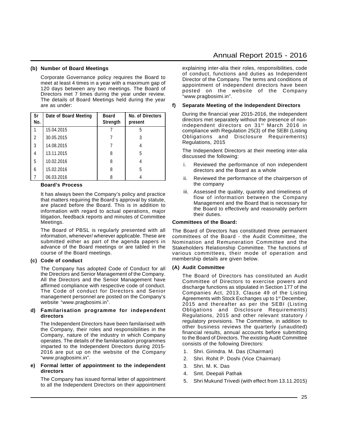#### **(b) Number of Board Meetings**

Corporate Governance policy requires the Board to meet at least 4 times in a year with a maximum gap of 120 days between any two meetings. The Board of Directors met 7 times during the year under review. The details of Board Meetings held during the year are as under:

| Sr<br>No. | Date of Board Meeting | <b>Board</b><br>Strength | No. of Directors<br>present |
|-----------|-----------------------|--------------------------|-----------------------------|
|           | 15.04.2015            |                          | 5                           |
| 2         | 30.05.2015            |                          | 3                           |
| 3         | 14.08.2015            |                          |                             |
| 4         | 13.11.2015            | 8                        | 5                           |
| 5         | 10.02.2016            | 8                        |                             |
| 6         | 15.02.2016            | 8                        | 5                           |
| 7         | 06.03.2016            |                          |                             |

#### **Board's Process**

It has always been the Company's policy and practice that matters requiring the Board's approval by statute, are placed before the Board. This is in addition to information with regard to actual operations, major litigation, feedback reports and minutes of Committee Meetings.

The Board of PBSL is regularly presented with all information, whenever/ wherever applicable. These are submitted either as part of the agenda papers in advance of the Board meetings or are tabled in the course of the Board meetings.

### **(c) Code of conduct**

The Company has adopted Code of Conduct for all the Directors and Senior Management of the Company. All the Directors and the Senior Management have affirmed compliance with respective code of conduct. The Code of conduct for Directors and Senior management personnel are posted on the Company's website "www.pragbosimi.in".

### **d) Familarisation programme for independent directors**

The Independent Directors have been familarised with the Company, their roles and responsibilities in the Company, nature of the industry in which Company operates. The details of the familarisation programmes imparted to the Independent Directors during 2015- 2016 are put up on the website of the Company "www.pragbosimi.in".

#### **e) Formal letter of appointment to the independent directors**

The Company has issued formal letter of appointment to all the Independent Directors on their appointment

### Annual Report 2015 - 2016

explaining inter-alia their roles, responsibilities, code of conduct, functions and duties as Independent Director of the Company. The terms and conditions of appointment of independent directors have been posted on the website of the Company "www.pragbosimi.in".

### **f) Separate Meeting of the Independent Directors**

During the financial year 2015-2016, the independent directors met separately without the presence of nonindependent directors on 31st March 2016 in compliance with Regulation 25(3) of the SEBI (Listing Obligations and Disclosure Requirements) Regulations, 2015

The Independent Directors at their meeting inter-alia discussed the following:

- i. Reviewed the performance of non independent directors and the Board as a whole
- ii. Reviewed the performance of the chairperson of the company
- iii. Assessed the quality, quantity and timeliness of flow of information between the Company Management and the Board that is necessary for the Board to effectively and reasonably perform their duties.

#### **Committees of the Board:**

The Board of Directors has constituted three permanent committees of the Board - the Audit Committee, the Nomination and Remuneration Committee and the Stakeholders Relationship Committee. The functions of various committees, their mode of operation and membership details are given below.

#### **(A) Audit Committee**

The Board of Directors has constituted an Audit Committee of Directors to exercise powers and discharge functions as stipulated in Section 177 of the Companies Act, 2013, Clause 49 of the Listing Agreements with Stock Exchanges up to 1<sup>st</sup> December, 2015 and thereafter as per the SEBI (Listing Obligations and Disclosure Requirements) Regulations, 2015 and other relevant statutory / regulatory provisions. The Committee, in addition to other business reviews the quarterly (unaudited) financial results, annual accounts before submitting to the Board of Directors. The existing Audit Committee consists of the following Directors:

- 1. Shri. Girindra. M. Das (Chairman)
- 2. Shri. Rohit P. Doshi (Vice Chairman)
- 3. Shri. M. K. Das
- 4. Smt. Deepali Pathak
- 5. Shri Mukund Trivedi (with effect from 13.11.2015)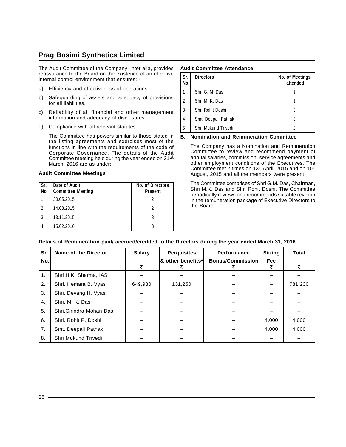The Audit Committee of the Company, inter alia, provides reassurance to the Board on the existence of an effective internal control environment that ensures: -

- a) Efficiency and effectiveness of operations.
- b) Safeguarding of assets and adequacy of provisions for all liabilities,
- c) Reliability of all financial and other management information and adequacy of disclosures
- d) Compliance with all relevant statutes.

The Committee has powers similar to those stated in the listing agreements and exercises most of the functions in line with the requirements of the code of Corporate Governance. The details of the Audit Committee meeting held during the year ended on 31<sup>st</sup> March, 2016 are as under:

#### **Audit Committee Meetings**

| l Sr.<br>No    | Date of Audit<br><b>Committee Meeting</b> | No. of Directors<br><b>Present</b> |
|----------------|-------------------------------------------|------------------------------------|
|                | 30.05.2015                                |                                    |
| $\mathfrak{p}$ | 14.08.2015                                |                                    |
| 3              | 13.11.2015                                | 3                                  |
| 4              | 15.02.2016                                | 3                                  |

#### **Audit Committee Attendance**

| Sr.<br>No. | <b>Directors</b>    | No. of Meetings<br>attended |
|------------|---------------------|-----------------------------|
|            | Shri G. M. Das      |                             |
| l 2        | Shri M. K. Das      |                             |
| l 3        | Shri Rohit Doshi    | 3                           |
| $\vert$ 4  | Smt. Deepali Pathak | 3                           |
| 5          | Shri Mukund Trivedi |                             |

### **B. Nomination and Remuneration Committee**

The Company has a Nomination and Remuneration Committee to review and recommend payment of annual salaries, commission, service agreements and other employment conditions of the Executives. The Committee met 2 times on 13<sup>th</sup> April, 2015 and on 10<sup>th</sup> August, 2015 and all the members were present.

The Committee comprises of Shri G.M. Das, Chairman, Shri M.K. Das and Shri Rohit Doshi. The Committee periodically reviews and recommends suitable revision in the remuneration package of Executive Directors to the Board.

| Sr. | Name of the Director    | <b>Salary</b> | <b>Perquisites</b> | Performance             | <b>Sitting</b> | <b>Total</b> |
|-----|-------------------------|---------------|--------------------|-------------------------|----------------|--------------|
| No. |                         | ₹             | ا* other benefits  | <b>Bonus/Commission</b> | Fee            | ₹            |
| 1.  | Shri H.K. Sharma, IAS   |               |                    |                         |                |              |
| 2.  | Shri. Hemant B. Vyas    | 649,980       | 131,250            |                         |                | 781,230      |
| 3.  | Shri. Devang H. Vyas    |               |                    |                         |                |              |
| 4.  | Shri, M. K. Das         |               |                    |                         |                |              |
| 5.  | Shri.Girindra Mohan Das |               |                    |                         |                |              |
| 6.  | Shri, Rohit P. Doshi    |               |                    |                         | 4,000          | 4,000        |
| 7.  | Smt. Deepali Pathak     |               |                    |                         | 4.000          | 4,000        |
| 8.  | Shri Mukund Trivedi     |               |                    |                         |                |              |

### **Details of Remuneration paid/ accrued/credited to the Directors during the year ended March 31, 2016**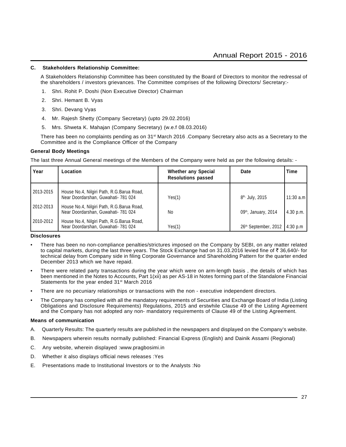### **C. Stakeholders Relationship Committee:**

A Stakeholders Relationship Committee has been constituted by the Board of Directors to monitor the redressal of the shareholders / investors grievances. The Committee comprises of the following Directors/ Secretary:-

- 1. Shri. Rohit P. Doshi (Non Executive Director) Chairman
- 2. Shri. Hemant B. Vyas
- 3. Shri. Devang Vyas
- 4. Mr. Rajesh Shetty (Company Secretary) (upto 29.02.2016)
- 5. Mrs. Shweta K. Mahajan (Company Secretary) (w.e.f 08.03.2016)

There has been no complaints pending as on 31st March 2016 .Company Secretary also acts as a Secretary to the Committee and is the Compliance Officer of the Company

### **General Body Meetings**

The last three Annual General meetings of the Members of the Company were held as per the following details: -

| Year      | Location                                                                          | <b>Whether any Special</b><br><b>Resolutions passed</b> | Date                             | <b>Time</b>        |
|-----------|-----------------------------------------------------------------------------------|---------------------------------------------------------|----------------------------------|--------------------|
| 2013-2015 | House No.4, Nilgiri Path, R.G. Barua Road,<br>Near Doordarshan, Guwahati- 781 024 | Yes(1)                                                  | 8 <sup>th,</sup> July, 2015      | 11:30 a.m <b> </b> |
| 2012-2013 | House No.4, Nilgiri Path, R.G.Barua Road,<br>Near Doordarshan, Guwahati- 781 024  | No                                                      | 09 <sup>th</sup> , January, 2014 | 4.30 p.m.          |
| 2010-2012 | House No.4, Nilgiri Path, R.G. Barua Road,<br>Near Doordarshan, Guwahati- 781 024 | Yes(1)                                                  | 26 <sup>th</sup> September, 2012 | 4:30 p.m           |

### **Disclosures**

- There has been no non-compliance penalties/strictures imposed on the Company by SEBI, on any matter related to capital markets, during the last three years. The Stock Exchange had on 31.03.2016 levied fine of  $\bar{\tau}$  36,640/- for technical delay from Company side in filing Corporate Governance and Shareholding Pattern for the quarter ended December 2013 which we have repaid.
- There were related party transactions during the year which were on arm-length basis, the details of which has been mentioned in the Notes to Accounts, Part 1(xii) as per AS-18 in Notes forming part of the Standalone Financial Statements for the year ended 31<sup>st</sup> March 2016
- There are no pecuniary relationships or transactions with the non executive independent directors.
- The Company has complied with all the mandatory requirements of Securities and Exchange Board of India (Listing Obligations and Disclosure Requirements) Regulations, 2015 and erstwhile Clause 49 of the Listing Agreement and the Company has not adopted any non- mandatory requirements of Clause 49 of the Listing Agreement.

### **Means of communication**

- A. Quarterly Results: The quarterly results are published in the newspapers and displayed on the Company's website.
- B. Newspapers wherein results normally published: Financial Express (English) and Dainik Assami (Regional)
- C. Any website, wherein displayed :www.pragbosimi.in
- D. Whether it also displays official news releases :Yes
- E. Presentations made to Institutional Investors or to the Analysts :No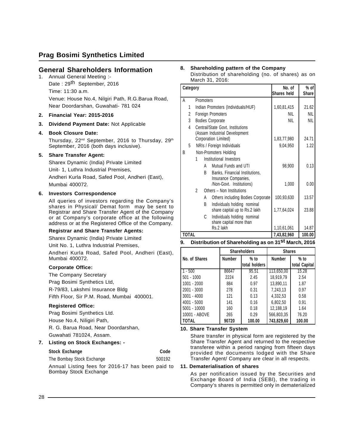### **General Shareholders Information**

- 1. Annual General Meeting :- Date: 29<sup>th</sup> September, 2016 Time: 11:30 a.m. Venue: House No.4, Nilgiri Path, R.G.Barua Road, Near Doordarshan, Guwahati- 781 024
- **2. Financial Year: 2015-2016**
- **3. Dividend Payment Date:** Not Applicable

### **4. Book Closure Date:**

Thursday, 22<sup>nd</sup> September, 2016 to Thursday, 29<sup>th</sup> September, 2016 (both days inclusive).

### **5. Share Transfer Agent:**

Sharex Dynamic (India) Private Limited

Unit- 1, Luthra Industrial Premises,

Andheri Kurla Road, Safed Pool, Andheri (East), Mumbai 400072.

### **6. Investors Correspondence**

All queries of investors regarding the Company's shares in Physical/ Demat form may be sent to Registrar and Share Transfer Agent of the Company or at Company's corporate office at the following address or at the Registered Office of the Company.

### **Registrar and Share Transfer Agents:**

Sharex Dynamic (India) Private Limited

Unit No. 1, Luthra Industrial Premises,

Andheri Kurla Road, Safed Pool, Andheri (East), Mumbai 400072.

### **Corporate Office:**

The Company Secretary

Prag Bosimi Synthetics Ltd,

R-79/83, Lakshmi Insurance Bldg

Fifth Floor, Sir P.M. Road, Mumbai 400001.

### **Registered Office:**

Prag Bosimi Synthetics Ltd.

House No.4, Niligiri Path,

R. G. Barua Road, Near Doordarshan,

Guwahati 781024, Assam.

### **7. Listing on Stock Exchanges: -**

| <b>Stock Exchange</b>                                                     | Code   |
|---------------------------------------------------------------------------|--------|
| The Bombay Stock Exchange                                                 | 500192 |
| Annual Listing fees for 2016-17 has been paid to<br>Bombay Stock Exchange |        |

#### **8. Shareholding pattern of the Company** Distribution of shareholding (no. of shares) as on March 31, 2016:

|   | Category       |                |           | No. of                                                                             | % of        |            |
|---|----------------|----------------|-----------|------------------------------------------------------------------------------------|-------------|------------|
|   |                |                |           |                                                                                    | Shares held | Share      |
| A |                |                | Promoters |                                                                                    |             |            |
|   | 1              |                |           | Indian Promoters (Individuals/HUF)                                                 | 1,60,81,415 | 21.62      |
|   | $\overline{c}$ |                |           | Foreign Promoters                                                                  | <b>NIL</b>  | <b>NIL</b> |
|   | 3              |                |           | <b>Bodies Corporate</b>                                                            | <b>NIL</b>  | <b>NIL</b> |
|   | 4              |                |           | Central/State Govt. Institutions<br>(Assam Industrial Development                  |             |            |
|   |                |                |           | Corporation Limited)                                                               | 1,83,77,980 | 24.71      |
|   | 5              |                |           | NRIs / Foreign Individuals                                                         | 9,04,950    | 1.22       |
| B |                |                |           | Non-Promoters Holding                                                              |             |            |
|   |                | 1              |           | Institutional Investors                                                            |             |            |
|   |                |                | A         | Mutual Funds and UTI                                                               | 98,900      | 0.13       |
|   |                |                | B         | Banks, Financial Institutions,<br>Insurance Companies,<br>/Non-Govt. Institutions) | 1,000       | 0.00       |
|   |                | $\mathfrak{p}$ |           | Others - Non Institutions                                                          |             |            |
|   |                |                | A         | Others including Bodies Corporate                                                  | 100,93,630  | 13.57      |
|   |                |                | B         | Individuals holding nominal<br>share capital up to Rs.2 lakh                       | 1,77,64,024 | 23.88      |
|   |                |                | C         | Individuals holding nominal<br>share capital more than                             |             |            |
|   |                |                |           | Rs.2 lakh                                                                          | 1,10,61,061 | 14.87      |
|   | <b>TOTAL</b>   |                |           |                                                                                    | 7,43,82,960 | 100.00     |

### **9. Distribution of Shareholding as on 31st March, 2016**

|               | <b>Shareholders</b> |                         | <b>Shares</b> |                         |
|---------------|---------------------|-------------------------|---------------|-------------------------|
| No. of Shares | <b>Number</b>       | $%$ to<br>total holders | <b>Number</b> | $%$ to<br>total Capital |
| $-500$        | 86647               | 95.51                   | 113,650,00    | 15.28                   |
| $501 - 1000$  | 2224                | 2.45                    | 18,919,79     | 2.54                    |
| $1001 - 2000$ | 884                 | 0.97                    | 13,890,11     | 1.87                    |
| 2001 - 3000   | 278                 | 0.31                    | 7,243,13      | 0.97                    |
| $3001 - 4000$ | 121                 | 0.13                    | 4,332,53      | 0.58                    |
| 4001 - 5000   | 141                 | 0.16                    | 6,802,50      | 0.91                    |
| 5001 - 10000  | 160                 | 0.18                    | 12,188,19     | 1.64                    |
| 10001 - ABOVE | 265                 | 0.29                    | 566,803,35    | 76.20                   |
| I TOTAL       | 90720               | 100.00                  | 743.829.60    | 100.00                  |

### **10. Share Transfer System**

Share transfer in physical form are registered by the Share Transfer Agent and returned to the respective transferee within a period ranging from fifteen days provided the documents lodged with the Share Transfer Agent/ Company are clear in all respects.

### **11. Dematerialisation of shares**

As per notification issued by the Securities and Exchange Board of India (SEBl), the trading in Company's shares is permitted only in dematerialized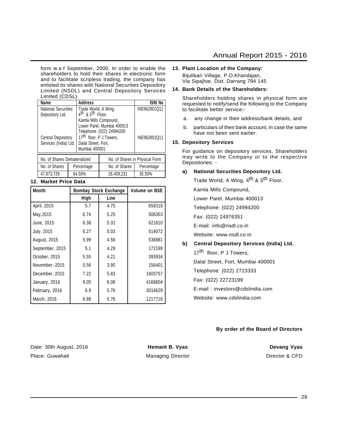form w.e.f September, 2000. In order to enable the shareholders to hold their shares in electronic form and to facilitate scripless trading, the company has enlisted its shares with National Securities Depository Limited (NSDL) and Central Depository Services Limited (CDSL).

| Name                                               |  | <b>Address</b>                                                                                                                                       |                                                                             | ISIN No      |
|----------------------------------------------------|--|------------------------------------------------------------------------------------------------------------------------------------------------------|-----------------------------------------------------------------------------|--------------|
| National Securities<br>Depository Ltd.             |  | Trade World, A Wing,<br>4 <sup>th</sup> & 5 <sup>th</sup> Floor,<br>Kamla Mills Compound,<br>Lower Parel, Mumbai 400013<br>Telephone: (022) 24994200 |                                                                             | INE962801Q11 |
| <b>Central Depository</b><br>Services (India) Ltd. |  |                                                                                                                                                      | 17 <sup>th</sup> floor, P J Towers,<br>Dalal Street, Fort,<br>Mumbai 400001 |              |
| No. of Shares Dematerialized                       |  |                                                                                                                                                      | No. of Shares in Physical Form                                              |              |
| No. of Shares                                      |  | Percentage                                                                                                                                           | No. of Shares                                                               | Percentage   |
| 47,973,729                                         |  | 64.50%                                                                                                                                               | 26,409,231                                                                  | 35.50%       |

### **12. Market Price Data**

| <b>Month</b>    | <b>Bombay Stock Exchange</b> | <b>Volume on BSE</b> |         |
|-----------------|------------------------------|----------------------|---------|
|                 | High                         | Low                  |         |
| April, 2015     | 5.7                          | 4.75                 | 658319  |
| May, 2015       | 6.74                         | 5.25                 | 506353  |
| June, 2015      | 6.38                         | 5.31                 | 621810  |
| July, 2015      | 6.27                         | 5.03                 | 514072  |
| August, 2015    | 5.99                         | 4.56                 | 536881  |
| September, 2015 | 5.1                          | 4.29                 | 172199  |
| October, 2015   | 5.55                         | 4.21                 | 393934  |
| November, 2015  | 5.56                         | 3.95                 | 156401  |
| December, 2015  | 7.22                         | 5.83                 | 1603757 |
| January, 2016   | 9.05                         | 6.08                 | 4168604 |
| February, 2016  | 6.9                          | 5.76                 | 3016629 |
| March, 2016     | 6.89                         | 5.76                 | 1217716 |

#### **13. Plant Location of the Company:**

Bijulibari Village, P.O.Khandajan, Via Sipajhar, Dist. Darrang 784 145

### **14. Bank Details of the Shareholders:**

Shareholders holding shares in physical form are requested to notify/send the following to the Company to facilitate better service:-

- a. any change in their address/bank details, and
- b. particulars of their bank account, in case the same have not been sent earlier.

### **15. Depository Services**

For guidance on depository services, Shareholders may write to the Company or to the respective Depositories: -

### **a) National Securities Depository Ltd.**

Trade World, A Wing, 4<sup>th</sup> & 5<sup>th</sup> Floor,

Kamla Mills Compound,

Lower Parel, Mumbai 400013

Telephone: (022) 24994200

Fax: (022) 24976351

E-mail: info@nsdl.co.in

Website: www.nsdl.co.in

### **b) Central Depository Services (India) Ltd.**

17<sup>th</sup> floor, P J Towers,

Dalal Street, Fort, Mumbai 400001

Telephone: (022) 2723333

Fax: (022) 22723199

E-mail : investors@cdslindia.com

Website: www.cdslindia.com

### **By order of the Board of Directors**

Date: 30th August, 2016 **Hemant B. Vyas Hemant B. Vyas Devang Vyas** Place: Guwahati **Managing Director** Managing Director **CEO** Director & CFO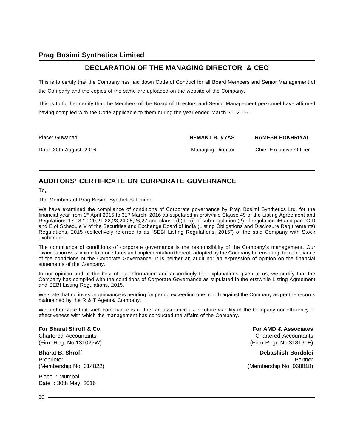# **DECLARATION OF THE MANAGING DIRECTOR & CEO**

This is to certify that the Company has laid down Code of Conduct for all Board Members and Senior Management of the Company and the copies of the same are uploaded on the website of the Company.

This is to further certify that the Members of the Board of Directors and Senior Management personnel have affirmed having complied with the Code applicable to them during the year ended March 31, 2016.

| Place: Guwahati         | <b>HEMANT B. VYAS</b> | <b>RAMESH POKHRIYAL</b>        |
|-------------------------|-----------------------|--------------------------------|
| Date: 30th August, 2016 | Managing Director     | <b>Chief Executive Officer</b> |

# **AUDITORS' CERTIFICATE ON CORPORATE GOVERNANCE**

To,

The Members of Prag Bosimi Synthetics Limited.

We have examined the compliance of conditions of Corporate governance by Prag Bosimi Synthetics Ltd. for the financial year from 1<sup>st</sup> April 2015 to 31<sup>st</sup> March, 2016 as stipulated in erstwhile Clause 49 of the Listing Agreement and Regulations 17,18,19,20,21,22,23,24,25,26,27 and clause (b) to (i) of sub-regulation (2) of regulation 46 and para C,D and E of Schedule V of the Securities and Exchange Board of India (Listing Obligations and Disclosure Requirements) Regulations, 2015 (collectively referred to as "SEBI Listing Regulations, 2015") of the said Company with Stock exchanges.

The compliance of conditions of corporate governance is the responsibility of the Company's management. Our examination was limited to procedures and implementation thereof, adopted by the Company for ensuring the compliance of the conditions of the Corporate Governance. It is neither an audit nor an expression of opinion on the financial statements of the Company.

In our opinion and to the best of our information and accordingly the explanations given to us, we certify that the Company has complied with the conditions of Corporate Governance as stipulated in the erstwhile Listing Agreement and SEBI Listing Regulations, 2015.

We state that no investor grievance is pending for period exceeding one month against the Company as per the records maintained by the R & T Agents/ Company.

We further state that such compliance is neither an assurance as to future viability of the Company nor efficiency or effectiveness with which the management has conducted the affairs of the Company.

# **For Bharat Shroff & Co. For AMD & Associates**

Place : Mumbai Date : 30th May, 2016

Chartered Accountants Chartered Accountants (Firm Reg. No.131026W) (Firm Regn.No.318191E)

**Bharat B. Shroff Community Bordoloi** Bordoloi Bordoloi Bordoloi Bordoloi Bordoloi Bordoloi Bordoloi Bordoloi Bordoloi Proprietor Partner (Proprietor Partner Partner (Proprietor Partner Partner Partner Partner Partner Partner Par (Membership No. 014822) (Membership No. 068018)

 $30 -$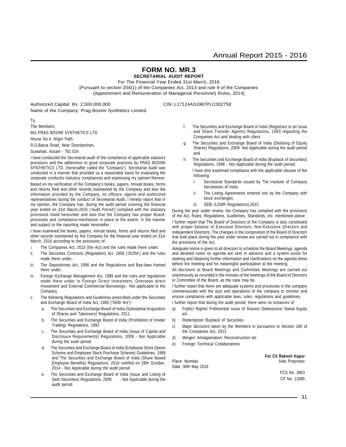# **FORM NO. MR.3**

**SECRETARIAL AUDIT REPORT**

For The Financial Year Ended 31st March, 2016 [Pursuant to section 204(1) of the Companies Act, 2013 and rule 9 of the Companies (Appointment and Remuneration of Managerial Personnel) Rules, 2014]

Authorized Capital: Rs. 2,500,000,000 CIN: L17124AS1987PLC002758 Name of the Company: Prag Bosimi Synthetics Limited

To,

The Members, M/s PRAG BOSIMI SYNTHETICS LTD.

House No.4, Nilgiri Path,

R.G.Barua Road, Near Doordarshan,

Guwahati, Assam - 781 024

I have conducted the Secretarial audit of the compliance of applicable statutory provisions and the adherence to good corporate practices by PRAG BOSIMI SYNTHETICS LTD. (hereinafter called the "Company"). Secretarial Audit was conducted in a manner that provided us a reasonable basis for evaluating the corporate conducts/ statutory compliances and expressing my opinion thereon.

Based on my verification of the Company's books, papers, minute books, forms and returns filed and other records maintained by the Company and also the information provided by the Company, its officers, agents and authorized representatives during the conduct of Secretarial Audit, I hereby report that in my opinion, the Company has, during the audit period covering the financial year ended on 31st March,2016 ('Audit Period') complied with the statutory provisions listed hereunder and also that the Company has proper Boardprocesses and compliance-mechanism in place to the extent, in the manner and subject to the reporting made hereinafter:

I have examined the books, papers, minute books, forms and returns filed and other records maintained by the Company for the financial year ended on 31st March, 2016 according to the provisions of:

- i. The Companies Act, 2013 (the Act) and the rules made there under;
- ii. The Securities Contracts (Regulation) Act, 1956 ('SCRA') and the rules made there under;
- iii. The Depositories Act, 1996 and the Regulations and Bye-laws framed there under;
- iv. Foreign Exchange Management Act, 1999 and the rules and regulations made there under to Foreign Direct Investment, Overseas direct Investment and External Commercial Borrowings.- Not applicable to the Company
- The following Regulations and Guidelines prescribed under the Securities and Exchange Board of India Act, 1992 ('SEBI Act'):
	- a. The Securities and Exchange Board of India (Substantial Acquisition of Shares and Takeovers) Regulations, 2011
	- b. The Securities and Exchange Board of India (Prohibition of Insider Trading) Regulations, 1992
	- c. The Securities and Exchange Board of India (Issue of Capital and Disclosure Requirements) Regulations, 2009 - Not Applicable during the audit period
	- d. The Securities and Exchange Board of India (Employee Stock Option Scheme and Employee Stock Purchase Scheme) Guidelines, 1999 and The Securities and Exchange Board of India (Share Based Employee Benefits) Regulations, 2014 notified on 28th October, 2014 - Not Applicable during the audit period
	- e. The Securities and Exchange Board of India (Issue and Listing of Debt Securities) Regulations, 2008 - Not Applicable during the audit period
- f. The Securities and Exchange Board of India (Registrars to an Issue and Share Transfer Agents) Regulations, 1993 regarding the Companies Act and dealing with client.
- g. The Securities and Exchange Board of India (Delisting of Equity Shares) Regulations, 2009- Not Applicable during the audit period and
- h. The Securities and Exchange Board of India (Buyback of Securities) Regulations, 1998 - Not Applicable during the audit period; I have also examined compliance with the applicable clauses of the following:
	- i. Secretarial Standards issued by The Institute of Company Secretaries of India
	- ii. The Listing Agreements entered into by the Company with stock exchanges.
	- iii. SEBI (LODR Regulations),2015

During the year under review, the Company has complied with the provisions of the Act, Rules, Regulations, Guidelines, Standards, etc. mentioned above

I further report that The Board of Directors of the Company is duly constituted with proper balance of Executive Directors, Non-Executive Directors and Independent Directors. The changes in the composition of the Board of Directors that took place during the year under review are carried out in compliance with the provisions of the Act.

Adequate notice is given to all directors to schedule the Board Meetings, agenda and detailed notes on agenda are sent in advance and a system exists for seeking and obtaining further information and clarifications on the agenda items before the meeting and for meaningful participation at the meeting.

All decisions at Board Meetings and Committee Meetings are carried out unanimously as recorded in the minutes of the meetings of the Board of Directors or Committee of the Board, as the case may be.

I further report that there are adequate systems and processes in the company commensurate with the size and operations of the company to monitor and ensure compliance with applicable laws, rules, regulations and guidelines.

I further report that during the audit period, there were no instances of:

- a) Public/ Rights/ Preferential Issue of Shares/ Debentures/ Sweat Equity etc
- b) Redemption/ Buyback of Securities
- c) Major decisions taken by the Members in pursuance to Section 180 of the Companies Act, 2013
- d) Merger/ Amalgamation/ Reconstruction etc
- e) Foreign Technical Collaborations

Date: 30th May 2016

**For CS Rakesh Kapur** Place: Mumbai Sole Proprietor

> FCS No. 3863 CP No. 12085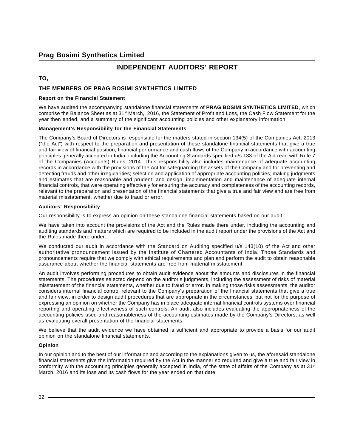# **INDEPENDENT AUDITORS' REPORT**

### **TO,**

### **THE MEMBERS OF PRAG BOSIMI SYNTHETICS LIMITED**

### **Report on the Financial Statement**

We have audited the accompanying standalone financial statements of **PRAG BOSIMI SYNTHETICS LIMITED**, which comprise the Balance Sheet as at 31st March, 2016, the Statement of Profit and Loss, the Cash Flow Statement for the year then ended, and a summary of the significant accounting policies and other explanatory information.

### **Management's Responsibility for the Financial Statements**

The Company's Board of Directors is responsible for the matters stated in section 134(5) of the Companies Act, 2013 ("the Act") with respect to the preparation and presentation of these standalone financial statements that give a true and fair view of financial position, financial performance and cash flows of the Company in accordance with accounting principles generally accepted in India, including the Accounting Standards specified u/s 133 of the Act read with Rule 7 of the Companies (Accounts) Rules, 2014. Thus responsibility also includes maintenance of adequate accounting records in accordance with the provisions of the Act for safeguarding the assets of the Company and for preventing and detecting frauds and other irregularities; selection and application of appropriate accounting policies; making judgments and estimates that are reasonable and prudent; and design, implementation and maintenance of adequate internal financial controls, that were operating effectively for ensuring the accuracy and completeness of the accounting records, relevant to the preparation and presentation of the financial statements that give a true and fair view and are free from material misstatement, whether due to fraud or error.

### **Auditors' Responsibility**

Our responsibility is to express an opinion on these standalone financial statements based on our audit.

We have taken into account the provisions of the Act and the Rules made there under, including the accounting and auditing standards and matters which are required to be included in the audit report under the provisions of the Act and the Rules made there under.

We conducted our audit in accordance with the Standard on Auditing specified u/s 143(10) of the Act and other authoritative pronouncement issued by the Institute of Chartered Accountants of India. Those Standards and pronouncements require that we comply with ethical requirements and plan and perform the audit to obtain reasonable assurance about whether the financial statements are free from material misstatement.

An audit involves performing procedures to obtain audit evidence about the amounts and disclosures in the financial statements. The procedures selected depend on the auditor's judgments, including the assessment of risks of material misstatement of the financial statements, whether due to fraud or error. In making those risks assessments, the auditor considers internal financial control relevant to the Company's preparation of the financial statements that give a true and fair view, in order to design audit procedures that are appropriate in the circumstances, but not for the purpose of expressing an opinion on whether the Company has in place adequate internal financial controls systems over financial reporting and operating effectiveness of such controls. An audit also includes evaluating the appropriateness of the accounting policies used and reasonableness of the accounting estimates made by the Company's Directors, as well as evaluating overall presentation of the financial statements.

We believe that the audit evidence we have obtained is sufficient and appropriate to provide a basis for our audit opinion on the standalone financial statements.

### **Opinion**

In our opinion and to the best of our information and according to the explanations given to us, the aforesaid standalone financial statements give the information required by the Act in the manner so required and give a true and fair view in conformity with the accounting principles generally accepted in India, of the state of affairs of the Company as at  $31<sup>st</sup>$ March, 2016 and its loss and its cash flows for the year ended on that date.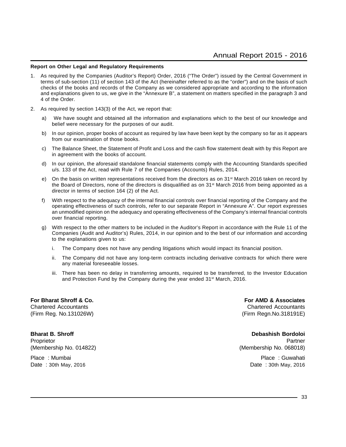#### **Report on Other Legal and Regulatory Requirements**

- 1. As required by the Companies (Auditor's Report) Order, 2016 ("The Order") issued by the Central Government in terms of sub-section (11) of section 143 of the Act (hereinafter referred to as the "order") and on the basis of such checks of the books and records of the Company as we considered appropriate and according to the information and explanations given to us, we give in the "Annexure B", a statement on matters specified in the paragraph 3 and 4 of the Order.
- 2. As required by section 143(3) of the Act, we report that:
	- a) We have sought and obtained all the information and explanations which to the best of our knowledge and belief were necessary for the purposes of our audit.
	- b) In our opinion, proper books of account as required by law have been kept by the company so far as it appears from our examination of those books.
	- c) The Balance Sheet, the Statement of Profit and Loss and the cash flow statement dealt with by this Report are in agreement with the books of account.
	- d) In our opinion, the aforesaid standalone financial statements comply with the Accounting Standards specified u/s. 133 of the Act, read with Rule 7 of the Companies (Accounts) Rules, 2014.
	- e) On the basis on written representations received from the directors as on  $31<sup>st</sup>$  March 2016 taken on record by the Board of Directors, none of the directors is disqualified as on 31st March 2016 from being appointed as a director in terms of section 164 (2) of the Act.
	- f) With respect to the adequacy of the internal financial controls over financial reporting of the Company and the operating effectiveness of such controls, refer to our separate Report in "Annexure A". Our report expresses an unmodified opinion on the adequacy and operating effectiveness of the Company's internal financial controls over financial reporting.
	- g) With respect to the other matters to be included in the Auditor's Report in accordance with the Rule 11 of the Companies (Audit and Auditor's) Rules, 2014, in our opinion and to the best of our information and according to the explanations given to us:
		- i. The Company does not have any pending litigations which would impact its financial position.
		- ii. The Company did not have any long-term contracts including derivative contracts for which there were any material foreseeable losses.
		- iii. There has been no delay in transferring amounts, required to be transferred, to the Investor Education and Protection Fund by the Company during the year ended 31<sup>st</sup> March, 2016.

**For Bharat Shroff & Co. For AMD & Associates**

Chartered Accountants Chartered Accountants (Firm Reg. No.131026W) (Firm Regn.No.318191E)

Proprietor Partner (Proprietor Partner Partner (Proprietor Partner Partner Partner Partner Partner Partner Par (Membership No. 014822) (Membership No. 068018) Place : Mumbai Place : Guwahati

**Bharat B. Shroff Debashish Bordoloi** Date : 30th May, 2016 Date : 30th May, 2016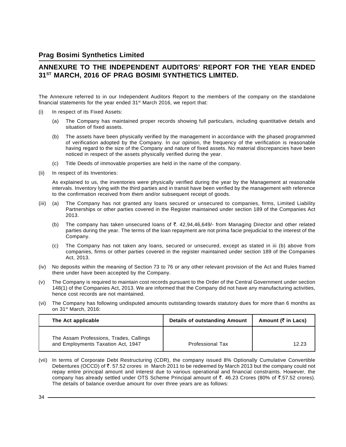# **ANNEXURE TO THE INDEPENDENT AUDITORS' REPORT FOR THE YEAR ENDED 31ST MARCH, 2016 OF PRAG BOSIMI SYNTHETICS LIMITED.**

The Annexure referred to in our Independent Auditors Report to the members of the company on the standalone financial statements for the year ended 31<sup>st</sup> March 2016, we report that:

- (i) In respect of its Fixed Assets:
	- (a) The Company has maintained proper records showing full particulars, including quantitative details and situation of fixed assets.
	- (b) The assets have been physically verified by the management in accordance with the phased programmed of verification adopted by the Company. In our opinion, the frequency of the verification is reasonable having regard to the size of the Company and nature of fixed assets. No material discrepancies have been noticed in respect of the assets physically verified during the year.
	- (c) Title Deeds of immovable properties are held in the name of the company.
- (ii) In respect of its Inventories:

As explained to us, the inventories were physically verified during the year by the Management at reasonable intervals. Inventory lying with the third parties and in transit have been verified by the management with reference to the confirmation received from them and/or subsequent receipt of goods.

- (iii) (a) The Company has not granted any loans secured or unsecured to companies, firms, Limited Liability Partnerships or other parties covered in the Register maintained under section 189 of the Companies Act 2013.
	- (b) The company has taken unsecured loans of  $\bar{\tau}$ . 42,94,46,649/- from Managing Director and other related parties during the year. The terms of the loan repayment are not prima facie prejudicial to the interest of the Company.
	- (c) The Company has not taken any loans, secured or unsecured, except as stated in iii (b) above from companies, firms or other parties covered in the register maintained under section 189 of the Companies Act, 2013.
- (iv) No deposits within the meaning of Section 73 to 76 or any other relevant provision of the Act and Rules framed there under have been accepted by the Company.
- (v) The Company is required to maintain cost records pursuant to the Order of the Central Government under section 148(1) of the Companies Act, 2013. We are informed that the Company did not have any manufacturing activities, hence cost records are not maintained.
- (vi) The Company has following undisputed amounts outstanding towards statutory dues for more than 6 months as on 31st March, 2016:

| The Act applicable                                                            | <b>Details of outstanding Amount</b> | Amount ( $\bar{\tau}$ in Lacs) |
|-------------------------------------------------------------------------------|--------------------------------------|--------------------------------|
| The Assam Professions, Trades, Callings<br>and Employments Taxation Act, 1947 | <b>Professional Tax</b>              | 12.23                          |

(vii) In terms of Corporate Debt Restructuring (CDR), the company issued 8% Optionally Cumulative Convertible Debentures (OCCD) of ₹. 57.52 crores in March 2011 to be redeemed by March 2013 but the company could not repay entire principal amount and interest due to various operational and financial constraints. However, the company has already settled under OTS Scheme Principal amount of ₹. 46.23 Crores (80% of ₹.57.52 crores). The details of balance overdue amount for over three years are as follows: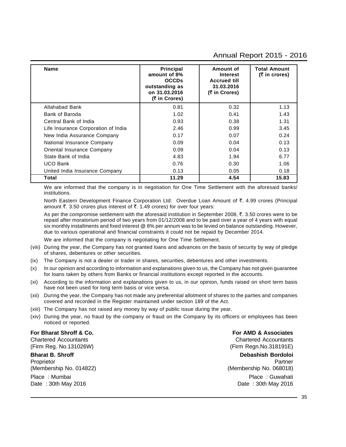### Annual Report 2015 - 2016

| <b>Name</b>                         | Principal<br>amount of 8%<br><b>OCCDs</b><br>outstanding as<br>on 31.03.2016<br>(₹ in Crores) | Amount of<br><b>Interest</b><br><b>Accrued till</b><br>31.03.2016<br>(₹ in Crores) | <b>Total Amount</b><br>(₹ in crores) |
|-------------------------------------|-----------------------------------------------------------------------------------------------|------------------------------------------------------------------------------------|--------------------------------------|
| Allahabad Bank                      | 0.81                                                                                          | 0.32                                                                               | 1.13                                 |
| Bank of Baroda                      | 1.02                                                                                          | 0.41                                                                               | 1.43                                 |
| Central Bank of India               | 0.93                                                                                          | 0.38                                                                               | 1.31                                 |
| Life Insurance Corporation of India | 2.46                                                                                          | 0.99                                                                               | 3.45                                 |
| New India Assurance Company         | 0.17                                                                                          | 0.07                                                                               | 0.24                                 |
| National Insurance Company          | 0.09                                                                                          | 0.04                                                                               | 0.13                                 |
| Oriental Insurance Company          | 0.09                                                                                          | 0.04                                                                               | 0.13                                 |
| State Bank of India                 | 4.83                                                                                          | 1.94                                                                               | 6.77                                 |
| <b>UCO Bank</b>                     | 0.76                                                                                          | 0.30                                                                               | 1.06                                 |
| United India Insurance Company      | 0.13                                                                                          | 0.05                                                                               | 0.18                                 |
| Total                               | 11.29                                                                                         | 4.54                                                                               | 15.83                                |

We are informed that the company is in negotiation for One Time Settlement with the aforesaid banks/ institutions.

North Eastern Development Finance Corporation Ltd: Overdue Loan Amount of ₹. 4.99 crores (Principal amount  $\bar{\tau}$ . 3.50 crores plus interest of  $\bar{\tau}$ . 1.49 crores) for over four years:

As per the compromise settlement with the aforesaid institution in September 2008,  $\bar{\tau}$ . 3.50 crores were to be repaid after moratorium period of two years from 01/12/2008 and to be paid over a year of 4 years with equal six monthly installments and fixed interest @ 8% per annum was to be levied on balance outstanding. However, due to various operational and financial constraints it could not be repaid by December 2014.

We are informed that the company is negotiating for One Time Settlement.

- (viii) During the year, the Company has not granted loans and advances on the basis of security by way of pledge of shares, debentures or other securities.
- (ix) The Company is not a dealer or trader in shares, securities, debentures and other investments.
- (x) In our opinion and according to information and explanations given to us, the Company has not given guarantee for loans taken by others from Banks or financial institutions except reported in the accounts.
- (xi) According to the information and explanations given to us, in our opinion, funds raised on short term basis have not been used for long term basis or vice versa.
- (xii) During the year, the Company has not made any preferential allotment of shares to the parties and companies covered and recorded in the Register maintained under section 189 of the Act.
- (xiii) The Company has not raised any money by way of public issue during the year.
- (xiv) During the year, no fraud by the company or fraud on the Company by its officers or employees has been noticed or reported.

### **For Bharat Shroff & Co. For AMD & Associates**

(Firm Reg. No.131026W) (Firm Regn.No.318191E)

**Bharat B. Shroff Debashish Bordoloi** Proprietor Partner (Proprietor Partner Partner (Proprietor Partner Partner Partner Partner Partner Partner Par (Membership No. 014822) (Membership No. 068018) Place : Mumbai Place : Guwahati

Chartered Accountants Chartered Accountants

Date : 30th May 2016 **Date : 30th May 2016**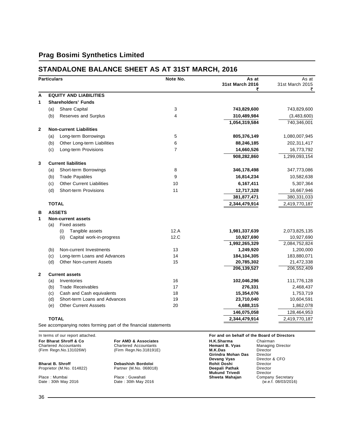#### **STANDALONE BALANCE SHEET AS AT 31ST MARCH, 2016**

|              | <b>Particulars</b> |                                  | Note No. | As at<br><b>31st March 2016</b><br>₹ | As at<br>31st March 2015<br>₹ |
|--------------|--------------------|----------------------------------|----------|--------------------------------------|-------------------------------|
| A            |                    | <b>EQUITY AND LIABILITIES</b>    |          |                                      |                               |
| 1            |                    | <b>Shareholders' Funds</b>       |          |                                      |                               |
|              | (a)                | Share Capital                    | 3        | 743,829,600                          | 743,829,600                   |
|              | (b)                | Reserves and Surplus             | 4        | 310,489,984                          | (3,483,600)                   |
|              |                    |                                  |          | 1,054,319,584                        | 740,346,001                   |
| $\mathbf{2}$ |                    | <b>Non-current Liabilities</b>   |          |                                      |                               |
|              | (a)                | Long-term Borrowings             | 5        | 805,376,149                          | 1,080,007,945                 |
|              | (b)                | Other Long-term Liabilities      | 6        | 88,246,185                           | 202,311,417                   |
|              | (c)                | Long-term Provisions             | 7        | 14,660,526                           | 16,773,792                    |
|              |                    |                                  |          | 908,282,860                          | 1,299,093,154                 |
| 3            |                    | <b>Current liabilities</b>       |          |                                      |                               |
|              | (a)                | Short-term Borrowings            | 8        | 346,178,498                          | 347,773,086                   |
|              | (b)                | <b>Trade Payables</b>            | 9        | 16,814,234                           | 10,582,638                    |
|              | (c)                | <b>Other Current Liabilities</b> | 10       | 6,167,411                            | 5,307,364                     |
|              | (d)                | Short-term Provisions            | 11       | 12,717,328                           | 16,667,946                    |
|              |                    |                                  |          | 381,877,471                          | 380,331,033                   |
|              | <b>TOTAL</b>       |                                  |          | 2,344,479,914                        | 2,419,770,187                 |
| в            |                    | <b>ASSETS</b>                    |          |                                      |                               |
| 1            |                    | <b>Non-current assets</b>        |          |                                      |                               |
|              | (a)                | <b>Fixed assets</b>              |          |                                      |                               |
|              |                    | (i)<br>Tangible assets           | 12.A     | 1,981,337,639                        | 2,073,825,135                 |
|              |                    | (ii)<br>Capital work-in-progress | 12.C     | 10,927,690                           | 10,927,690                    |
|              |                    |                                  |          | 1,992,265,329                        | 2,084,752,824                 |
|              | (b)                | Non-current Investments          | 13       | 1,249,920                            | 1,200,000                     |
|              | (c)                | Long-term Loans and Advances     | 14       | 184,104,305                          | 183,880,071                   |
|              | (d)                | <b>Other Non-current Assets</b>  | 15       | 20,785,302                           | 21,472,338                    |
|              |                    |                                  |          | 206, 139, 527                        | 206,552,409                   |
| $\mathbf{2}$ |                    | <b>Current assets</b>            |          |                                      |                               |
|              | (a)                | Inventories                      | 16       | 102,046,296                          | 111,776,128                   |
|              | (b)                | <b>Trade Receivables</b>         | 17       | 276,331                              | 2,468,437                     |
|              | (c)                | Cash and Cash equivalents        | 18       | 15,354,076                           | 1,753,719                     |
|              | (d)                | Short-term Loans and Advances    | 19       | 23,710,040                           | 10,604,591                    |
|              | (e)                | <b>Other Current Asssets</b>     | 20       | 4,688,315                            | 1,862,078                     |
|              |                    |                                  |          | 146,075,058                          | 128,464,953                   |
|              | <b>TOTAL</b>       |                                  |          | 2,344,479,914                        | 2,419,770,187                 |

See accompanying notes forming part of the financial statements

| In terms of our report attached. |                              | For and on behalf of the Board of Directors |                          |  |
|----------------------------------|------------------------------|---------------------------------------------|--------------------------|--|
| For Bharat Shroff & Co.          | For AMD & Associates         | H.K.Sharma                                  | Chairman                 |  |
| <b>Chartered Accountants</b>     | <b>Chartered Accountants</b> | Hemant B. Vyas                              | <b>Managing Director</b> |  |
| (Firm Regn.No.131026W)           | (Firm Regn.No.318191E)       | M.K.Das                                     | Director                 |  |
|                                  |                              | Girindra Mohan Das                          | Director                 |  |
|                                  |                              | Devang Vyas                                 | Director & CFO           |  |
| <b>Bharat B. Shroff</b>          | Debashish Bordoloi           | Rohit Doshi                                 | Director                 |  |
| Proprietor (M.No. 014822)        | Partner (M.No. 068018)       | Deepali Pathak                              | Director                 |  |
|                                  |                              | <b>Mukund Trivedi</b>                       | Director                 |  |
| Place: Mumbai                    | Place: Guwahati              | Shweta Mahajan                              | Company Secretary        |  |
| Date: 30th May 2016              | Date: 30th May 2016          |                                             | (w.e.f. 08/03/2016)      |  |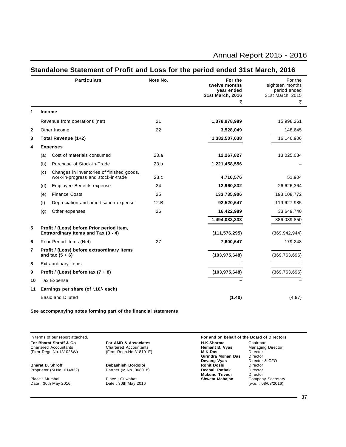|              |     | <b>Particulars</b>                                                               | Note No. | For the<br>twelve months<br>year ended<br>31st March, 2016<br>₹ | For the<br>eighteen months<br>period ended<br>31st March, 2015<br>₹ |
|--------------|-----|----------------------------------------------------------------------------------|----------|-----------------------------------------------------------------|---------------------------------------------------------------------|
| 1            |     | <b>Income</b>                                                                    |          |                                                                 |                                                                     |
|              |     | Revenue from operations (net)                                                    | 21       | 1,378,978,989                                                   | 15,998,261                                                          |
| $\mathbf{2}$ |     | Other Income                                                                     | 22       | 3,528,049                                                       | 148,645                                                             |
| 3            |     | Total Revenue (1+2)                                                              |          | 1,382,507,038                                                   | 16,146,906                                                          |
| 4            |     | <b>Expenses</b>                                                                  |          |                                                                 |                                                                     |
|              | (a) | Cost of materials consumed                                                       | 23.a     | 12,267,827                                                      | 13,025,084                                                          |
|              | (b) | Purchase of Stock-in-Trade                                                       | 23.b     | 1,221,458,556                                                   |                                                                     |
|              | (c) | Changes in inventories of finished goods,<br>work-in-progress and stock-in-trade | 23.c     | 4,716,576                                                       | 51,904                                                              |
|              | (d) | <b>Employee Benefits expense</b>                                                 | 24       | 12,960,832                                                      | 26,626,364                                                          |
|              | (e) | <b>Finance Costs</b>                                                             | 25       | 133,735,906                                                     | 193,108,772                                                         |
|              | (f) | Depreciation and amortisation expense                                            | 12.B     | 92,520,647                                                      | 119,627,985                                                         |
|              | (g) | Other expenses                                                                   | 26       | 16,422,989                                                      | 33,649,740                                                          |
|              |     |                                                                                  |          | 1,494,083,333                                                   | 386,089,850                                                         |
| 5            |     | Profit / (Loss) before Prior period Item,<br>Extraordinary Items and Tax (3 - 4) |          | (111, 576, 295)                                                 | (369, 942, 944)                                                     |
| 6            |     | Prior Period Items (Net)                                                         | 27       | 7,600,647                                                       | 179,248                                                             |
| 7            |     | Profit / (Loss) before extraordinary items<br>and tax $(5 + 6)$                  |          | (103, 975, 648)                                                 | (369, 763, 696)                                                     |
| 8            |     | <b>Extraordinary items</b>                                                       |          |                                                                 |                                                                     |
| 9            |     | Profit / (Loss) before tax $(7 + 8)$                                             |          | (103, 975, 648)                                                 | (369, 763, 696)                                                     |
| 10           |     | Tax Expense                                                                      |          |                                                                 |                                                                     |
| 11           |     | Earnings per share (of '.10/- each)                                              |          |                                                                 |                                                                     |
|              |     | <b>Basic and Diluted</b>                                                         |          | (1.40)                                                          | (4.97)                                                              |
|              |     |                                                                                  |          |                                                                 |                                                                     |

#### **Standalone Statement of Profit and Loss for the period ended 31st March, 2016**

**See accompanying notes forming part of the financial statements**

In terms of our report attached. **For and on behalf of the Board of Directors For Bharat Shroff & Co For AMD & Associates H.K.Sharma** Chairman Chairman<br>
Chartered Accountants Chartered Accountants **Hemant B. Vyas** Managing Director Chartered Accountants Chartered Accountants **Hemant B. Vyas** Managing Director (Firm Regn.No.131026W) (Firm Regn.No.318191E) **M.K.Das** Director **M.K.Das**<br> **Girindra Mohan Das**<br>
Director<br> **Director & CFO**<br> **Director & CFO Devang Vyas** Director<br> **Rohit Doshi** Director **Bharat B. Shroff Debashish Bordoloi Rohit Doshi** Director Proprietor (M.No. 014822)<br>
Partner (M.No. 068018) **Deepali Pathak Director**<br>
Mukund Trivedi Director **Mukund Trivedi** Director<br> **Shweta Mahajan** Company Secretary<br>
(w.e.f. 08/03/2016) Place : Mumbai Place : Guwahati **Shweta Mahajan** Company Secretary Date : 30th May 2016 Date : 30th May 2016 (w.e.f. 08/03/2016)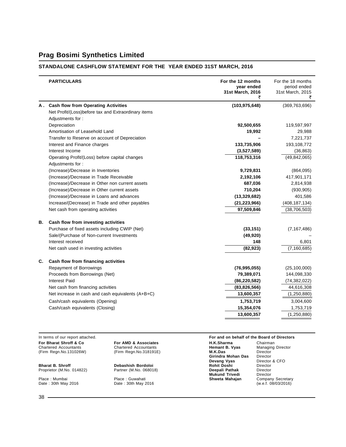#### **STANDALONE CASHFLOW STATEMENT FOR THE YEAR ENDED 31ST MARCH, 2016**

|    | <b>PARTICULARS</b>                                                 | For the 12 months<br>year ended<br>31st March, 2016 | For the 18 months<br>period ended<br>31st March, 2015 |
|----|--------------------------------------------------------------------|-----------------------------------------------------|-------------------------------------------------------|
|    | A. Cash flow from Operating Activities                             | (103, 975, 648)                                     | (369, 763, 696)                                       |
|    | Net Profit/(Loss)before tax and Extraordinary items                |                                                     |                                                       |
|    | Adjustments for:                                                   |                                                     |                                                       |
|    | Depreciation                                                       | 92,500,655                                          | 119,597,997                                           |
|    | Amortisation of Leasehold Land                                     | 19,992                                              | 29,988                                                |
|    | Transfer to Reserve on account of Depreciation                     |                                                     | 7,221,737                                             |
|    | Interest and Finance charges                                       | 133,735,906                                         | 193,108,772                                           |
|    | Interest Income                                                    | (3,527,589)                                         | (36, 863)                                             |
|    | Operating Profit/(Loss) before capital changes<br>Adjustments for: | 118,753,316                                         | (49, 842, 065)                                        |
|    | (Increase)/Decrease in Inventories                                 | 9,729,831                                           | (864,095)                                             |
|    | (Increase)/Decrease in Trade Receivable                            | 2,192,106                                           | 417,901,171                                           |
|    | (Increase)/Decrease in Other non current assets                    | 687,036                                             | 2,814,938                                             |
|    | (Increase)/Decrease in Other current assets                        | 710,204                                             | (930, 905)                                            |
|    | (Increase)/Decrease in Loans and advances                          | (13, 329, 682)                                      | 401,586                                               |
|    | Increase/(Decrease) in Trade and other payables                    | (21, 223, 966)                                      | (408, 187, 134)                                       |
|    | Net cash from operating activities                                 | 97,509,846                                          | (38, 706, 503)                                        |
| В. | Cash flow from investing activities                                |                                                     |                                                       |
|    | Purchase of fixed assets including CWIP (Net)                      | (33, 151)                                           | (7, 167, 486)                                         |
|    | Sale/(Purchase of Non-current Investments                          | (49, 920)                                           |                                                       |
|    | Interest received                                                  | 148                                                 | 6,801                                                 |
|    | Net cash used in investing activities                              | (82, 923)                                           | (7, 160, 685)                                         |
| C. | Cash flow from financing activities                                |                                                     |                                                       |
|    | Repayment of Borrowings                                            | (76, 995, 055)                                      | (25, 100, 000)                                        |
|    | Proceeds from Borrowings (Net)                                     | 79,389,071                                          | 144,098,330                                           |
|    | Interest Paid                                                      | (86, 220, 582)                                      | (74, 382, 022)                                        |
|    | Net cash from financing activities                                 | (83,826,566)                                        | 44,616,308                                            |
|    | Net increase in cash and cash equivalents (A+B+C)                  | 13,600,357                                          | (1,250,880)                                           |
|    | Cash/cash equivalents (Opening)                                    | 1,753,719                                           | 3,004,600                                             |
|    | Cash/cash equivalents (Closing)                                    | 15,354,076                                          | 1,753,719                                             |
|    |                                                                    | 13,600,357                                          | (1,250,880)                                           |
|    |                                                                    |                                                     |                                                       |

**For Bharat Shroff & Co For AMD & Associates H.K.Sharma** Chairman **Chairman**<br>Chartered Accountants Chartered Accountants **Hemant B. Vyas** Managing Director (Firm Regn.No.131026W) (Firm Regn.No.318191E) **M.K.Das** Direct

**Bharat B. Shroff Debashish Bordoloi Rohit Doshi** Director Proprietor (M.No. 014822) Partner (M.No. 068018) **Deepali Pathak** Director

# **Chartered Accountants (Firm Regn. No. 318191E)**

Place : Mumbai Place : Guwahati **Shweta Mahajan** Company Secretary Date : 30th May 2016 Date : 30th May 2016 (w.e.f. 08/03/2016)

In terms of our report attached. **For and on behalf of the Board of Directors**

(Firm Regn.No.131026W) (Firm Regn.No.318191E) **M.K.Das** Director **M.K.Das**<br>**Girindra Mohan Das**<br>**Devang Vyas**<br>Rohit Doshi

**Director & CFO**<br>Director<br>Director **Mukund Trivedi** Director<br> **Shweta Mahajan** Company Secretary<br>
(w.e.f. 08/03/2016)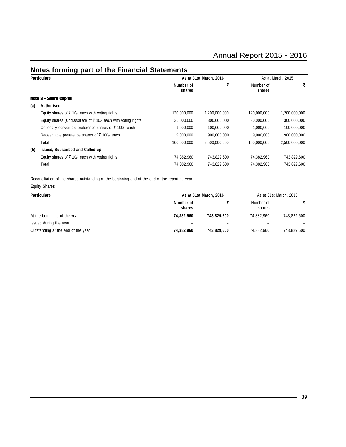### **Notes forming part of the Financial Statements**

|     | <b>Particulars</b>                                               |                     | As at 31st March, 2016 | As at March, 2015   |               |  |
|-----|------------------------------------------------------------------|---------------------|------------------------|---------------------|---------------|--|
|     |                                                                  | Number of<br>shares |                        | Number of<br>shares | ₹             |  |
|     | <b>Note 3 - Share Capital</b>                                    |                     |                        |                     |               |  |
| (a) | Authorised                                                       |                     |                        |                     |               |  |
|     | Equity shares of ₹ 10/- each with voting rights                  | 120,000,000         | 1,200,000,000          | 120,000,000         | 1,200,000,000 |  |
|     | Equity shares (Unclassified) of ₹ 10/- each with voting rights   | 30,000,000          | 300,000,000            | 30,000,000          | 300,000,000   |  |
|     | Optionally convertible preference shares of $\bar{z}$ 100/- each | 1,000,000           | 100,000,000            | 1,000,000           | 100,000,000   |  |
|     | Redeemable preference shares of $\bar{\tau}$ 100/- each          | 9,000,000           | 900,000,000            | 9,000,000           | 900,000,000   |  |
|     | Total                                                            | 160,000,000         | 2,500,000,000          | 160.000.000         | 2,500,000,000 |  |
| (b) | Issued, Subscribed and Called up                                 |                     |                        |                     |               |  |
|     | Equity shares of ₹ 10/- each with voting rights                  | 74,382,960          | 743,829,600            | 74,382,960          | 743,829,600   |  |
|     | Total                                                            | 74,382,960          | 743,829,600            | 74,382,960          | 743,829,600   |  |

Reconciliation of the shares outstanding at the beginning and at the end of the reporting year

Equity Shares

| <b>Particulars</b>                 |                     | As at 31st March, 2016   |                     |             |
|------------------------------------|---------------------|--------------------------|---------------------|-------------|
|                                    | Number of<br>shares |                          | Number of<br>shares |             |
| At the beginning of the year       | 74.382.960          | 743.829.600              | 74.382.960          | 743.829.600 |
| Issued during the year             |                     | $\overline{\phantom{0}}$ | -                   |             |
| Outstanding at the end of the year | 74,382,960          | 743,829,600              | 74,382,960          | 743,829,600 |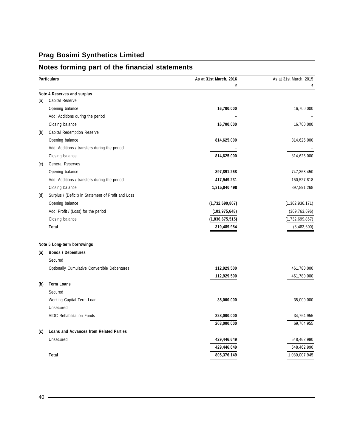### **Notes forming part of the financial statements**

| Note 4 Reserves and surplus<br>Capital Reserve<br>(a)<br>16,700,000<br>16,700,000<br>Opening balance<br>Add: Additions during the period<br>Closing balance<br>16,700,000<br>16,700,000<br>Capital Redemption Reserve<br>(b)<br>Opening balance<br>814,625,000<br>814,625,000<br>Add: Additions / transfers during the period<br>Closing balance<br>814,625,000<br>814,625,000<br><b>General Reserves</b><br>(c)<br>Opening balance<br>897,891,268<br>Add: Additions / transfers during the period<br>417,949,231<br>1,315,840,498<br>Closing balance<br>Surplus / (Deficit) in Statement of Profit and Loss<br>(d)<br>Opening balance<br>(1,732,699,867)<br>(1,362,936,171)<br>Add: Profit / (Loss) for the period<br>(103, 975, 648)<br>(369, 763, 696)<br>Closing balance<br>(1,836,675,515)<br>(1,732,699,867)<br>Total<br>310,489,984<br>(3,483,600)<br>Note 5 Long-term borrowings<br><b>Bonds / Debentures</b><br>(a)<br>Secured<br>Optionally Cumulative Convertible Debentures<br>461,780,000<br>112,929,500<br>112,929,500<br>461,780,000<br><b>Term Loans</b><br>(b)<br>Secured<br>Working Capital Term Loan<br>35,000,000<br>35,000,000<br>Unsecured<br><b>AIDC Rehabilitation Funds</b><br>228,000,000<br>263,000,000<br><b>Loans and Advances from Related Parties</b><br>(c)<br>Unsecured<br>429,446,649<br>548,462,990<br>429,446,649<br>805,376,149<br>1,080,007,945<br>Total | <b>Particulars</b> | As at 31st March, 2016<br>₹ | As at 31st March, 2015<br>₹ |
|------------------------------------------------------------------------------------------------------------------------------------------------------------------------------------------------------------------------------------------------------------------------------------------------------------------------------------------------------------------------------------------------------------------------------------------------------------------------------------------------------------------------------------------------------------------------------------------------------------------------------------------------------------------------------------------------------------------------------------------------------------------------------------------------------------------------------------------------------------------------------------------------------------------------------------------------------------------------------------------------------------------------------------------------------------------------------------------------------------------------------------------------------------------------------------------------------------------------------------------------------------------------------------------------------------------------------------------------------------------------------------------------|--------------------|-----------------------------|-----------------------------|
|                                                                                                                                                                                                                                                                                                                                                                                                                                                                                                                                                                                                                                                                                                                                                                                                                                                                                                                                                                                                                                                                                                                                                                                                                                                                                                                                                                                                |                    |                             |                             |
|                                                                                                                                                                                                                                                                                                                                                                                                                                                                                                                                                                                                                                                                                                                                                                                                                                                                                                                                                                                                                                                                                                                                                                                                                                                                                                                                                                                                |                    |                             |                             |
|                                                                                                                                                                                                                                                                                                                                                                                                                                                                                                                                                                                                                                                                                                                                                                                                                                                                                                                                                                                                                                                                                                                                                                                                                                                                                                                                                                                                |                    |                             |                             |
|                                                                                                                                                                                                                                                                                                                                                                                                                                                                                                                                                                                                                                                                                                                                                                                                                                                                                                                                                                                                                                                                                                                                                                                                                                                                                                                                                                                                |                    |                             |                             |
|                                                                                                                                                                                                                                                                                                                                                                                                                                                                                                                                                                                                                                                                                                                                                                                                                                                                                                                                                                                                                                                                                                                                                                                                                                                                                                                                                                                                |                    |                             |                             |
|                                                                                                                                                                                                                                                                                                                                                                                                                                                                                                                                                                                                                                                                                                                                                                                                                                                                                                                                                                                                                                                                                                                                                                                                                                                                                                                                                                                                |                    |                             |                             |
|                                                                                                                                                                                                                                                                                                                                                                                                                                                                                                                                                                                                                                                                                                                                                                                                                                                                                                                                                                                                                                                                                                                                                                                                                                                                                                                                                                                                |                    |                             |                             |
|                                                                                                                                                                                                                                                                                                                                                                                                                                                                                                                                                                                                                                                                                                                                                                                                                                                                                                                                                                                                                                                                                                                                                                                                                                                                                                                                                                                                |                    |                             |                             |
|                                                                                                                                                                                                                                                                                                                                                                                                                                                                                                                                                                                                                                                                                                                                                                                                                                                                                                                                                                                                                                                                                                                                                                                                                                                                                                                                                                                                |                    |                             |                             |
|                                                                                                                                                                                                                                                                                                                                                                                                                                                                                                                                                                                                                                                                                                                                                                                                                                                                                                                                                                                                                                                                                                                                                                                                                                                                                                                                                                                                |                    |                             |                             |
|                                                                                                                                                                                                                                                                                                                                                                                                                                                                                                                                                                                                                                                                                                                                                                                                                                                                                                                                                                                                                                                                                                                                                                                                                                                                                                                                                                                                |                    |                             | 747,363,450                 |
|                                                                                                                                                                                                                                                                                                                                                                                                                                                                                                                                                                                                                                                                                                                                                                                                                                                                                                                                                                                                                                                                                                                                                                                                                                                                                                                                                                                                |                    |                             | 150,527,818                 |
|                                                                                                                                                                                                                                                                                                                                                                                                                                                                                                                                                                                                                                                                                                                                                                                                                                                                                                                                                                                                                                                                                                                                                                                                                                                                                                                                                                                                |                    |                             | 897,891,268                 |
|                                                                                                                                                                                                                                                                                                                                                                                                                                                                                                                                                                                                                                                                                                                                                                                                                                                                                                                                                                                                                                                                                                                                                                                                                                                                                                                                                                                                |                    |                             |                             |
|                                                                                                                                                                                                                                                                                                                                                                                                                                                                                                                                                                                                                                                                                                                                                                                                                                                                                                                                                                                                                                                                                                                                                                                                                                                                                                                                                                                                |                    |                             |                             |
|                                                                                                                                                                                                                                                                                                                                                                                                                                                                                                                                                                                                                                                                                                                                                                                                                                                                                                                                                                                                                                                                                                                                                                                                                                                                                                                                                                                                |                    |                             |                             |
|                                                                                                                                                                                                                                                                                                                                                                                                                                                                                                                                                                                                                                                                                                                                                                                                                                                                                                                                                                                                                                                                                                                                                                                                                                                                                                                                                                                                |                    |                             |                             |
|                                                                                                                                                                                                                                                                                                                                                                                                                                                                                                                                                                                                                                                                                                                                                                                                                                                                                                                                                                                                                                                                                                                                                                                                                                                                                                                                                                                                |                    |                             |                             |
|                                                                                                                                                                                                                                                                                                                                                                                                                                                                                                                                                                                                                                                                                                                                                                                                                                                                                                                                                                                                                                                                                                                                                                                                                                                                                                                                                                                                |                    |                             |                             |
|                                                                                                                                                                                                                                                                                                                                                                                                                                                                                                                                                                                                                                                                                                                                                                                                                                                                                                                                                                                                                                                                                                                                                                                                                                                                                                                                                                                                |                    |                             |                             |
|                                                                                                                                                                                                                                                                                                                                                                                                                                                                                                                                                                                                                                                                                                                                                                                                                                                                                                                                                                                                                                                                                                                                                                                                                                                                                                                                                                                                |                    |                             |                             |
|                                                                                                                                                                                                                                                                                                                                                                                                                                                                                                                                                                                                                                                                                                                                                                                                                                                                                                                                                                                                                                                                                                                                                                                                                                                                                                                                                                                                |                    |                             |                             |
|                                                                                                                                                                                                                                                                                                                                                                                                                                                                                                                                                                                                                                                                                                                                                                                                                                                                                                                                                                                                                                                                                                                                                                                                                                                                                                                                                                                                |                    |                             |                             |
|                                                                                                                                                                                                                                                                                                                                                                                                                                                                                                                                                                                                                                                                                                                                                                                                                                                                                                                                                                                                                                                                                                                                                                                                                                                                                                                                                                                                |                    |                             |                             |
|                                                                                                                                                                                                                                                                                                                                                                                                                                                                                                                                                                                                                                                                                                                                                                                                                                                                                                                                                                                                                                                                                                                                                                                                                                                                                                                                                                                                |                    |                             |                             |
|                                                                                                                                                                                                                                                                                                                                                                                                                                                                                                                                                                                                                                                                                                                                                                                                                                                                                                                                                                                                                                                                                                                                                                                                                                                                                                                                                                                                |                    |                             |                             |
|                                                                                                                                                                                                                                                                                                                                                                                                                                                                                                                                                                                                                                                                                                                                                                                                                                                                                                                                                                                                                                                                                                                                                                                                                                                                                                                                                                                                |                    |                             |                             |
|                                                                                                                                                                                                                                                                                                                                                                                                                                                                                                                                                                                                                                                                                                                                                                                                                                                                                                                                                                                                                                                                                                                                                                                                                                                                                                                                                                                                |                    |                             | 34,764,955                  |
|                                                                                                                                                                                                                                                                                                                                                                                                                                                                                                                                                                                                                                                                                                                                                                                                                                                                                                                                                                                                                                                                                                                                                                                                                                                                                                                                                                                                |                    |                             | 69,764,955                  |
|                                                                                                                                                                                                                                                                                                                                                                                                                                                                                                                                                                                                                                                                                                                                                                                                                                                                                                                                                                                                                                                                                                                                                                                                                                                                                                                                                                                                |                    |                             |                             |
|                                                                                                                                                                                                                                                                                                                                                                                                                                                                                                                                                                                                                                                                                                                                                                                                                                                                                                                                                                                                                                                                                                                                                                                                                                                                                                                                                                                                |                    |                             |                             |
|                                                                                                                                                                                                                                                                                                                                                                                                                                                                                                                                                                                                                                                                                                                                                                                                                                                                                                                                                                                                                                                                                                                                                                                                                                                                                                                                                                                                |                    |                             | 548,462,990                 |
|                                                                                                                                                                                                                                                                                                                                                                                                                                                                                                                                                                                                                                                                                                                                                                                                                                                                                                                                                                                                                                                                                                                                                                                                                                                                                                                                                                                                |                    |                             |                             |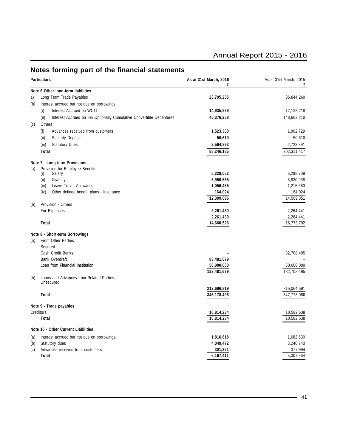|     | <b>Particulars</b>                                                          | As at 31st March, 2016<br>₹ | As at 31st March, 2015<br>₹ |
|-----|-----------------------------------------------------------------------------|-----------------------------|-----------------------------|
|     | Note 6 Other long-term liabilities                                          |                             |                             |
| a)  | Long Term Trade Payables                                                    | 23,795,235                  | 36,844,260                  |
| (b) | Interest accrued but not due on borrowings                                  |                             |                             |
|     | Interest Accrued on WCTL<br>(i)                                             | 14,935,889                  | 12,128,218                  |
|     | (ii)<br>Interest Accrued on 8% Optionally Cumulative Convertible Debentures | 45,376,258                  | 148,662,210                 |
| (c) | Others                                                                      |                             |                             |
|     | (i)<br>Advances received from customers                                     | 1,523,300                   | 1,902,729                   |
|     | (ii)<br><b>Security Deposits</b>                                            | 50,610                      | 50,610                      |
|     | <b>Statutory Dues</b><br>(iii)                                              | 2,564,893                   | 2,723,391                   |
|     | Total                                                                       | 88,246,185                  | 202,311,417                 |
|     |                                                                             |                             |                             |
|     | Note 7 - Long-term Provisions                                               |                             |                             |
| (a) | Provision for Employee Benefits<br>(i)<br>Salary                            | 5,228,052                   | 6,298,709                   |
|     | (ii)<br>Gratuity                                                            | 5,950,565                   | 6,830,938                   |
|     | Leave Travel Allowance<br>(iii)                                             | 1,056,455                   | 1,215,680                   |
|     | (iv)<br>Other defined benefit plans - Insurance                             | 164,024                     | 164,024                     |
|     |                                                                             | 12,399,096                  | 14,509,351                  |
| (b) | Provision - Others                                                          |                             |                             |
|     | For Expenses                                                                | 2,261,430                   | 2,264,441                   |
|     |                                                                             | 2,261,430                   | 2,264,441                   |
|     | Total                                                                       | 14,660,526                  | 16,773,792                  |
|     | Note 8 - Short-term Borrowings                                              |                             |                             |
| (a) | From Other Parties                                                          |                             |                             |
|     | Secured                                                                     |                             |                             |
|     | Cash Credit Banks                                                           |                             | 82,708,495                  |
|     | <b>Bank Overdraft</b>                                                       | 83,481,679                  |                             |
|     | Loan from Financial Institution                                             | 50,000,000                  | 50,000,000                  |
|     |                                                                             | 133,481,679                 | 132,708,495                 |
| (b) | Loans and Advances from Related Parties<br>Unsecured                        |                             |                             |
|     |                                                                             | 212,696,819                 | 215,064,591                 |
|     | Total                                                                       | 346,178,498                 | 347,773,086                 |
|     | Note 9 - Trade payables                                                     |                             |                             |
|     | Creditors                                                                   | 16,814,234                  | 10,582,638                  |
|     | Total                                                                       | 16,814,234                  | 10,582,638                  |
|     | Note 10 - Other Current Liabilities                                         |                             |                             |
| (a) | Interest accrued but not due on borrowings                                  | 1,816,618                   | 1,682,630                   |
| (b) | Statutory dues                                                              | 4,049,472                   | 3,246,740                   |
| (c) | Advances received from customers                                            | 301,321                     | 377,994                     |
|     | Total                                                                       | 6,167,411                   | 5,307,364                   |

### **Notes forming part of the financial statements**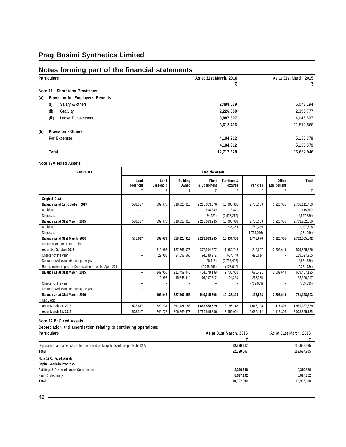#### **Notes forming part of the financial statements**

|     | <b>Particulars</b>                      | As at 31st March, 2016 | As at 31st March, 2015 |
|-----|-----------------------------------------|------------------------|------------------------|
|     |                                         |                        | ₹                      |
|     | Note 11 - Short-term Provisions         |                        |                        |
| (a) | <b>Provision for Employees Benefits</b> |                        |                        |
|     | Salary & others<br>(i)                  | 2,498,639              | 5,073,194              |
|     | (ii)<br>Gratuity                        | 2,226,380              | 2,393,777              |
|     | (iii)<br>Leave Encashment               | 3,887,397              | 4,045,597              |
|     |                                         | 8,612,416              | 11,512,568             |
| (b) | <b>Provision - Others</b>               |                        |                        |
|     | For Expenses                            | 4,104,912              | 5,155,378              |
|     |                                         | 4,104,912              | 5,155,378              |
|     | Total                                   | 12,717,328             | 16,667,946             |

#### **Note 12A Fixed Assets**

| <b>Particulars</b>                                         | <b>Tangible Assets</b> |                   |                          |                      |                                |             |                      |               |
|------------------------------------------------------------|------------------------|-------------------|--------------------------|----------------------|--------------------------------|-------------|----------------------|---------------|
|                                                            | Land<br>Freehold       | Land<br>Leasehold | <b>Building</b><br>Owned | Plant<br>& Equipment | Furniture &<br><b>Fixtures</b> | Vehicles    | Office<br>Equipement | Total         |
|                                                            |                        | ₹                 | ₹                        |                      | ₹                              | ₹           | ₹                    |               |
| <b>Original Cost</b>                                       |                        |                   |                          |                      |                                |             |                      |               |
| Balance as at 1st October, 2013                            | 578.617                | 599,678           | 518,628,613              | 2,223,663,676        | 16,005,388                     | 2,708,533   | 3,926,955            | 2,766,111,460 |
| Additions                                                  |                        |                   |                          | 104.889              | 13.820                         |             |                      | 118,709       |
| <b>Disposals</b>                                           |                        | ۰                 |                          | (74, 620)            | (2,923,219)                    |             | ۰                    | (2,997,839)   |
| Balance as at 31st March, 2015                             | 578,617                | 599,678           | 518,628,613              | 2,223,693,945        | 13,095,989                     | 2,708,533   | 3,926,955            | 2,763,232,330 |
| Additions                                                  |                        |                   |                          |                      | 238,369                        | 769.239     |                      | 1,007,608     |
| <b>Disposals</b>                                           |                        |                   |                          |                      |                                | (1,734,096) |                      | (1,734,096)   |
| Balance as at 31st March, 2016                             | 578.617                | 599.678           | 518.628.613              | 2,223,693,945        | 13,334,358                     | 1,743,676   | 3,926,955            | 2,762,505,842 |
| Depreciation and Amortization                              |                        |                   |                          |                      |                                |             |                      |               |
| As at 1st October 2013                                     | ۰                      | 319.968           | 187.361.377              | 377.104.277          | 11,980,748                     | 249.807     | 2,809,649            | 579,825,826   |
| Charge for the year                                        | -                      | 29,988            | 24,397,663               | 94,088,972           | 687,748                        | 423,614     | ۰                    | 119,627,985   |
| Deduction/Adjustments during the year                      |                        |                   |                          | (66, 418)            | (2,758,462)                    |             |                      | (2,824,880)   |
| Retrospective impact of Depreciation as of 1st April, 2014 | -                      |                   |                          | (7,048,691)          | (173, 046)                     |             |                      | (7, 221, 736) |
| Balance as at 31st March, 2015                             | ÷                      | 349,956           | 211,759,040              | 464,078,139          | 9,736,988                      | 673,421     | 2,809,649            | 689,407,195   |
|                                                            |                        | 19.992            | 15,848,414               | 76,037,227           | 401,228                        | 213,785     |                      | 92,520,647    |
| Charge for the year                                        |                        |                   |                          |                      |                                | (759, 639)  |                      | (759, 639)    |
| Deduction/Adjustments during the year                      | Ξ.                     |                   |                          |                      |                                |             |                      |               |
| Balance as at 31st March, 2016                             | ÷                      | 369.948           | 227.607.455              | 540.115.366          | 10.138.216                     | 127.568     | 2.809.649            | 781,168,203   |
| Net Block                                                  |                        |                   |                          |                      |                                |             |                      |               |
| As at March 31, 2016                                       | 578.617                | 229.730           | 291,021,158              | 1,683,578,579        | 3,196,142                      | 1,616,108   | 1,117,306            | 1,981,337,639 |
| As at March 31, 2015                                       | 578,617                | 249,722           | 306,869,573              | 1,759,615,806        | 3,359,001                      | 2,035,112   | 1,117,306            | 2,073,825,135 |

#### **Note 12.B: Fixed Assets**

**Depreciation and amortisation relating to continuing operations:**

| <b>Particulars</b>                                                               | As at 31st March, 2016 | As at 31st March, 2015 |
|----------------------------------------------------------------------------------|------------------------|------------------------|
|                                                                                  |                        |                        |
| Depreciation and amortisation for the period on tangible assets as per Note 12 A | 92,520,647             | 119,627,985            |
| Total                                                                            | 92,520,647             | 119,627,985            |
| Note 12.C: Fixed Assets                                                          |                        |                        |
| <b>Capital Work-in-Progress</b>                                                  |                        |                        |
| Buildings & Civil work under Construction                                        | 2,310,588              | 2,310,588              |
| Plant & Machinery                                                                | 8,617,102              | 8,617,102              |
| Total                                                                            | 10,927,690             | 10,927,690             |
|                                                                                  |                        |                        |

42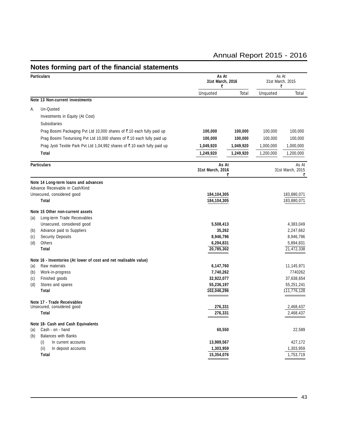#### **Particulars As At** As At **31st March, 2016** 31st March, 2015  $\vec{z}$  and  $\vec{z}$ Unquoted Total Unquoted Total **Note 13 Non-current investments** A. Un-Quoted Investments in Equity (At Cost) Subsidiaries Prag Bosimi Packaging Pvt Ltd 10,000 shares of ₹.10 each fully paid up **100,000 100,000 100,000** 100,000 100,000 Prag Bosimi Texturising Pvt Ltd 10,000 shares of ₹.10 each fully paid up **100,000 100,000 100,000** 100,000 100,000 Prag Jyoti Textile Park Pvt Ltd 1,04,992 shares of ₹.10 each fully paid up **1,049,920** 1,049,920 1,000,000 1,000,000 **Total 1,249,920 1,249,920** 1,200,000 1,200,000 **Particulars As At** As At **31st March, 2016** 31st March, 2015<br>₹  $\vec{z}$  and  $\vec{z}$ **Note 14 Long-term loans and advances** Advance Receivable in Cash/Kind Unsecured, considered good **184,104,305** 183,880,071 **Total 184,104,305** 183,880,071 **Note 15 Other non-current assets** (a) Long-term Trade Receivables Unsecured, considered good **5,508,413** 4,383,049 (b) Advance paid to Suppliers **35,262** 2,247,662 (c) Security Deposits 8,946,796 8,946,796 8,946,796 8,946,796 8,946,796 8,946,796 8,946,796 8,946,796 8,946,796 8,946,796 8,946,796 8 and  $\alpha$ (d) Others **6,294,831** 5,894,831 **Total 20,785,302** 21,472,338 **Note 16 - Inventories (At lower of cost and net realisable value)** (a) Raw materials **6,147,760** 11,145,971 (b) Work-in-progress **7,740,262** 7740262 (c) Finished goods **32,922,077** 37,638,654 (d) Stores and spares **55,236,197** 55,251,241 **Total 102,046,296** 111,776,128 **Note 17 - Trade Receivables** Unsecured, considered good **276,331** 2,468,437 **Total 276,331** 2,468,437 **Note 18- Cash and Cash Equivalents** (a) Cash - on - hand **60,550** 22,589 (b) Balances with Banks (i) In current accounts **13,989,567** 427,172 (ii) In deposit accounts **1,303,959** 1,303,959 **Total 15,354,076** 1,753,719

#### **Notes forming part of the financial statements**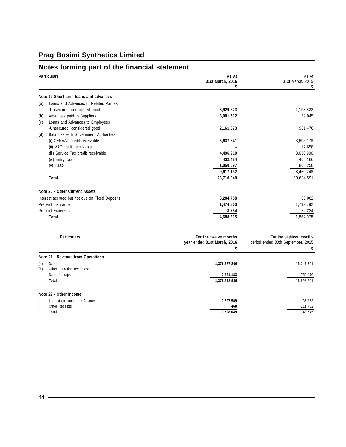### **Notes forming part of the financial statement**

|     | <b>Particulars</b>                             | As At<br>31st March, 2016<br>₹   | As At<br>31st March, 2015<br>₹         |
|-----|------------------------------------------------|----------------------------------|----------------------------------------|
|     | Note 19 Short-term loans and advances          |                                  |                                        |
| (a) | Loans and Advances to Related Parties          |                                  |                                        |
|     | -Unsecured, considered good                    | 3,929,523                        | 1,103,822                              |
| (b) | Advances paid to Suppliers                     | 8,001,512                        | 59,045                                 |
| (c) | Loans and Advances to Employees                |                                  |                                        |
|     | -Unsecured, considered good                    | 2,161,873                        | 981,476                                |
| (d) | Balances with Government Authorities           |                                  |                                        |
|     | (i) CENVAT credit receivable                   | 3,637,841                        | 3,605,178                              |
|     | (ii) VAT credit receivable                     |                                  | 12,658                                 |
|     | (iii) Service Tax credit receivable            | 4,496,210                        | 3,630,996                              |
|     | (iv) Entry Tax                                 | 432,484                          | 405,166                                |
|     | $(v)$ T.D.S.                                   | 1,050,597                        | 806,250                                |
|     |                                                | 9,617,132                        | 8,460,248                              |
|     | <b>Total</b>                                   | 23,710,040                       | 10,604,591                             |
|     | Note 20 - Other Current Assets                 |                                  |                                        |
|     | Interest accrued but not due on Fixed Deposits | 3,204,758                        | 30,062                                 |
|     | Prepaid Insurance                              | 1,474,803                        | 1,799,792                              |
|     | Prepaid Expenses                               | 8,754                            | 32,224                                 |
|     | Total                                          | 4,688,315                        | 1,862,078                              |
|     | <b>Particulars</b>                             | For the twelve months            | For the eighteen months                |
|     |                                                | year ended 31st March, 2016<br>₹ | period ended 30th September, 2015<br>₹ |
|     | Note 21 - Revenue from Operations              |                                  |                                        |
| (a) | Sales                                          | 1,376,287,806                    | 15,247,791                             |
| (b) | Other operating revenues:                      |                                  |                                        |
|     | Sale of scraps                                 | 2,691,183                        | 750,470                                |

|                         | Interest on Loans and Advances | 3.527.589 | 36,863  |
|-------------------------|--------------------------------|-----------|---------|
| $\overline{\mathbf{u}}$ | Other Receipts                 | 460       | 11.782  |
|                         | Total                          | 3.528.049 | 148.645 |
|                         |                                |           |         |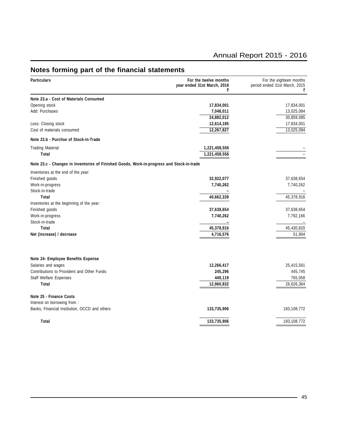### **Notes forming part of the financial statements**

| Note 23.a - Cost of Materials Consumed<br>Opening stock<br>17,834,001<br>17,834,001<br>Add: Purchases<br>13,025,084<br>7,048,011<br>24,882,012<br>30,859,085<br>Less: Closing stock<br>12,614,185<br>17,834,001<br>13,025,084<br>Cost of materials consumed<br>12,267,827<br>Note 23.b - Purchse of Stock-in-Trade<br><b>Trading Material</b><br>1,221,458,556<br>1,221,458,556<br>Total<br>Note 23.c - Changes in Inventories of Finished Goods, Work-in-progress and Stock-in-trade<br>Inventories at the end of the year:<br>Finished goods<br>32,922,077<br>37,638,654<br>Work-in-progress<br>7,740,262<br>7,740,262<br>Stock-in-trade<br>45,378,916<br>Total<br>40,662,339<br>Inventories at the beginning of the year:<br>37,638,654<br>37,638,654<br>Finished goods<br>Work-in-progress<br>7,792,166<br>7,740,262<br>Stock-in-trade<br>Total<br>45,378,916<br>45,430,820<br>4,716,576<br>Net (increase) / decrease<br>51,904<br>Note 24- Employee Benefits Expense<br>Salaries and wages<br>12,266,417<br>25,415,561<br>Contributions to Provident and Other Funds<br>245,296<br>445,745<br>765,058<br><b>Staff Welfare Expenses</b><br>449,119<br>Total<br>12,960,832<br>26,626,364<br>Note 25 - Finance Costs<br>Interest on borrowing from :<br>Banks, Financial Institution, OCCD and others<br>133,735,906<br>193,108,772<br>Total<br>193,108,772<br>133,735,906 | <b>Particulars</b> | For the twelve months<br>year ended 31st March, 2016<br>₹ | For the eighteen months<br>period ended 31st March, 2015<br>₹ |  |
|------------------------------------------------------------------------------------------------------------------------------------------------------------------------------------------------------------------------------------------------------------------------------------------------------------------------------------------------------------------------------------------------------------------------------------------------------------------------------------------------------------------------------------------------------------------------------------------------------------------------------------------------------------------------------------------------------------------------------------------------------------------------------------------------------------------------------------------------------------------------------------------------------------------------------------------------------------------------------------------------------------------------------------------------------------------------------------------------------------------------------------------------------------------------------------------------------------------------------------------------------------------------------------------------------------------------------------------------------------------------------|--------------------|-----------------------------------------------------------|---------------------------------------------------------------|--|
|                                                                                                                                                                                                                                                                                                                                                                                                                                                                                                                                                                                                                                                                                                                                                                                                                                                                                                                                                                                                                                                                                                                                                                                                                                                                                                                                                                              |                    |                                                           |                                                               |  |
|                                                                                                                                                                                                                                                                                                                                                                                                                                                                                                                                                                                                                                                                                                                                                                                                                                                                                                                                                                                                                                                                                                                                                                                                                                                                                                                                                                              |                    |                                                           |                                                               |  |
|                                                                                                                                                                                                                                                                                                                                                                                                                                                                                                                                                                                                                                                                                                                                                                                                                                                                                                                                                                                                                                                                                                                                                                                                                                                                                                                                                                              |                    |                                                           |                                                               |  |
|                                                                                                                                                                                                                                                                                                                                                                                                                                                                                                                                                                                                                                                                                                                                                                                                                                                                                                                                                                                                                                                                                                                                                                                                                                                                                                                                                                              |                    |                                                           |                                                               |  |
|                                                                                                                                                                                                                                                                                                                                                                                                                                                                                                                                                                                                                                                                                                                                                                                                                                                                                                                                                                                                                                                                                                                                                                                                                                                                                                                                                                              |                    |                                                           |                                                               |  |
|                                                                                                                                                                                                                                                                                                                                                                                                                                                                                                                                                                                                                                                                                                                                                                                                                                                                                                                                                                                                                                                                                                                                                                                                                                                                                                                                                                              |                    |                                                           |                                                               |  |
|                                                                                                                                                                                                                                                                                                                                                                                                                                                                                                                                                                                                                                                                                                                                                                                                                                                                                                                                                                                                                                                                                                                                                                                                                                                                                                                                                                              |                    |                                                           |                                                               |  |
|                                                                                                                                                                                                                                                                                                                                                                                                                                                                                                                                                                                                                                                                                                                                                                                                                                                                                                                                                                                                                                                                                                                                                                                                                                                                                                                                                                              |                    |                                                           |                                                               |  |
|                                                                                                                                                                                                                                                                                                                                                                                                                                                                                                                                                                                                                                                                                                                                                                                                                                                                                                                                                                                                                                                                                                                                                                                                                                                                                                                                                                              |                    |                                                           |                                                               |  |
|                                                                                                                                                                                                                                                                                                                                                                                                                                                                                                                                                                                                                                                                                                                                                                                                                                                                                                                                                                                                                                                                                                                                                                                                                                                                                                                                                                              |                    |                                                           |                                                               |  |
|                                                                                                                                                                                                                                                                                                                                                                                                                                                                                                                                                                                                                                                                                                                                                                                                                                                                                                                                                                                                                                                                                                                                                                                                                                                                                                                                                                              |                    |                                                           |                                                               |  |
|                                                                                                                                                                                                                                                                                                                                                                                                                                                                                                                                                                                                                                                                                                                                                                                                                                                                                                                                                                                                                                                                                                                                                                                                                                                                                                                                                                              |                    |                                                           |                                                               |  |
|                                                                                                                                                                                                                                                                                                                                                                                                                                                                                                                                                                                                                                                                                                                                                                                                                                                                                                                                                                                                                                                                                                                                                                                                                                                                                                                                                                              |                    |                                                           |                                                               |  |
|                                                                                                                                                                                                                                                                                                                                                                                                                                                                                                                                                                                                                                                                                                                                                                                                                                                                                                                                                                                                                                                                                                                                                                                                                                                                                                                                                                              |                    |                                                           |                                                               |  |
|                                                                                                                                                                                                                                                                                                                                                                                                                                                                                                                                                                                                                                                                                                                                                                                                                                                                                                                                                                                                                                                                                                                                                                                                                                                                                                                                                                              |                    |                                                           |                                                               |  |
|                                                                                                                                                                                                                                                                                                                                                                                                                                                                                                                                                                                                                                                                                                                                                                                                                                                                                                                                                                                                                                                                                                                                                                                                                                                                                                                                                                              |                    |                                                           |                                                               |  |
|                                                                                                                                                                                                                                                                                                                                                                                                                                                                                                                                                                                                                                                                                                                                                                                                                                                                                                                                                                                                                                                                                                                                                                                                                                                                                                                                                                              |                    |                                                           |                                                               |  |
|                                                                                                                                                                                                                                                                                                                                                                                                                                                                                                                                                                                                                                                                                                                                                                                                                                                                                                                                                                                                                                                                                                                                                                                                                                                                                                                                                                              |                    |                                                           |                                                               |  |
|                                                                                                                                                                                                                                                                                                                                                                                                                                                                                                                                                                                                                                                                                                                                                                                                                                                                                                                                                                                                                                                                                                                                                                                                                                                                                                                                                                              |                    |                                                           |                                                               |  |
|                                                                                                                                                                                                                                                                                                                                                                                                                                                                                                                                                                                                                                                                                                                                                                                                                                                                                                                                                                                                                                                                                                                                                                                                                                                                                                                                                                              |                    |                                                           |                                                               |  |
|                                                                                                                                                                                                                                                                                                                                                                                                                                                                                                                                                                                                                                                                                                                                                                                                                                                                                                                                                                                                                                                                                                                                                                                                                                                                                                                                                                              |                    |                                                           |                                                               |  |
|                                                                                                                                                                                                                                                                                                                                                                                                                                                                                                                                                                                                                                                                                                                                                                                                                                                                                                                                                                                                                                                                                                                                                                                                                                                                                                                                                                              |                    |                                                           |                                                               |  |
|                                                                                                                                                                                                                                                                                                                                                                                                                                                                                                                                                                                                                                                                                                                                                                                                                                                                                                                                                                                                                                                                                                                                                                                                                                                                                                                                                                              |                    |                                                           |                                                               |  |
|                                                                                                                                                                                                                                                                                                                                                                                                                                                                                                                                                                                                                                                                                                                                                                                                                                                                                                                                                                                                                                                                                                                                                                                                                                                                                                                                                                              |                    |                                                           |                                                               |  |
|                                                                                                                                                                                                                                                                                                                                                                                                                                                                                                                                                                                                                                                                                                                                                                                                                                                                                                                                                                                                                                                                                                                                                                                                                                                                                                                                                                              |                    |                                                           |                                                               |  |
|                                                                                                                                                                                                                                                                                                                                                                                                                                                                                                                                                                                                                                                                                                                                                                                                                                                                                                                                                                                                                                                                                                                                                                                                                                                                                                                                                                              |                    |                                                           |                                                               |  |
|                                                                                                                                                                                                                                                                                                                                                                                                                                                                                                                                                                                                                                                                                                                                                                                                                                                                                                                                                                                                                                                                                                                                                                                                                                                                                                                                                                              |                    |                                                           |                                                               |  |
|                                                                                                                                                                                                                                                                                                                                                                                                                                                                                                                                                                                                                                                                                                                                                                                                                                                                                                                                                                                                                                                                                                                                                                                                                                                                                                                                                                              |                    |                                                           |                                                               |  |
|                                                                                                                                                                                                                                                                                                                                                                                                                                                                                                                                                                                                                                                                                                                                                                                                                                                                                                                                                                                                                                                                                                                                                                                                                                                                                                                                                                              |                    |                                                           |                                                               |  |
|                                                                                                                                                                                                                                                                                                                                                                                                                                                                                                                                                                                                                                                                                                                                                                                                                                                                                                                                                                                                                                                                                                                                                                                                                                                                                                                                                                              |                    |                                                           |                                                               |  |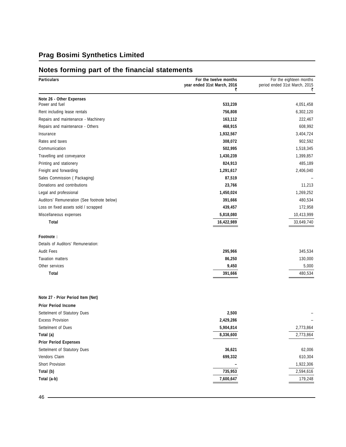### **Notes forming part of the financial statements**

| <b>Particulars</b>                          | For the twelve months<br>year ended 31st March, 2016<br>₹ | For the eighteen months<br>period ended 31st March, 2015<br>₹ |
|---------------------------------------------|-----------------------------------------------------------|---------------------------------------------------------------|
| Note 26 - Other Expenses                    |                                                           |                                                               |
| Power and fuel                              | 533,239                                                   | 4,051,458                                                     |
| Rent including lease rentals                | 756,808                                                   | 6,302,120                                                     |
| Repairs and maintenance - Machinery         | 163,112                                                   | 222,467                                                       |
| Repairs and maintenance - Others            | 468,915                                                   | 608,992                                                       |
| Insurance                                   | 1,932,567                                                 | 3,404,724                                                     |
| Rates and taxes                             | 308,072                                                   | 902,592                                                       |
| Communication                               | 502,995                                                   | 1,518,345                                                     |
| Travelling and conveyance                   | 1,430,239                                                 | 1,399,857                                                     |
| Printing and stationery                     | 824,913                                                   | 485,189                                                       |
| Freight and forwarding                      | 1,291,617                                                 | 2,406,040                                                     |
| Sales Commission (Packaging)                | 87,519                                                    |                                                               |
| Donations and contributions                 | 23,766                                                    | 11,213                                                        |
| Legal and professional                      | 1,450,024                                                 | 1,269,252                                                     |
| Auditors' Remuneration (See footnote below) | 391,666                                                   | 480,534                                                       |
| Loss on fixed assets sold / scrapped        | 439,457                                                   | 172,958                                                       |
| Miscellaneous expenses                      | 5,818,080                                                 | 10,413,999                                                    |
| Total                                       | 16,422,989                                                | 33,649,740                                                    |
| Footnote:                                   |                                                           |                                                               |
| Details of Auditors' Remuneration:          |                                                           |                                                               |
| <b>Audit Fees</b>                           | 295,966                                                   | 345,534                                                       |
| <b>Taxation matters</b>                     | 86,250                                                    | 130,000                                                       |
| Other services                              | 9,450                                                     | 5,000                                                         |
| Total                                       | 391,666                                                   | 480,534                                                       |
|                                             |                                                           |                                                               |
| Note 27 - Prior Period Item (Net)           |                                                           |                                                               |
| <b>Prior Period Income</b>                  |                                                           |                                                               |
| Settelment of Statutory Dues                | 2,500                                                     |                                                               |
| <b>Excess Provision</b>                     | 2,429,286                                                 |                                                               |
| Settelment of Dues                          | 5,904,814                                                 | 2,773,864                                                     |
| Total (a)                                   | 8,336,600                                                 | 2,773,864                                                     |
| <b>Prior Period Expenses</b>                |                                                           |                                                               |
| Settelment of Statutory Dues                | 36,621                                                    | 62,006                                                        |
| Vendors Claim                               | 699,332                                                   | 610,304                                                       |
| Short Provision                             |                                                           | 1,922,306                                                     |
| Total (b)                                   | 735,953                                                   | 2,594,616                                                     |
| Total (a-b)                                 | 7,600,647                                                 | 179,248                                                       |
|                                             |                                                           |                                                               |

<u> 1989 - Johann Barbara, martxa alemaniar arg</u>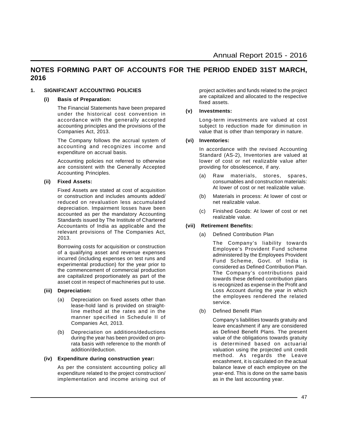#### **NOTES FORMING PART OF ACCOUNTS FOR THE PERIOD ENDED 31ST MARCH, 2016**

#### **1. SIGNIFICANT ACCOUNTING POLICIES**

#### **(i) Basis of Preparation:**

The Financial Statements have been prepared under the historical cost convention in accordance with the generally accepted accounting principles and the provisions of the Companies Act, 2013.

The Company follows the accrual system of accounting and recognizes income and expenditure on accrual basis.

Accounting policies not referred to otherwise are consistent with the Generally Accepted Accounting Principles.

#### **(ii) Fixed Assets:**

Fixed Assets are stated at cost of acquisition or construction and includes amounts added/ reduced on revaluation less accumulated depreciation. Impairment losses have been accounted as per the mandatory Accounting Standards issued by The Institute of Chartered Accountants of India as applicable and the relevant provisions of The Companies Act, 2013.

Borrowing costs for acquisition or construction of a qualifying asset and revenue expenses incurred (including expenses on test runs and experimental production) for the year prior to the commencement of commercial production are capitalized proportionately as part of the asset cost in respect of machineries put to use.

#### **(iii) Depreciation:**

- (a) Depreciation on fixed assets other than lease-hold land is provided on straightline method at the rates and in the manner specified in Schedule II of Companies Act, 2013.
- (b) Depreciation on additions/deductions during the year has been provided on prorata basis with reference to the month of addition/deduction.

#### **(iv) Expenditure during construction year:**

As per the consistent accounting policy all expenditure related to the project construction/ implementation and income arising out of project activities and funds related to the project are capitalized and allocated to the respective fixed assets.

#### **(v) Investments:**

Long-term investments are valued at cost subject to reduction made for diminution in value that is other than temporary in nature.

#### **(vi) Inventories:**

In accordance with the revised Accounting Standard (AS-2), Inventories are valued at lower of cost or net realizable value after providing for obsolescence, if any.

- (a) Raw materials, stores, spares, consumables and construction materials: At lower of cost or net realizable value.
- (b) Materials in process: At lower of cost or net realizable value.
- (c) Finished Goods: At lower of cost or net realizable value.

#### **(vii) Retirement Benefits:**

(a) Defined Contribution Plan

The Company's liability towards Employee's Provident Fund scheme administered by the Employees Provident Fund Scheme, Govt. of India is considered as Defined Contribution Plan. The Company's contributions paid towards these defined contribution plans is recognized as expense in the Profit and Loss Account during the year in which the employees rendered the related service.

(b) Defined Benefit Plan

Company's liabilities towards gratuity and leave encashment if any are considered as Defined Benefit Plans. The present value of the obligations towards gratuity is determined based on actuarial valuation using the projected unit credit method. As regards the Leave encashment, it is calculated on the actual balance leave of each employee on the year-end. This is done on the same basis as in the last accounting year.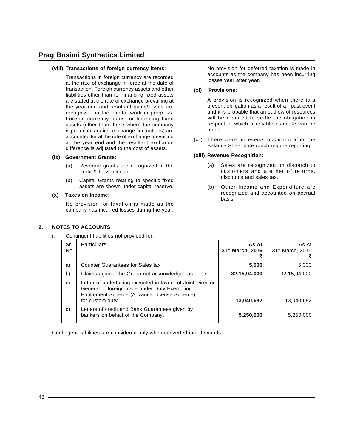#### **(viii) Transactions of foreign currency items**:

Transactions in foreign currency are recorded at the rate of exchange in force at the date of transaction. Foreign currency assets and other liabilities other than for financing fixed assets are stated at the rate of exchange prevailing at the year-end and resultant gains/losses are recognized in the capital work in progress. Foreign currency loans for financing fixed assets (other than those where the company is protected against exchange fluctuations) are accounted for at the rate of exchange prevailing at the year end and the resultant exchange difference is adjusted to the cost of assets.

#### **(ix) Government Grants:**

- (a) Revenue grants are recognized in the Profit & Loss account.
- (b) Capital Grants relating to specific fixed assets are shown under capital reserve.

#### **(x) Taxes on Income:**

**2. NOTES TO ACCOUNTS**

No provision for taxation is made as the company has incurred losses during the year. No provision for deferred taxation is made in accounts as the company has been incurring losses year after year.

#### **(xi) Provisions:**

A provision is recognized when there is a present obligation as a result of a past event and it is probable that an outflow of resources will be required to settle the obligation in respect of which a reliable estimate can be made.

(xii) There were no events occurring after the Balance Sheet date which require reporting.

#### **(xiii) Revenue Recognition:**

- (a) Sales are recognized on dispatch to customers and are net of returns, discounts and sales tax.
- (b) Other Income and Expenditure are recognized and accounted on accrual basis.

| i. |            | Contingent liabilities not provided for:                                                                                                                                      |                                       |                                       |
|----|------------|-------------------------------------------------------------------------------------------------------------------------------------------------------------------------------|---------------------------------------|---------------------------------------|
|    | Sr.<br>No. | <b>Particulars</b>                                                                                                                                                            | As At<br>31 <sup>st</sup> March, 2016 | As At<br>31 <sup>st</sup> March, 2015 |
|    | a)         | Counter Guarantees for Sales tax                                                                                                                                              | 5,000                                 | 5,000                                 |
|    | b)         | Claims against the Group not acknowledged as debts                                                                                                                            | 32,15,94,000                          | 32,15,94,000                          |
|    | c)         | Letter of undertaking executed in favour of Joint Director<br>General of foreign trade under Duty Exemption<br>Entitlement Scheme (Advance License Scheme)<br>for custom duty | 13,040,682                            | 13.040.682                            |
|    | d)         | Letters of credit and Bank Guarantees given by<br>bankers on behalf of the Company.                                                                                           | 5,250,000                             | 5,250,000                             |

Contingent liabilities are considered only when converted into demands.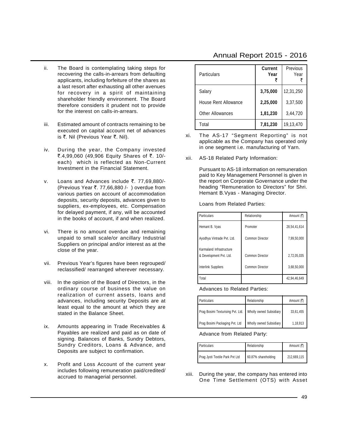- ii. The Board is contemplating taking steps for recovering the calls-in-arrears from defaulting applicants, including forfeiture of the shares as a last resort after exhausting all other avenues for recovery in a spirit of maintaining shareholder friendly environment. The Board therefore considers it prudent not to provide for the interest on calls-in-arrears.
- iii. Estimated amount of contracts remaining to be executed on capital account net of advances is ₹. Nil (Previous Year ₹. Nil).
- iv. During the year, the Company invested ₹.4,99,060 (49,906 Equity Shares of ₹. 10/each) which is reflected as Non-Current Investment in the Financial Statement.
- v. Loans and Advances include  $\bar{\tau}$ . 77,69,880/-(Previous Year  $\overline{\tau}$ . 77,66,880 /- ) overdue from various parties on account of accommodation deposits, security deposits, advances given to suppliers, ex-employees, etc. Compensation for delayed payment, if any, will be accounted in the books of account, if and when realized.
- vi. There is no amount overdue and remaining unpaid to small scale/or ancillary Industrial Suppliers on principal and/or interest as at the close of the year.
- vii. Previous Year's figures have been regrouped/ reclassified/ rearranged wherever necessary.
- viii. In the opinion of the Board of Directors, in the ordinary course of business the value on realization of current assets, loans and advances, including security Deposits are at least equal to the amount at which they are stated in the Balance Sheet.
- ix. Amounts appearing in Trade Receivables & Payables are realized and paid as on date of signing. Balances of Banks, Sundry Debtors, Sundry Creditors, Loans & Advance, and Deposits are subject to confirmation.
- x. Profit and Loss Account of the current year includes following remuneration paid/credited/ accrued to managerial personnel.

| <b>Particulars</b>      | <b>Current</b><br>Year | Previous<br>Year |
|-------------------------|------------------------|------------------|
| Salary                  | 3,75,000               | 12,31,250        |
| House Rent Allowance    | 2,25,000               | 3,37,500         |
| <b>Other Allowances</b> | 1,81,230               | 3,44,720         |
| Total                   | 7,81,230               | 19,13,470        |

- xi. The AS-17 "Segment Reporting" is not applicable as the Company has operated only in one segment i.e. manufacturing of Yarn.
- xii. AS-18 Related Party Information:

Pursuant to AS-18 information on remuneration paid to Key Management Personnel is given in the report on Corporate Governance under the heading "Remuneration to Directors" for Shri. Hemant B.Vyas - Managing Director.

Loans from Related Parties:

| Particulars                                         | Relationship    | Amount (そ)   |
|-----------------------------------------------------|-----------------|--------------|
| Hemant B. Vyas                                      | Promoter        | 28,54,41,614 |
| Ayodhya Vintrade Pvt. Ltd.                          | Common Director | 7,99,50,000  |
| Karmaland Infrastructure<br>& Development Pvt. Ltd. | Common Director | 2,72,05,035  |
| Interlink Suppliers                                 | Common Director | 3,68,50,000  |
| Total                                               |                 | 42,94,46,649 |

Advances to Related Parties:

| Particulars                                                 | Relationship            | Amount (₹) |  |
|-------------------------------------------------------------|-------------------------|------------|--|
| Prag Bosimi Texturising Pvt. Ltd.   Wholly owned Subsidiary |                         | 33,61,455  |  |
| Prag Bosimi Packaging Pvt. Ltd                              | Wholly owned Subsidiary | 1,18,913   |  |

Advance from Related Party:

| Particulars                     | Relationship        | Amount (₹)  |
|---------------------------------|---------------------|-------------|
| Prag Jyoti Textile Park Pvt Ltd | 60.87% shareholding | 212.669.115 |

xiii. During the year, the company has entered into One Time Settlement (OTS) with Asset

#### Annual Report 2015 - 2016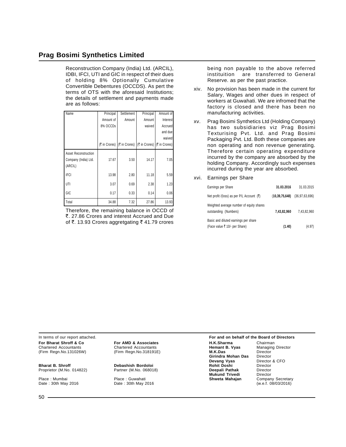Reconstruction Company (India) Ltd. (ARCIL), IDBI, IFCI, UTI and GIC in respect of their dues of holding 8% Optionally Cumulative Convertible Debentures (OCCDS). As pert the terms of OTS with the aforesaid Institutions; the details of settlement and payments made are as follows:

| Name                                                    | Principal | Settlement                                                    | Principal | Amount of |
|---------------------------------------------------------|-----------|---------------------------------------------------------------|-----------|-----------|
|                                                         | Amount of | Amount                                                        | Amount    | Interest  |
|                                                         | 8% OCCDs  |                                                               | waived    | Accrued   |
|                                                         |           |                                                               |           | and due   |
|                                                         |           |                                                               |           | waived    |
|                                                         |           | (₹ in Crores)   (₹ in Crores)   (₹ in Crores)   (₹ in Crores) |           |           |
| Asset Reconstruction<br>Company (India) Ltd.<br>(ARCIL) | 17.67     | 3.50                                                          | 14.17     | 7.05      |
| <b>IFCI</b>                                             | 13.98     | 2.80                                                          | 11.18     | 5.59      |
| UTI                                                     | 3.07      | 0.69                                                          | 2.38      | 1.23      |
| GIC                                                     | 0.17      | 0.33                                                          | 0.14      | 0.06      |
| Total                                                   | 34.88     | 7.32                                                          | 27.86     | 13.93     |

Therefore, the remaining balance in OCCD of `. 27.86 Crores and interest Accrued and Due of ₹. 13.93 Crores aggretgating  $\bar{\tau}$  41.79 crores being non payable to the above referred instituition are transferred to General Reserve. as per the past practice.

- xiv. No provision has been made in the current for Salary, Wages and other dues in respect of workers at Guwahati. We are infromed that the factory is closed and there has been no manufacturing activities.
- xv. Prag Bosimi Synthetics Ltd (Holding Company) has two subsidiaries viz Prag Bosimi Texturising Pvt. Ltd. and Prag Bosimi Packaging Pvt. Ltd. Both these companies are non operating and non revenue generating. Therefore certain operating expenditure incurred by the company are absorbed by the holding Company. Accordingly such expenses incurred during the year are absorbed.
- xvi. Earnings per Share

| Earnings per Share                                                    | 31.03.2016        | 31.03.2015        |
|-----------------------------------------------------------------------|-------------------|-------------------|
| Net profit /(loss) as per P/L Account $(3)$                           | (10, 39, 75, 648) | (36, 97, 63, 696) |
| Weighted average number of equity shares<br>outstanding (Numbers)     | 7,43,82,960       | 7,43,82,960       |
| Basic and diluted earnings per share<br>(Face value ₹ 10/- per Share) | (1.40)            | (4.97)            |

Place : Mumbai Place : Guwahati **Shweta Mahajan** Company Secretary Date : 30th May 2016 Date : 30th May 2016 (w.e.f. 08/03/2016)

In terms of our report attached. **For and on behalf of the Board of Directors For Bharat Shroff & Co For AMD & Associates H.K.Sharma** Chairman Chairman<br>Chartered Accountants Chartered Accountants **Hemant B. Vyas** Managing Director Chartered Accountants **Chartered Accountants Hemant B. Vyas** Managin<br>(Firm Regn.No.131026W) (Firm Regn.No.318191E) **M.K.Das** Director (Firm Regn.No.131026W) (Firm Regn.No.318191E) **M.K.Das** Director **Girindra Mohan Das** Director<br>**Devang Vyas** Director & CFO **Devang Vyas Director**<br> **Rohit Doshi Director Bharat B. Shroff Debashish Bordoloi Rohit Doshi** Director Proprietor (M.No. 014822) Partner (M.No. 068018) **Deepali Pathak** Director **Mukund Trivedi** Director<br> **Shweta Mahajan** Company Secretary<br>
(w.e.f. 08/03/2016)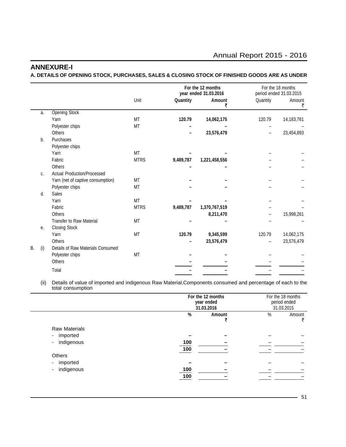#### **ANNEXURE-I**

**A. DETAILS OF OPENING STOCK, PURCHASES, SALES & CLOSING STOCK OF FINISHED GOODS ARE AS UNDER**

|    |     |                                   |             | For the 12 months<br>year ended 31.03.2016 |               |          | For the 18 months<br>period ended 31.03.2015 |
|----|-----|-----------------------------------|-------------|--------------------------------------------|---------------|----------|----------------------------------------------|
|    |     |                                   | Unit        | Quantity                                   | Amount<br>₹   | Quantity | Amount<br>₹                                  |
|    | a.  | <b>Opening Stock</b>              |             |                                            |               |          |                                              |
|    |     | Yarn                              | <b>MT</b>   | 120.79                                     | 14,062,175    | 120.79   | 14,183,761                                   |
|    |     | Polyester chips                   | MT          |                                            |               |          |                                              |
|    |     | <b>Others</b>                     |             |                                            | 23,576,479    |          | 23,454,893                                   |
|    | b.  | Purchases                         |             |                                            |               |          |                                              |
|    |     | Polyester chips                   |             |                                            |               |          |                                              |
|    |     | Yarn                              | <b>MT</b>   |                                            |               |          |                                              |
|    |     | Fabric                            | <b>MTRS</b> | 9,489,787                                  | 1,221,458,556 |          |                                              |
|    |     | <b>Others</b>                     |             |                                            |               |          |                                              |
|    | C.  | Actual Production/Processed       |             |                                            |               |          |                                              |
|    |     | Yarn (net of captive consumption) | <b>MT</b>   |                                            |               |          |                                              |
|    |     | Polyester chips                   | MT          |                                            |               |          |                                              |
|    | d.  | Sales                             |             |                                            |               |          |                                              |
|    |     | Yarn                              | <b>MT</b>   |                                            |               |          |                                              |
|    |     | Fabric                            | <b>MTRS</b> | 9,489,787                                  | 1,370,767,519 |          |                                              |
|    |     | <b>Others</b>                     |             |                                            | 8,211,470     |          | 15,998,261                                   |
|    |     | <b>Transfer to Raw Material</b>   | <b>MT</b>   |                                            |               |          |                                              |
|    | е.  | <b>Closing Stock</b>              |             |                                            |               |          |                                              |
|    |     | Yarn                              | MT          | 120.79                                     | 9,345,599     | 120.79   | 14,062,175                                   |
|    |     | <b>Others</b>                     |             |                                            | 23,576,479    |          | 23,576,479                                   |
| В. | (i) | Details of Raw Materials Consumed |             |                                            |               |          |                                              |
|    |     | Polyester chips                   | MT          |                                            |               |          |                                              |
|    |     | <b>Others</b>                     |             |                                            |               |          |                                              |
|    |     | Total                             |             |                                            |               |          |                                              |

(ii) Details of value of imported and indigenous Raw Material,Components consumed and percentage of each to the total consumption

|                                        |     | For the 12 months<br>year ended<br>31.03.2016 |   |             |
|----------------------------------------|-----|-----------------------------------------------|---|-------------|
|                                        | %   | Amount                                        | % | Amount<br>₹ |
| <b>Raw Materials</b>                   |     |                                               |   |             |
| imported<br>$\sim$                     |     |                                               |   |             |
| indigenous<br>$\overline{\phantom{a}}$ | 100 |                                               |   |             |
|                                        | 100 |                                               |   |             |
| Others                                 |     |                                               |   |             |
| imported<br>$\sim$                     |     |                                               |   |             |
| indigenous<br>۰                        | 100 |                                               |   |             |
|                                        | 100 |                                               |   |             |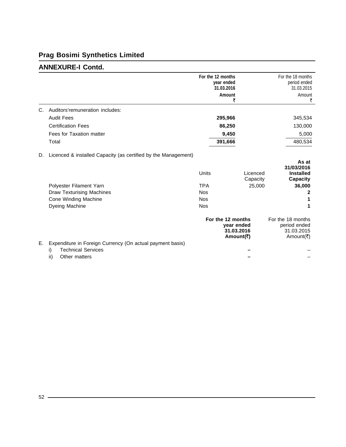### **ANNEXURE-I Contd.**

|    |                                                                                           | For the 12 months   | year ended<br>31.03.2016<br>Amount<br>₹                    | For the 18 months<br>period ended<br>31.03.2015<br>Amount<br>₹       |
|----|-------------------------------------------------------------------------------------------|---------------------|------------------------------------------------------------|----------------------------------------------------------------------|
| C. | Auditors'remuneration includes:                                                           |                     |                                                            |                                                                      |
|    | <b>Audit Fees</b>                                                                         |                     | 295,966                                                    | 345,534                                                              |
|    | <b>Certification Fees</b>                                                                 |                     | 86,250                                                     | 130,000                                                              |
|    | Fees for Taxation matter                                                                  |                     | 9,450                                                      | 5,000                                                                |
|    | Total                                                                                     |                     | 391,666                                                    | 480,534                                                              |
| D. | Licenced & installed Capacity (as certified by the Management)<br>Polyester Filament Yarn | Units<br><b>TPA</b> | Licenced<br>Capacity<br>25,000                             | As at<br>31/03/2016<br><b>Installed</b><br><b>Capacity</b><br>36,000 |
|    | <b>Draw Texturising Machines</b>                                                          | <b>Nos</b>          |                                                            | 2                                                                    |
|    | Cone Winding Machine                                                                      | <b>Nos</b>          |                                                            |                                                                      |
|    | Dyeing Machine                                                                            | <b>Nos</b>          |                                                            |                                                                      |
|    |                                                                                           |                     | For the 12 months<br>year ended<br>31.03.2016<br>Amount(₹) | For the 18 months<br>period ended<br>31.03.2015<br>Amount(₹)         |
| Е. | Expenditure in Foreign Currency (On actual payment basis)                                 |                     |                                                            |                                                                      |
|    | <b>Technical Services</b><br>i)<br>ii)<br>Other matters                                   |                     |                                                            |                                                                      |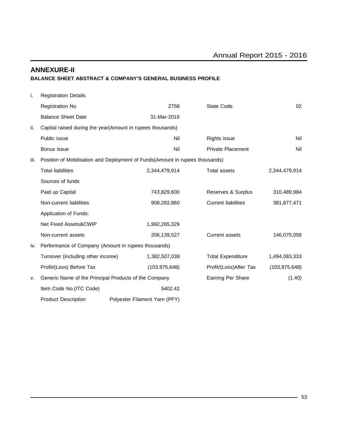#### **ANNEXURE-II BALANCE SHEET ABSTRACT & COMPANY'S GENERAL BUSINESS PROFILE**

| i.   | <b>Registration Details</b>                           |                                                                              |                            |                 |
|------|-------------------------------------------------------|------------------------------------------------------------------------------|----------------------------|-----------------|
|      | Registration No                                       | 2758                                                                         | State Code                 | 02              |
|      | <b>Balance Sheet Date</b>                             | 31-Mar-2016                                                                  |                            |                 |
| ii.  |                                                       | Capital raised during the year (Amount in rupees thousands)                  |                            |                 |
|      | Public issue                                          | Nil                                                                          | Rights issue               | Nil             |
|      | Bonus issue                                           | Nil                                                                          | <b>Private Placement</b>   | Nil             |
| iii. |                                                       | Position of Mobilisation and Deployment of Funds(Amount in rupees thousands) |                            |                 |
|      | <b>Total liabilities</b>                              | 2,344,479,914                                                                | <b>Total assets</b>        | 2,344,479,914   |
|      | Sources of funds                                      |                                                                              |                            |                 |
|      | Paid up Capital                                       | 743,829,600                                                                  | Reserves & Surplus         | 310,489,984     |
|      | Non-current liabilities                               | 908,282,860                                                                  | <b>Current liabilities</b> | 381,877,471     |
|      | Application of Funds:                                 |                                                                              |                            |                 |
|      | Net Fixed Assets&CWIP                                 | 1,992,265,329                                                                |                            |                 |
|      | Non-current assets                                    | 206, 139, 527                                                                | <b>Current assets</b>      | 146,075,058     |
| iv.  | Performance of Company (Amount in rupees thousands)   |                                                                              |                            |                 |
|      | Turnover (including other income)                     | 1,382,507,038                                                                | <b>Total Expenditure</b>   | 1,494,083,333   |
|      | Profit/(Loss) Before Tax                              | (103, 975, 648)                                                              | Profit/(Loss)After Tax     | (103, 975, 648) |
| v.   | Generic Name of the Principal Products of the Company |                                                                              | Earning Per Share          | (1.40)          |
|      | Item Code No.(ITC Code)                               | 5402.42                                                                      |                            |                 |
|      | <b>Product Description</b>                            | Polyester Filament Yarn (PFY)                                                |                            |                 |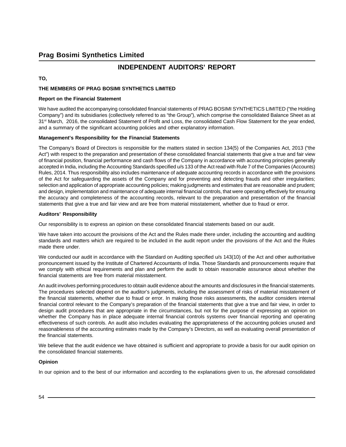#### **INDEPENDENT AUDITORS' REPORT**

#### **TO,**

#### **THE MEMBERS OF PRAG BOSIMI SYNTHETICS LIMITED**

#### **Report on the Financial Statement**

We have audited the accompanying consolidated financial statements of PRAG BOSIMI SYNTHETICS LIMITED ("the Holding Company") and its subsidiaries (collectively referred to as "the Group"), which comprise the consolidated Balance Sheet as at 31<sup>st</sup> March, 2016, the consolidated Statement of Profit and Loss, the consolidated Cash Flow Statement for the year ended, and a summary of the significant accounting policies and other explanatory information.

#### **Management's Responsibility for the Financial Statements**

The Company's Board of Directors is responsible for the matters stated in section 134(5) of the Companies Act, 2013 ("the Act") with respect to the preparation and presentation of these consolidated financial statements that give a true and fair view of financial position, financial performance and cash flows of the Company in accordance with accounting principles generally accepted in India, including the Accounting Standards specified u/s 133 of the Act read with Rule 7 of the Companies (Accounts) Rules, 2014. Thus responsibility also includes maintenance of adequate accounting records in accordance with the provisions of the Act for safeguarding the assets of the Company and for preventing and detecting frauds and other irregularities; selection and application of appropriate accounting policies; making judgments and estimates that are reasonable and prudent; and design, implementation and maintenance of adequate internal financial controls, that were operating effectively for ensuring the accuracy and completeness of the accounting records, relevant to the preparation and presentation of the financial statements that give a true and fair view and are free from material misstatement, whether due to fraud or error.

#### **Auditors' Responsibility**

Our responsibility is to express an opinion on these consolidated financial statements based on our audit.

We have taken into account the provisions of the Act and the Rules made there under, including the accounting and auditing standards and matters which are required to be included in the audit report under the provisions of the Act and the Rules made there under.

We conducted our audit in accordance with the Standard on Auditing specified u/s 143(10) of the Act and other authoritative pronouncement issued by the Institute of Chartered Accountants of India. Those Standards and pronouncements require that we comply with ethical requirements and plan and perform the audit to obtain reasonable assurance about whether the financial statements are free from material misstatement.

An audit involves performing procedures to obtain audit evidence about the amounts and disclosures in the financial statements. The procedures selected depend on the auditor's judgments, including the assessment of risks of material misstatement of the financial statements, whether due to fraud or error. In making those risks assessments, the auditor considers internal financial control relevant to the Company's preparation of the financial statements that give a true and fair view, in order to design audit procedures that are appropriate in the circumstances, but not for the purpose of expressing an opinion on whether the Company has in place adequate internal financial controls systems over financial reporting and operating effectiveness of such controls. An audit also includes evaluating the appropriateness of the accounting policies unused and reasonableness of the accounting estimates made by the Company's Directors, as well as evaluating overall presentation of the financial statements.

We believe that the audit evidence we have obtained is sufficient and appropriate to provide a basis for our audit opinion on the consolidated financial statements.

#### **Opinion**

In our opinion and to the best of our information and according to the explanations given to us, the aforesaid consolidated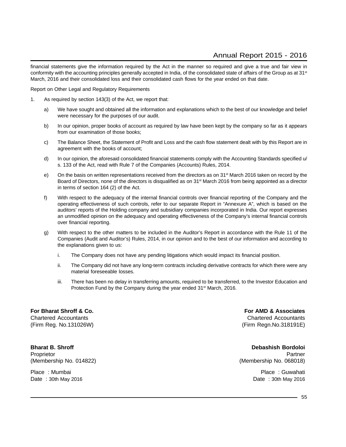financial statements give the information required by the Act in the manner so required and give a true and fair view in conformity with the accounting principles generally accepted in India, of the consolidated state of affairs of the Group as at 31<sup>st</sup> March, 2016 and their consolidated loss and their consolidated cash flows for the year ended on that date.

Report on Other Legal and Regulatory Requirements

- 1. As required by section 143(3) of the Act, we report that:
	- a) We have sought and obtained all the information and explanations which to the best of our knowledge and belief were necessary for the purposes of our audit.
	- b) In our opinion, proper books of account as required by law have been kept by the company so far as it appears from our examination of those books;
	- c) The Balance Sheet, the Statement of Profit and Loss and the cash flow statement dealt with by this Report are in agreement with the books of account;
	- d) In our opinion, the aforesaid consolidated financial statements comply with the Accounting Standards specified u/ s. 133 of the Act, read with Rule 7 of the Companies (Accounts) Rules, 2014.
	- e) On the basis on written representations received from the directors as on 31<sup>st</sup> March 2016 taken on record by the Board of Directors, none of the directors is disqualified as on 31<sup>st</sup> March 2016 from being appointed as a director in terms of section 164 (2) of the Act.
	- f) With respect to the adequacy of the internal financial controls over financial reporting of the Company and the operating effectiveness of such controls, refer to our separate Report in "Annexure A", which is based on the auditors' reports of the Holding company and subsidiary companies incorporated in India. Our report expresses an unmodified opinion on the adequacy and operating effectiveness of the Company's internal financial controls over financial reporting.
	- g) With respect to the other matters to be included in the Auditor's Report in accordance with the Rule 11 of the Companies (Audit and Auditor's) Rules, 2014, in our opinion and to the best of our information and according to the explanations given to us:
		- i. The Company does not have any pending litigations which would impact its financial position.
		- ii. The Company did not have any long-term contracts including derivative contracts for which there were any material foreseeable losses.
		- iii. There has been no delay in transferring amounts, required to be transferred, to the Investor Education and Protection Fund by the Company during the year ended 31<sup>st</sup> March, 2016.

**For Bharat Shroff & Co. For AMD & Associates** Chartered Accountants Chartered Accountants (Firm Reg. No.131026W) (Firm Regn.No.318191E)

**Bharat B. Shroff Debashish Bordoloi** Proprietor Partner (Proprietor Partner Partner (Proprietor Partner Partner Partner Partner Partner Partner Par (Membership No. 014822) (Membership No. 068018)

Place : Mumbai Place : Guwahati

Date : 30th May 2016 **Date : 30th May 2016** Date : 30th May 2016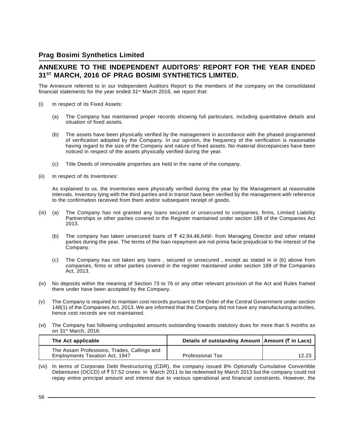#### **ANNEXURE TO THE INDEPENDENT AUDITORS' REPORT FOR THE YEAR ENDED 31ST MARCH, 2016 OF PRAG BOSIMI SYNTHETICS LIMITED.**

The Annexure referred to in our Independent Auditors Report to the members of the company on the consolidated financial statements for the year ended  $31<sup>st</sup>$  March 2016, we report that:

- (i) In respect of its Fixed Assets:
	- (a) The Company has maintained proper records showing full particulars, including quantitative details and situation of fixed assets.
	- (b) The assets have been physically verified by the management in accordance with the phased programmed of verification adopted by the Company. In our opinion, the frequency of the verification is reasonable having regard to the size of the Company and nature of fixed assets. No material discrepancies have been noticed in respect of the assets physically verified during the year.
	- (c) Title Deeds of immovable properties are held in the name of the company.
- (ii) In respect of its Inventories:

As explained to us, the inventories were physically verified during the year by the Management at reasonable intervals. Inventory lying with the third parties and in transit have been verified by the management with reference to the confirmation received from them and/or subsequent receipt of goods.

- (iii) (a) The Company has not granted any loans secured or unsecured to companies, firms, Limited Liability Partnerships or other parties covered in the Register maintained under section 189 of the Companies Act 2013.
	- (b) The company has taken unsecured loans of  $\bar{\tau}$  42,94,46,649/- from Managing Director and other related parties during the year. The terms of the loan repayment are not prima facie prejudicial to the interest of the Company.
	- (c) The Company has not taken any loans , secured or unsecured , except as stated in iii (b) above from companies, firms or other parties covered in the register maintained under section 189 of the Companies Act, 2013.
- (iv) No deposits within the meaning of Section 73 to 76 or any other relevant provision of the Act and Rules framed there under have been accepted by the Company.
- (v) The Company is required to maintain cost records pursuant to the Order of the Central Government under section 148(1) of the Companies Act, 2013. We are informed that the Company did not have any manufacturing activities, hence cost records are not maintained.
- (vi) The Company has following undisputed amounts outstanding towards statutory dues for more than 6 months as on 31st March, 2016:

| The Act applicable                          | Details of outstanding Amount   Amount (₹ in Lacs) |       |
|---------------------------------------------|----------------------------------------------------|-------|
| The Assam Professions, Trades, Callings and |                                                    |       |
| Employments Taxation Act, 1947              | <b>Professional Tax</b>                            | 12.23 |

(vii) In terms of Corporate Debt Restructuring (CDR), the company issued 8% Optionally Cumulative Convertible Debentures (OCCD) of  $\bar{\tau}$  57.52 crores in March 2011 to be redeemed by March 2013 but the company could not repay entire principal amount and interest due to various operational and financial constraints. However, the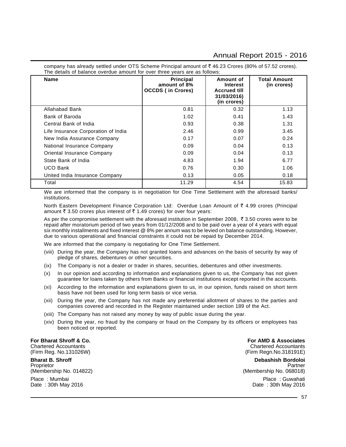company has already settled under OTS Scheme Principal amount of  $\bar{\tau}$  46.23 Crores (80% of 57.52 crores). The details of balance overdue amount for over three years are as follows:

| <b>Name</b>                         | Principal<br>amount of 8%<br><b>OCCDS (in Crores)</b> | Amount of<br><b>Interest</b><br><b>Accrued till</b><br>31/03/2016)<br>(in crores) | <b>Total Amount</b><br>(in crores) |
|-------------------------------------|-------------------------------------------------------|-----------------------------------------------------------------------------------|------------------------------------|
| Allahabad Bank                      | 0.81                                                  | 0.32                                                                              | 1.13                               |
| Bank of Baroda                      | 1.02                                                  | 0.41                                                                              | 1.43                               |
| Central Bank of India               | 0.93                                                  | 0.38                                                                              | 1.31                               |
| Life Insurance Corporation of India | 2.46                                                  | 0.99                                                                              | 3.45                               |
| New India Assurance Company         | 0.17                                                  | 0.07                                                                              | 0.24                               |
| National Insurance Company          | 0.09                                                  | 0.04                                                                              | 0.13                               |
| Oriental Insurance Company          | 0.09                                                  | 0.04                                                                              | 0.13                               |
| State Bank of India                 | 4.83                                                  | 1.94                                                                              | 6.77                               |
| <b>UCO Bank</b>                     | 0.76                                                  | 0.30                                                                              | 1.06                               |
| United India Insurance Company      | 0.13                                                  | 0.05                                                                              | 0.18                               |
| Total                               | 11.29                                                 | 4.54                                                                              | 15.83                              |

We are informed that the company is in negotiation for One Time Settlement with the aforesaid banks/ institutions.

North Eastern Development Finance Corporation Ltd: Overdue Loan Amount of  $\bar{\tau}$  4.99 crores (Principal amount  $\bar{\tau}$  3.50 crores plus interest of  $\bar{\tau}$  1.49 crores) for over four years:

As per the compromise settlement with the aforesaid institution in September 2008,  $\bar{\tau}$  3.50 crores were to be repaid after moratorium period of two years from 01/12/2008 and to be paid over a year of 4 years with equal six monthly installments and fixed interest @ 8% per annum was to be levied on balance outstanding. However, due to various operational and financial constraints it could not be repaid by December 2014.

We are informed that the company is negotiating for One Time Settlement.

- (viii) During the year, the Company has not granted loans and advances on the basis of security by way of pledge of shares, debentures or other securities.
- (ix) The Company is not a dealer or trader in shares, securities, debentures and other investments.
- (x) In our opinion and according to information and explanations given to us, the Company has not given guarantee for loans taken by others from Banks or financial institutions except reported in the accounts.
- (xi) According to the information and explanations given to us, in our opinion, funds raised on short term basis have not been used for long term basis or vice versa.
- (xii) During the year, the Company has not made any preferential allotment of shares to the parties and companies covered and recorded in the Register maintained under section 189 of the Act.
- (xiii) The Company has not raised any money by way of public issue during the year.
- (xiv) During the year, no fraud by the company or fraud on the Company by its officers or employees has been noticed or reported.

Chartered Accountants Chartered Accountants (Firm Reg. No. 131026W) (Firm Reg. No.131026W)

**Bharat B. Shroff Debashish Bordoloi** Proprietor Partner Proprietor Partner Partner Proprietor Partner Partner Partner Partner Partner Partner Partner (Membership No. 014822) (Membership No. 068018)

Date: 30th May 2016

**For Bharat Shroff & Co. For AMD & Associates** 

Place : Mumbai Place : Guwahati Place : Guwahati Place : Guwahati Place : Guwahati Place : Guwahati Place : Guwahati Place : Guwahati Place : Guwahati Place : Guwahati Place : Guwahati Place : Soth May 2016

 $-57$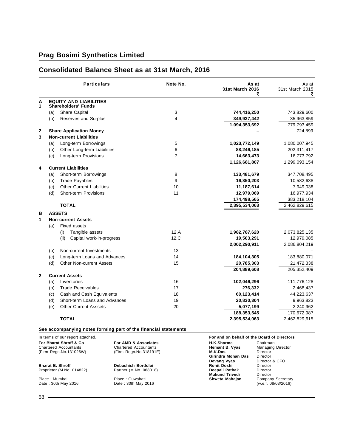#### **Particulars Note No. As at** As at **31st March 2016** 31st March 2015 **र** र **A EQUITY AND LIABILITIES 1 Shareholders' Funds** (a) Share Capital 3 **744,416,250** 743,829,600 (b) Reserves and Surplus 4 **349,937,442** 35,963,859 **1,094,353,692** 779,793,459 **2 Share Application Money –** 724,899 **3 Non-current Liabilities** (a) Long-term Borrowings 5 **1,023,772,149** 1,080,007,945 (b) Other Long-term Liabilities 6 **88,246,185** 202,311,417 (c) Long-term Provisions 7 **14,663,473** 16,773,792 **1,126,681,807** 1,299,093,154 **4 Current Liabilities** (a) Short-term Borrowings 8 **133,481,679** 347,708,495 (b) Trade Payables 9 **16,850,203** 10,582,638 (c) Other Current Liabilities 10 **11,187,614** 7,949,038 (d) Short-term Provisions 11 **12,979,069** 16,977,934 **174,498,565** 383,218,104 **TOTAL 2,395,534,063** 2,462,829,615 **B ASSETS 1 Non-current Assets** (a) Fixed assets (i) Tangible assets 12.A **1,982,787,620** 2,073,825,135 (ii) Capital work-in-progress 12.C **19,503,291** 12,979,085 **2,002,290,911** 2,086,804,219 (b) Non-current Investments 13 **–** – (c) Long-term Loans and Advances 14 **184,104,305** 183,880,071 (d) Other Non-current Assets 15 **20,785,303** 21,472,338 **204,889,608** 205,352,409 **2 Current Assets** (a) Inventories 16 **102,046,296** 111,776,128 (b) Trade Receivables 17 **276,332** 2,468,437 (c) Cash and Cash Equivalents 18 **60,123,414** 44,223,637 (d) Short-term Loans and Advances 19 **20,830,304** 9,963,823 (e) Other Current Asssets 20 **5,077,199** 2,240,962 **188,353,545** 170,672,987 **TOTAL 2,395,534,063** 2,462,829,615

#### **Consolidated Balance Sheet as at 31st March, 2016**

#### **See accompanying notes forming part of the financial statements**

| In terms of our report attached. |                              |                       | For and on behalf of the Board of Directors |  |  |  |
|----------------------------------|------------------------------|-----------------------|---------------------------------------------|--|--|--|
| For Bharat Shroff & Co.          | For AMD & Associates         | H.K.Sharma            | Chairman                                    |  |  |  |
| <b>Chartered Accountants</b>     | <b>Chartered Accountants</b> | Hemant B. Vyas        | <b>Managing Director</b>                    |  |  |  |
| (Firm Regn.No.131026W)           | (Firm Regn.No.318191E)       | M.K.Das               | Director                                    |  |  |  |
|                                  |                              | Girindra Mohan Das    | Director                                    |  |  |  |
|                                  |                              | Devang Vyas           | Director & CFO                              |  |  |  |
| <b>Bharat B. Shroff</b>          | Debashish Bordoloi           | Rohit Doshi           | Director                                    |  |  |  |
| Proprietor (M.No. 014822)        | Partner (M.No. 068018)       | Deepali Pathak        | Director                                    |  |  |  |
|                                  |                              | <b>Mukund Trivedi</b> | Director                                    |  |  |  |
| Place: Mumbai                    | Place: Guwahati              | Shweta Mahajan        | Company Secretary                           |  |  |  |
| Date: 30th May 2016              | Date: 30th May 2016          |                       | (w.e.f. 08/03/2016)                         |  |  |  |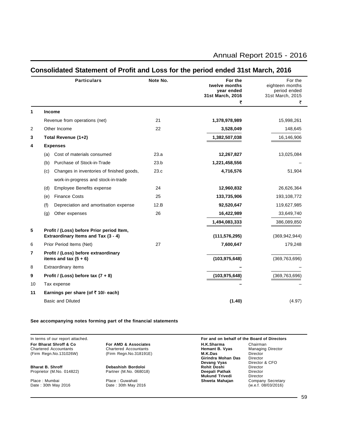|    | <b>Particulars</b>                                              | Note No. | For the<br>twelve months<br>year ended<br>31st March, 2016 | For the<br>eighteen months<br>period ended<br>31st March, 2015 |
|----|-----------------------------------------------------------------|----------|------------------------------------------------------------|----------------------------------------------------------------|
|    |                                                                 |          | ₹                                                          | ₹                                                              |
| 1  | <b>Income</b>                                                   |          |                                                            |                                                                |
|    | Revenue from operations (net)                                   | 21       | 1,378,978,989                                              | 15,998,261                                                     |
| 2  | Other Income                                                    | 22       | 3,528,049                                                  | 148,645                                                        |
| 3  | Total Revenue (1+2)                                             |          | 1,382,507,038                                              | 16,146,906                                                     |
| 4  | <b>Expenses</b>                                                 |          |                                                            |                                                                |
|    | Cost of materials consumed<br>(a)                               | 23.a     | 12,267,827                                                 | 13,025,084                                                     |
|    | Purchase of Stock-in-Trade<br>(b)                               | 23.b     | 1,221,458,556                                              |                                                                |
|    | Changes in inventories of finished goods,<br>(c)                | 23.c     | 4,716,576                                                  | 51,904                                                         |
|    | work-in-progress and stock-in-trade                             |          |                                                            |                                                                |
|    | Employee Benefits expense<br>(d)                                | 24       | 12,960,832                                                 | 26,626,364                                                     |
|    | <b>Finance Costs</b><br>(e)                                     | 25       | 133,735,906                                                | 193,108,772                                                    |
|    | (f)<br>Depreciation and amortisation expense                    | 12.B     | 92,520,647                                                 | 119,627,985                                                    |
|    | (g)<br>Other expenses                                           | 26       | 16,422,989                                                 | 33,649,740                                                     |
|    |                                                                 |          | 1,494,083,333                                              | 386,089,850                                                    |
| 5  | Profit / (Loss) before Prior period Item,                       |          |                                                            |                                                                |
|    | Extraordinary Items and Tax (3 - 4)                             |          | (111, 576, 295)                                            | (369, 942, 944)                                                |
| 6  | Prior Period Items (Net)                                        | 27       | 7,600,647                                                  | 179,248                                                        |
| 7  | Profit / (Loss) before extraordinary<br>items and tax $(5 + 6)$ |          | (103, 975, 648)                                            | (369, 763, 696)                                                |
| 8  | Extraordinary items                                             |          |                                                            |                                                                |
| 9  | Profit / (Loss) before tax $(7 + 8)$                            |          | (103, 975, 648)                                            | (369, 763, 696)                                                |
| 10 | Tax expense                                                     |          |                                                            |                                                                |
| 11 | Earnings per share (of $\bar{\tau}$ 10/- each)                  |          |                                                            |                                                                |
|    | <b>Basic and Diluted</b>                                        |          | (1.40)                                                     | (4.97)                                                         |
|    |                                                                 |          |                                                            |                                                                |

#### **Consolidated Statement of Profit and Loss for the period ended 31st March, 2016**

#### **See accompanying notes forming part of the financial statements**

In terms of our report attached. **For and on behalf of the Board of Directors**

**For Bharat Shroff & Co For AMD & Associates H.K.Sharma** Chairman Chairman<br>Chartered Accountants Chartered Accountants **Hemant B. Vyas** Managing Director Chartered Accountants **Chartered Accountants** Chartered Accountants **Hemant B. Vyas** Managin<br>(Firm Regn.No.131026W) (Firm Regn.No.318191E) **M.K.Das** Director (Firm Regn.No.131026W) (Firm Regn.No.318191E) **M.K.Das** Director **M.K.Das**<br>Girindra Mohan Das<br>Devang Vyas **Devang Vyas** Director & CFO<br> **Rohit Doshi** Director<br> **Deepali Pathak** Director **Bharat B. Shroff Debashish Bordoloi Rohit Doshi** Director Proprietor (M.No. 014822) Partner (M.No. 068018) **Deepali Pathak** Director **Mukund Trivedi** Director<br> **Shweta Mahajan** Company Secretary<br>
(w.e.f. 08/03/2016) Place : Mumbai Place : Guwahati **Shweta Mahajan** Company Secretary Date : 30th May 2016 Date : 30th May 2016 (w.e.f. 08/03/2016)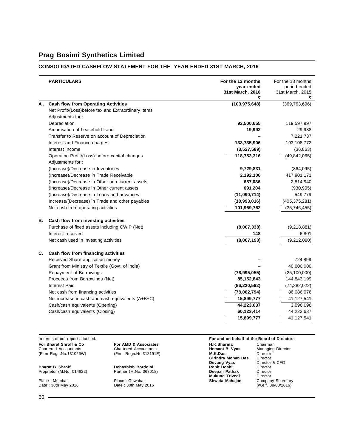#### **CONSOLIDATED CASHFLOW STATEMENT FOR THE YEAR ENDED 31ST MARCH, 2016**

|    | <b>PARTICULARS</b>                                                 | For the 12 months<br>year ended<br>31st March, 2016 | For the 18 months<br>period ended<br>31st March, 2015 |
|----|--------------------------------------------------------------------|-----------------------------------------------------|-------------------------------------------------------|
|    | A. Cash flow from Operating Activities                             | (103, 975, 648)                                     | (369, 763, 696)                                       |
|    | Net Profit/(Loss)before tax and Extraordinary items                |                                                     |                                                       |
|    | Adjustments for:                                                   |                                                     |                                                       |
|    | Depreciation                                                       | 92,500,655                                          | 119,597,997                                           |
|    | Amortisation of Leasehold Land                                     | 19,992                                              | 29,988                                                |
|    | Transfer to Reserve on account of Depreciation                     |                                                     | 7,221,737                                             |
|    | Interest and Finance charges                                       | 133,735,906                                         | 193,108,772                                           |
|    | Interest Income                                                    | (3,527,589)                                         | (36, 863)                                             |
|    | Operating Profit/(Loss) before capital changes<br>Adjustments for: | 118,753,316                                         | (49, 842, 065)                                        |
|    | (Increase)/Decrease in Inventories                                 | 9,729,831                                           | (864,095)                                             |
|    | (Increase)/Decrease in Trade Receivable                            | 2,192,106                                           | 417,901,171                                           |
|    | (Increase)/Decrease in Other non current assets                    | 687,036                                             | 2,814,940                                             |
|    | (Increase)/Decrease in Other current assets                        | 691,204                                             | (930, 905)                                            |
|    | (Increase)/Decrease in Loans and advances                          | (11,090,714)                                        | 549,779                                               |
|    | Increase/(Decrease) in Trade and other payables                    | (18,993,016)                                        | (405, 375, 281)                                       |
|    | Net cash from operating activities                                 | 101,969,762                                         | (35,746,455)                                          |
| В. | Cash flow from investing activities                                |                                                     |                                                       |
|    | Purchase of fixed assets including CWIP (Net)                      | (8,007,338)                                         | (9,218,881)                                           |
|    | Interest received                                                  | 148                                                 | 6,801                                                 |
|    | Net cash used in investing activities                              | (8,007,190)                                         | (9,212,080)                                           |
| C. | Cash flow from financing activities                                |                                                     |                                                       |
|    | Received Share application money                                   |                                                     | 724,899                                               |
|    | Grant from Ministry of Textile (Govt. of India)                    |                                                     | 40,000,000                                            |
|    | Repayment of Borrowings                                            | (76, 995, 055)                                      | (25, 100, 000)                                        |
|    | Proceeds from Borrowings (Net)                                     | 85,152,843                                          | 144,843,199                                           |
|    | <b>Interest Paid</b>                                               | (86, 220, 582)                                      | (74, 382, 022)                                        |
|    | Net cash from financing activities                                 | (78,062,794)                                        | 86,086,076                                            |
|    | Net increase in cash and cash equivalents (A+B+C)                  | 15,899,777                                          | 41,127,541                                            |
|    | Cash/cash equivalents (Opening)                                    | 44,223,637                                          | 3,096,096                                             |
|    | Cash/cash equivalents (Closing)                                    | 60,123,414                                          | 44,223,637                                            |
|    |                                                                    | 15,899,777                                          | 41,127,541                                            |

**For Bharat Shroff & Co For AMD & Associates H.K.Sharma** Chairman Chairman<br>Chartered Accountants Chartered Accountants **Hemant B. Vyas** Managing Director<br>(Firm Regn.No.131026W) (Firm Regn.No.318191E) **M.K.Das** Director (Firm Regn.No.131026W) (Firm Regn.No.318191E) **M.K.Das** Director

**Bharat B. Shroff Debashish Bordoloi Rohit Doshi** Director Proprietor (M.No. 014822) Partner (M.No. 068018) **Deepali Pathak** Director

Place : Mumbai Place : Guwahati **Shweta Mahajan** Company Secretary Date : 30th May 2016 Date : 30th May 2016 (w.e.f. 08/03/2016)

Chartered Accountants (Firm Regn.No.318191E)

#### In terms of our report attached. **For and on behalf of the Board of Directors**

**Girindra Mohan Das** Director **Devang Vyas** Director & CFO **Mukumd Trivedia**<br> **Mohil Director<br>
Mukumd Trivedi** Director<br> **Mukumd Trivedi** Director<br> **Shweta Mahajan** Company Secretary<br>
(w.e.f. 08/03/2016)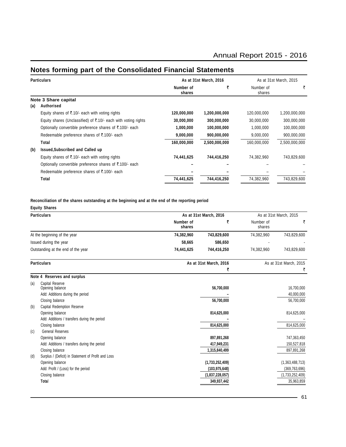#### **Particulars As at 31st March, 2016** As at 31st March, 2016 As at 31st March, 2015 **Number of** ` Number of ` **shares** shares **Note 3 Share capital (a) Authorised** Equity shares of `.10/- each with voting rights **120,000,000 1,200,000,000** 120,000,000 1,200,000,000 Equity shares (Unclassified) of `.10/- each with voting rights **30,000,000 300,000,000** 30,000,000 300,000,000 Optionally convertible preference shares of `.100/- each **1,000,000 100,000,000** 1,000,000 100,000,000 Redeemable preference shares of ₹.100/- each **9,000,000 900,000,000 900,000,000** 9,000,000 900,000,000 900,000,000 **Total 160,000,000 2,500,000,000** 160,000,000 2,500,000,000 **(b) Issued,Subscribed and Called up** Equity shares of `.10/- each with voting rights **74,441,625 744,416,250** 74,382,960 743,829,600 Optionally convertible preference shares of ₹.100/- each Redeemable preference shares of ₹.100/- each **Total 74,441,625 744,416,250** 74,382,960 743,829,600

### **Notes forming part of the Consolidated Financial Statements**

**Reconciliation of the shares outstanding at the beginning and at the end of the reporting period**

|     | <b>Equity Shares</b>                                            |                     |                        |                     |                        |
|-----|-----------------------------------------------------------------|---------------------|------------------------|---------------------|------------------------|
|     | <b>Particulars</b>                                              |                     | As at 31st March, 2016 |                     | As at 31st March, 2015 |
|     |                                                                 | Number of<br>shares | ₹                      | Number of<br>shares | ₹                      |
|     | At the beginning of the year                                    | 74,382,960          | 743,829,600            | 74,382,960          | 743,829,600            |
|     | Issued during the year                                          | 58,665              | 586,650                |                     |                        |
|     | Outstanding at the end of the year                              | 74,441,625          | 744,416,250            | 74,382,960          | 743,829,600            |
|     | <b>Particulars</b>                                              |                     | As at 31st March, 2016 |                     | As at 31st March, 2015 |
|     |                                                                 |                     | ₹                      |                     | ₹                      |
|     | Note 4 Reserves and surplus                                     |                     |                        |                     |                        |
| (a) | Capital Reserve<br>Opening balance                              |                     | 56,700,000             |                     | 16,700,000             |
|     | Add: Additions during the period                                |                     |                        |                     | 40,000,000             |
|     | Closing balance                                                 |                     | 56,700,000             |                     | 56,700,000             |
| (b) | Capital Redemption Reserve                                      |                     |                        |                     |                        |
|     | Opening balance                                                 |                     | 814,625,000            |                     | 814,625,000            |
|     | Add: Additions / transfers during the period<br>Closing balance |                     | 814,625,000            |                     | 814,625,000            |
| (c) | <b>General Reserves</b>                                         |                     |                        |                     |                        |
|     | Opening balance                                                 |                     | 897,891,268            |                     | 747,363,450            |
|     | Add: Additions / transfers during the period                    |                     | 417,949,231            |                     | 150,527,818            |
|     | Closing balance                                                 |                     | 1,315,840,499          |                     | 897,891,268            |
| (d) | Surplus / (Deficit) in Statement of Profit and Loss             |                     |                        |                     |                        |
|     | Opening balance                                                 |                     | (1,733,252,409)        |                     | (1,363,488,713)        |
|     | Add: Profit / (Loss) for the period                             |                     | (103, 975, 648)        |                     | (369, 763, 696)        |
|     | Closing balance                                                 |                     | (1,837,228,057)        |                     | (1,733,252,409)        |
|     | Total                                                           |                     | 349,937,442            |                     | 35,963,859             |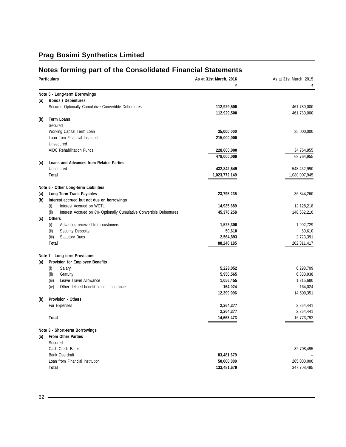### **Notes forming part of the Consolidated Financial Statements**

|     | <b>Particulars</b>                                                          | As at 31st March, 2016 | As at 31st March, 2015 |
|-----|-----------------------------------------------------------------------------|------------------------|------------------------|
|     |                                                                             | ₹                      | ₹                      |
|     | Note 5 - Long-term Borrowings                                               |                        |                        |
| (a) | <b>Bonds / Debentures</b>                                                   |                        |                        |
|     | Secured Optionally Cumulative Convertible Debentures                        | 112,929,500            | 461,780,000            |
|     |                                                                             | 112,929,500            | 461,780,000            |
| (b) | <b>Term Loans</b>                                                           |                        |                        |
|     | Secured                                                                     |                        |                        |
|     | Working Capital Term Loan                                                   | 35,000,000             | 35,000,000             |
|     | Loan from Financial Institution                                             | 215,000,000            |                        |
|     | Unsecured                                                                   |                        |                        |
|     | <b>AIDC Rehabilitation Funds</b>                                            | 228,000,000            | 34,764,955             |
|     |                                                                             | 478,000,000            | 69,764,955             |
| (c) | <b>Loans and Advances from Related Parties</b>                              |                        |                        |
|     | Unsecured                                                                   | 432,842,649            | 548,462,990            |
|     | Total                                                                       | 1,023,772,149          | 1,080,007,945          |
|     | Note 6 - Other Long-term Liabilities                                        |                        |                        |
| (a) | Long Term Trade Payables                                                    | 23,795,235             | 36,844,260             |
| (b) | Interest accrued but not due on borrowings                                  |                        |                        |
|     | Interest Accrued on WCTL<br>(i)                                             | 14,935,889             | 12,128,218             |
|     | (ii)<br>Interest Accrued on 8% Optionally Cumulative Convertible Debentures | 45,376,258             | 148,662,210            |
| (c) | <b>Others</b>                                                               |                        |                        |
|     | (i)<br>Advances received from customers                                     | 1,523,300              | 1,902,729              |
|     | (i)<br><b>Security Deposits</b>                                             | 50,610                 | 50,610                 |
|     | (iii)<br><b>Statutory Dues</b>                                              | 2,564,893              | 2,723,391              |
|     | <b>Total</b>                                                                | 88,246,185             | 202,311,417            |
|     |                                                                             |                        |                        |
|     | Note 7 - Long-term Provisions<br><b>Provision for Employee Benefits</b>     |                        |                        |
| (a) |                                                                             | 5,228,052              | 6,298,709              |
|     | (i)<br>Salary<br>(ii)<br>Gratuity                                           | 5,950,565              | 6,830,938              |
|     | Leave Travel Allowance<br>(iii)                                             | 1,056,455              | 1,215,680              |
|     | (iv)<br>Other defined benefit plans - Insurance                             | 164,024                | 164,024                |
|     |                                                                             | 12,399,096             | 14,509,351             |
| (b) | Provision - Others                                                          |                        |                        |
|     | For Expenses                                                                | 2,264,377              | 2,264,441              |
|     |                                                                             | 2,264,377              | 2,264,441              |
|     | Total                                                                       | 14,663,473             | 16,773,792             |
|     |                                                                             |                        |                        |
|     | Note 8 - Short-term Borrowings                                              |                        |                        |
| (a) | From Other Parties                                                          |                        |                        |
|     | Secured                                                                     |                        |                        |
|     | Cash Credit Banks                                                           |                        | 82,708,495             |
|     | <b>Bank Overdraft</b>                                                       | 83,481,679             |                        |
|     | Loan from Financial Institution                                             | 50,000,000             | 265,000,000            |
|     | Total                                                                       | 133,481,679            | 347,708,495            |
|     |                                                                             |                        |                        |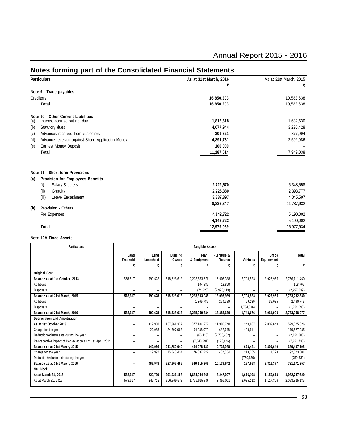| <b>Particulars</b>                                      | As at 31st March, 2016 | As at 31st March, 2015 |
|---------------------------------------------------------|------------------------|------------------------|
|                                                         | ₹                      | ₹                      |
| Note 9 - Trade payables                                 |                        |                        |
| Creditors                                               | 16,850,203             | 10,582,638             |
| Total                                                   | 16,850,203             | 10,582,638             |
| Note 10 - Other Current Liabilities                     |                        |                        |
| Interest accrued but not due<br>(a)                     | 1,816,618              | 1,682,630              |
| (b)<br>Statutory dues                                   | 4,077,944              | 3,295,428              |
| Advances received from customers<br>(c)                 | 301,321                | 377,994                |
| Advance received against Share Application Money<br>(d) | 4,891,731              | 2,592,986              |
| <b>Earnest Money Deposit</b><br>(e)                     | 100,000                |                        |
| Total                                                   | 11,187,614             | 7,949,038              |
| Note 11 - Short-term Provisions                         |                        |                        |
| <b>Provision for Employees Benefits</b><br>(a)          |                        |                        |
| Salary & others<br>(i)                                  | 2,722,570              | 5,348,558              |
| (ii)<br>Gratuity                                        | 2,226,380              | 2,393,777              |
| (iii)<br>Leave Encashment                               | 3,887,397              | 4,045,597              |
|                                                         | 8,836,347              | 11,787,932             |
| <b>Provision - Others</b><br>(b)                        |                        |                        |
| For Expenses                                            | 4,142,722              | 5,190,002              |
|                                                         | 4,142,722              | 5,190,002              |
| Total                                                   | 12,979,069             | 16,977,934             |

### **Notes forming part of the Consolidated Financial Statements**

### **Note 12A Fixed Assets**

| <b>Particulars</b>                                         | <b>Tangible Assets</b> |                   |                          |                      |                                |                 |                          |               |
|------------------------------------------------------------|------------------------|-------------------|--------------------------|----------------------|--------------------------------|-----------------|--------------------------|---------------|
|                                                            | Land<br>Freehold       | Land<br>Leasehold | <b>Building</b><br>Owned | Plant<br>& Equipment | Furniture &<br><b>Fixtures</b> | <b>Vehicles</b> | Office<br>Equipement     | Total         |
|                                                            | ₹                      | ₹                 |                          |                      | ₹                              | ₹               | ₹                        | ₹             |
| <b>Original Cost</b>                                       |                        |                   |                          |                      |                                |                 |                          |               |
| Balance as at 1st October, 2013                            | 578,617                | 599,678           | 518,628,613              | 2,223,663,676        | 16,005,388                     | 2,708,533       | 3,926,955                | 2,766,111,460 |
| Additions                                                  |                        |                   |                          | 104.889              | 13.820                         |                 |                          | 118.709       |
| <b>Disposals</b>                                           |                        |                   |                          | (74, 620)            | (2,923,219)                    |                 |                          | (2,997,839)   |
| Balance as at 31st March, 2015                             | 578.617                | 599.678           | 518.628.613              | 2,223,693,945        | 13,095,989                     | 2,708,533       | 3,926,955                | 2,763,232,330 |
| Additions                                                  |                        | ۰                 |                          | 1,365,789            | 290,680                        | 769,239         | 35.035                   | 2,460,743     |
| <b>Disposals</b>                                           |                        |                   |                          |                      |                                | (1,734,096)     |                          | (1,734,096)   |
| Balance as at 31st March, 2016                             | 578,617                | 599,678           | 518,628,613              | 2,225,059,734        | 13,386,669                     | 1,743,676       | 3,961,990                | 2,763,958,977 |
| Depreciation and Amortization                              |                        |                   |                          |                      |                                |                 |                          |               |
| As at 1st October 2013                                     | -                      | 319.968           | 187.361.377              | 377,104,277          | 11.980.748                     | 249.807         | 2,809,649                | 579,825,826   |
| Charge for the year                                        | -                      | 29,988            | 24,397,663               | 94,088,972           | 687,748                        | 423,614         | $\overline{\phantom{0}}$ | 119,627,985   |
| Deduction/Adjustments during the year                      |                        |                   |                          | (66, 418)            | (2,758,462)                    |                 |                          | (2,824,880)   |
| Retrospective impact of Depreciation as of 1st April, 2014 | -                      |                   |                          | (7,048,691)          | (173,046)                      |                 |                          | (7, 221, 736) |
| Balance as at 31st March, 2015                             | -                      | 349,956           | 211,759,040              | 464,078,139          | 9,736,988                      | 673,421         | 2,809,649                | 689,407,195   |
| Charge for the year                                        | Ξ.                     | 19,992            | 15,848,414               | 76,037,227           | 402,654                        | 213,785         | 1.728                    | 92,523,801    |
| Deduction/Adjustments during the year                      | -                      |                   |                          |                      |                                | (759, 639)      |                          | (759, 639)    |
| Balance as at 31st March, 2016                             | Ξ.                     | 369,948           | 227,607,455              | 540,115,366          | 10,139,642                     | 127,568         | 2,811,377                | 781,171,357   |
| Net Block                                                  |                        |                   |                          |                      |                                |                 |                          |               |
| As at March 31, 2016                                       | 578,617                | 229,730           | 291,021,158              | 1,684,944,368        | 3,247,027                      | 1,616,108       | 1,150,613                | 1,982,787,620 |
| As at March 31, 2015                                       | 578,617                | 249,722           | 306,869,573              | 1,759,615,806        | 3,359,001                      | 2,035,112       | 1,117,306                | 2,073,825,135 |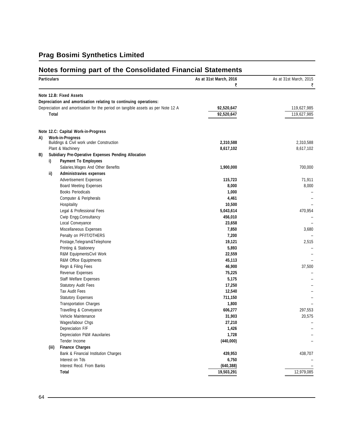### **Notes forming part of the Consolidated Financial Statements**

| ₹<br>Note 12.B: Fixed Assets<br>Depreciation and amortisation relating to continuing operations:<br>Depreciation and amortisation for the period on tangible assets as per Note 12 A<br>92,520,647<br>119,627,985<br>92,520,647<br>119,627,985<br>Total<br>Note 12.C: Capital Work-in-Progress<br><b>Work-in-Progress</b><br>A)<br>Buildings & Civil work under Construction<br>2,310,588<br>2,310,588<br>Plant & Machinery<br>8,617,102<br>Subidiary Pre-Operative Expenses Pending Allocation<br>B)<br><b>Payment To Employees</b><br>i)<br>1,900,000<br>Salaries, Wages And Other Benefits<br>Administravies expenses<br>ii)<br><b>Advertisement Expenses</b><br>115,723<br>71,911<br>8,000<br><b>Board Meeting Expenses</b><br><b>Books Periodicals</b><br>1,000<br>Computer & Peripherals<br>4,461<br>10,500<br>Hospitality<br>Legal & Professional Fees<br>5,043,614<br>470,954<br>Cwip Engg.Consultancy<br>456,010<br>Local Conveyance<br>23,658<br>Miscellaneous Expenses<br>7,850<br>Penalty on PF/IT/OTHERS<br>7,200<br>Postage, Telegram& Telephone<br>19,121<br>2,515<br>Printing & Stationery<br>5,893<br>R&M EquipmentsCivil Work<br>22,559<br>45,113<br>R&M Office Equiptments<br>Regn & Filing Fees<br>46,900<br>Revenue Expenses<br>75,225<br>5,175<br><b>Staff Welfare Expenses</b><br><b>Statutory Audit Fees</b><br>17,250<br><b>Tax Audit Fees</b><br>12,540<br>711,150<br><b>Statutory Expenses</b><br><b>Transportation Charges</b><br>1,800<br>Travelling & Conveyance<br>606,277<br>Vehicle Maintenance<br>31,903<br>20,575<br>Wages/labour Chgs<br>27,210<br>Depreciation F/F<br>1,426<br>Depreciation P&M Aauxilaries<br>1,728<br>Tender Income<br>(440,000)<br><b>Finance Charges</b><br>(iii)<br>Bank & Financial Institution Charges<br>439,953<br>Interest on Tds<br>6,750<br>Interest Recd. From Banks<br>(640, 388)<br>12,979,085<br>Total<br>19,503,291 | <b>Particulars</b> |  | As at 31st March, 2016 | As at 31st March, 2015 |
|-------------------------------------------------------------------------------------------------------------------------------------------------------------------------------------------------------------------------------------------------------------------------------------------------------------------------------------------------------------------------------------------------------------------------------------------------------------------------------------------------------------------------------------------------------------------------------------------------------------------------------------------------------------------------------------------------------------------------------------------------------------------------------------------------------------------------------------------------------------------------------------------------------------------------------------------------------------------------------------------------------------------------------------------------------------------------------------------------------------------------------------------------------------------------------------------------------------------------------------------------------------------------------------------------------------------------------------------------------------------------------------------------------------------------------------------------------------------------------------------------------------------------------------------------------------------------------------------------------------------------------------------------------------------------------------------------------------------------------------------------------------------------------------------------------------------------------------------------------------------------------------------|--------------------|--|------------------------|------------------------|
|                                                                                                                                                                                                                                                                                                                                                                                                                                                                                                                                                                                                                                                                                                                                                                                                                                                                                                                                                                                                                                                                                                                                                                                                                                                                                                                                                                                                                                                                                                                                                                                                                                                                                                                                                                                                                                                                                           |                    |  |                        |                        |
|                                                                                                                                                                                                                                                                                                                                                                                                                                                                                                                                                                                                                                                                                                                                                                                                                                                                                                                                                                                                                                                                                                                                                                                                                                                                                                                                                                                                                                                                                                                                                                                                                                                                                                                                                                                                                                                                                           |                    |  |                        |                        |
|                                                                                                                                                                                                                                                                                                                                                                                                                                                                                                                                                                                                                                                                                                                                                                                                                                                                                                                                                                                                                                                                                                                                                                                                                                                                                                                                                                                                                                                                                                                                                                                                                                                                                                                                                                                                                                                                                           |                    |  |                        |                        |
|                                                                                                                                                                                                                                                                                                                                                                                                                                                                                                                                                                                                                                                                                                                                                                                                                                                                                                                                                                                                                                                                                                                                                                                                                                                                                                                                                                                                                                                                                                                                                                                                                                                                                                                                                                                                                                                                                           |                    |  |                        |                        |
|                                                                                                                                                                                                                                                                                                                                                                                                                                                                                                                                                                                                                                                                                                                                                                                                                                                                                                                                                                                                                                                                                                                                                                                                                                                                                                                                                                                                                                                                                                                                                                                                                                                                                                                                                                                                                                                                                           |                    |  |                        |                        |
|                                                                                                                                                                                                                                                                                                                                                                                                                                                                                                                                                                                                                                                                                                                                                                                                                                                                                                                                                                                                                                                                                                                                                                                                                                                                                                                                                                                                                                                                                                                                                                                                                                                                                                                                                                                                                                                                                           |                    |  |                        |                        |
|                                                                                                                                                                                                                                                                                                                                                                                                                                                                                                                                                                                                                                                                                                                                                                                                                                                                                                                                                                                                                                                                                                                                                                                                                                                                                                                                                                                                                                                                                                                                                                                                                                                                                                                                                                                                                                                                                           |                    |  |                        |                        |
| 8,617,102<br>700,000<br>8,000<br>3,680<br>37,500<br>297,553<br>438,707                                                                                                                                                                                                                                                                                                                                                                                                                                                                                                                                                                                                                                                                                                                                                                                                                                                                                                                                                                                                                                                                                                                                                                                                                                                                                                                                                                                                                                                                                                                                                                                                                                                                                                                                                                                                                    |                    |  |                        |                        |
|                                                                                                                                                                                                                                                                                                                                                                                                                                                                                                                                                                                                                                                                                                                                                                                                                                                                                                                                                                                                                                                                                                                                                                                                                                                                                                                                                                                                                                                                                                                                                                                                                                                                                                                                                                                                                                                                                           |                    |  |                        |                        |
|                                                                                                                                                                                                                                                                                                                                                                                                                                                                                                                                                                                                                                                                                                                                                                                                                                                                                                                                                                                                                                                                                                                                                                                                                                                                                                                                                                                                                                                                                                                                                                                                                                                                                                                                                                                                                                                                                           |                    |  |                        |                        |
|                                                                                                                                                                                                                                                                                                                                                                                                                                                                                                                                                                                                                                                                                                                                                                                                                                                                                                                                                                                                                                                                                                                                                                                                                                                                                                                                                                                                                                                                                                                                                                                                                                                                                                                                                                                                                                                                                           |                    |  |                        |                        |
|                                                                                                                                                                                                                                                                                                                                                                                                                                                                                                                                                                                                                                                                                                                                                                                                                                                                                                                                                                                                                                                                                                                                                                                                                                                                                                                                                                                                                                                                                                                                                                                                                                                                                                                                                                                                                                                                                           |                    |  |                        |                        |
|                                                                                                                                                                                                                                                                                                                                                                                                                                                                                                                                                                                                                                                                                                                                                                                                                                                                                                                                                                                                                                                                                                                                                                                                                                                                                                                                                                                                                                                                                                                                                                                                                                                                                                                                                                                                                                                                                           |                    |  |                        |                        |
|                                                                                                                                                                                                                                                                                                                                                                                                                                                                                                                                                                                                                                                                                                                                                                                                                                                                                                                                                                                                                                                                                                                                                                                                                                                                                                                                                                                                                                                                                                                                                                                                                                                                                                                                                                                                                                                                                           |                    |  |                        |                        |
|                                                                                                                                                                                                                                                                                                                                                                                                                                                                                                                                                                                                                                                                                                                                                                                                                                                                                                                                                                                                                                                                                                                                                                                                                                                                                                                                                                                                                                                                                                                                                                                                                                                                                                                                                                                                                                                                                           |                    |  |                        |                        |
|                                                                                                                                                                                                                                                                                                                                                                                                                                                                                                                                                                                                                                                                                                                                                                                                                                                                                                                                                                                                                                                                                                                                                                                                                                                                                                                                                                                                                                                                                                                                                                                                                                                                                                                                                                                                                                                                                           |                    |  |                        |                        |
|                                                                                                                                                                                                                                                                                                                                                                                                                                                                                                                                                                                                                                                                                                                                                                                                                                                                                                                                                                                                                                                                                                                                                                                                                                                                                                                                                                                                                                                                                                                                                                                                                                                                                                                                                                                                                                                                                           |                    |  |                        |                        |
|                                                                                                                                                                                                                                                                                                                                                                                                                                                                                                                                                                                                                                                                                                                                                                                                                                                                                                                                                                                                                                                                                                                                                                                                                                                                                                                                                                                                                                                                                                                                                                                                                                                                                                                                                                                                                                                                                           |                    |  |                        |                        |
|                                                                                                                                                                                                                                                                                                                                                                                                                                                                                                                                                                                                                                                                                                                                                                                                                                                                                                                                                                                                                                                                                                                                                                                                                                                                                                                                                                                                                                                                                                                                                                                                                                                                                                                                                                                                                                                                                           |                    |  |                        |                        |
|                                                                                                                                                                                                                                                                                                                                                                                                                                                                                                                                                                                                                                                                                                                                                                                                                                                                                                                                                                                                                                                                                                                                                                                                                                                                                                                                                                                                                                                                                                                                                                                                                                                                                                                                                                                                                                                                                           |                    |  |                        |                        |
|                                                                                                                                                                                                                                                                                                                                                                                                                                                                                                                                                                                                                                                                                                                                                                                                                                                                                                                                                                                                                                                                                                                                                                                                                                                                                                                                                                                                                                                                                                                                                                                                                                                                                                                                                                                                                                                                                           |                    |  |                        |                        |
|                                                                                                                                                                                                                                                                                                                                                                                                                                                                                                                                                                                                                                                                                                                                                                                                                                                                                                                                                                                                                                                                                                                                                                                                                                                                                                                                                                                                                                                                                                                                                                                                                                                                                                                                                                                                                                                                                           |                    |  |                        |                        |
|                                                                                                                                                                                                                                                                                                                                                                                                                                                                                                                                                                                                                                                                                                                                                                                                                                                                                                                                                                                                                                                                                                                                                                                                                                                                                                                                                                                                                                                                                                                                                                                                                                                                                                                                                                                                                                                                                           |                    |  |                        |                        |
|                                                                                                                                                                                                                                                                                                                                                                                                                                                                                                                                                                                                                                                                                                                                                                                                                                                                                                                                                                                                                                                                                                                                                                                                                                                                                                                                                                                                                                                                                                                                                                                                                                                                                                                                                                                                                                                                                           |                    |  |                        |                        |
|                                                                                                                                                                                                                                                                                                                                                                                                                                                                                                                                                                                                                                                                                                                                                                                                                                                                                                                                                                                                                                                                                                                                                                                                                                                                                                                                                                                                                                                                                                                                                                                                                                                                                                                                                                                                                                                                                           |                    |  |                        |                        |
|                                                                                                                                                                                                                                                                                                                                                                                                                                                                                                                                                                                                                                                                                                                                                                                                                                                                                                                                                                                                                                                                                                                                                                                                                                                                                                                                                                                                                                                                                                                                                                                                                                                                                                                                                                                                                                                                                           |                    |  |                        |                        |
|                                                                                                                                                                                                                                                                                                                                                                                                                                                                                                                                                                                                                                                                                                                                                                                                                                                                                                                                                                                                                                                                                                                                                                                                                                                                                                                                                                                                                                                                                                                                                                                                                                                                                                                                                                                                                                                                                           |                    |  |                        |                        |
|                                                                                                                                                                                                                                                                                                                                                                                                                                                                                                                                                                                                                                                                                                                                                                                                                                                                                                                                                                                                                                                                                                                                                                                                                                                                                                                                                                                                                                                                                                                                                                                                                                                                                                                                                                                                                                                                                           |                    |  |                        |                        |
|                                                                                                                                                                                                                                                                                                                                                                                                                                                                                                                                                                                                                                                                                                                                                                                                                                                                                                                                                                                                                                                                                                                                                                                                                                                                                                                                                                                                                                                                                                                                                                                                                                                                                                                                                                                                                                                                                           |                    |  |                        |                        |
|                                                                                                                                                                                                                                                                                                                                                                                                                                                                                                                                                                                                                                                                                                                                                                                                                                                                                                                                                                                                                                                                                                                                                                                                                                                                                                                                                                                                                                                                                                                                                                                                                                                                                                                                                                                                                                                                                           |                    |  |                        |                        |
|                                                                                                                                                                                                                                                                                                                                                                                                                                                                                                                                                                                                                                                                                                                                                                                                                                                                                                                                                                                                                                                                                                                                                                                                                                                                                                                                                                                                                                                                                                                                                                                                                                                                                                                                                                                                                                                                                           |                    |  |                        |                        |
|                                                                                                                                                                                                                                                                                                                                                                                                                                                                                                                                                                                                                                                                                                                                                                                                                                                                                                                                                                                                                                                                                                                                                                                                                                                                                                                                                                                                                                                                                                                                                                                                                                                                                                                                                                                                                                                                                           |                    |  |                        |                        |
|                                                                                                                                                                                                                                                                                                                                                                                                                                                                                                                                                                                                                                                                                                                                                                                                                                                                                                                                                                                                                                                                                                                                                                                                                                                                                                                                                                                                                                                                                                                                                                                                                                                                                                                                                                                                                                                                                           |                    |  |                        |                        |
|                                                                                                                                                                                                                                                                                                                                                                                                                                                                                                                                                                                                                                                                                                                                                                                                                                                                                                                                                                                                                                                                                                                                                                                                                                                                                                                                                                                                                                                                                                                                                                                                                                                                                                                                                                                                                                                                                           |                    |  |                        |                        |
|                                                                                                                                                                                                                                                                                                                                                                                                                                                                                                                                                                                                                                                                                                                                                                                                                                                                                                                                                                                                                                                                                                                                                                                                                                                                                                                                                                                                                                                                                                                                                                                                                                                                                                                                                                                                                                                                                           |                    |  |                        |                        |
|                                                                                                                                                                                                                                                                                                                                                                                                                                                                                                                                                                                                                                                                                                                                                                                                                                                                                                                                                                                                                                                                                                                                                                                                                                                                                                                                                                                                                                                                                                                                                                                                                                                                                                                                                                                                                                                                                           |                    |  |                        |                        |
|                                                                                                                                                                                                                                                                                                                                                                                                                                                                                                                                                                                                                                                                                                                                                                                                                                                                                                                                                                                                                                                                                                                                                                                                                                                                                                                                                                                                                                                                                                                                                                                                                                                                                                                                                                                                                                                                                           |                    |  |                        |                        |
|                                                                                                                                                                                                                                                                                                                                                                                                                                                                                                                                                                                                                                                                                                                                                                                                                                                                                                                                                                                                                                                                                                                                                                                                                                                                                                                                                                                                                                                                                                                                                                                                                                                                                                                                                                                                                                                                                           |                    |  |                        |                        |
|                                                                                                                                                                                                                                                                                                                                                                                                                                                                                                                                                                                                                                                                                                                                                                                                                                                                                                                                                                                                                                                                                                                                                                                                                                                                                                                                                                                                                                                                                                                                                                                                                                                                                                                                                                                                                                                                                           |                    |  |                        |                        |
|                                                                                                                                                                                                                                                                                                                                                                                                                                                                                                                                                                                                                                                                                                                                                                                                                                                                                                                                                                                                                                                                                                                                                                                                                                                                                                                                                                                                                                                                                                                                                                                                                                                                                                                                                                                                                                                                                           |                    |  |                        |                        |
|                                                                                                                                                                                                                                                                                                                                                                                                                                                                                                                                                                                                                                                                                                                                                                                                                                                                                                                                                                                                                                                                                                                                                                                                                                                                                                                                                                                                                                                                                                                                                                                                                                                                                                                                                                                                                                                                                           |                    |  |                        |                        |
|                                                                                                                                                                                                                                                                                                                                                                                                                                                                                                                                                                                                                                                                                                                                                                                                                                                                                                                                                                                                                                                                                                                                                                                                                                                                                                                                                                                                                                                                                                                                                                                                                                                                                                                                                                                                                                                                                           |                    |  |                        |                        |
|                                                                                                                                                                                                                                                                                                                                                                                                                                                                                                                                                                                                                                                                                                                                                                                                                                                                                                                                                                                                                                                                                                                                                                                                                                                                                                                                                                                                                                                                                                                                                                                                                                                                                                                                                                                                                                                                                           |                    |  |                        |                        |
|                                                                                                                                                                                                                                                                                                                                                                                                                                                                                                                                                                                                                                                                                                                                                                                                                                                                                                                                                                                                                                                                                                                                                                                                                                                                                                                                                                                                                                                                                                                                                                                                                                                                                                                                                                                                                                                                                           |                    |  |                        |                        |
|                                                                                                                                                                                                                                                                                                                                                                                                                                                                                                                                                                                                                                                                                                                                                                                                                                                                                                                                                                                                                                                                                                                                                                                                                                                                                                                                                                                                                                                                                                                                                                                                                                                                                                                                                                                                                                                                                           |                    |  |                        |                        |

<u> 1989 - Johann Barbara, martxa alemaniar arg</u>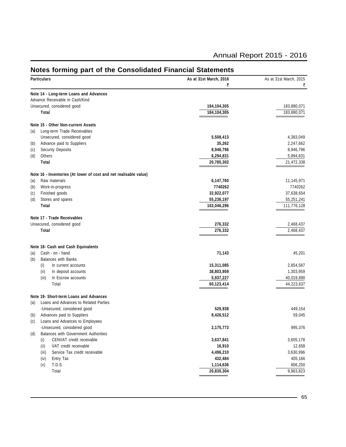|     | Notes forming part of the Consolidated Financial Statements<br><b>Particulars</b> | As at 31st March, 2016  | As at 31st March, 2015 |
|-----|-----------------------------------------------------------------------------------|-------------------------|------------------------|
|     |                                                                                   | ₹                       | ₹                      |
|     | Note 14 - Long-term Loans and Advances                                            |                         |                        |
|     | Advance Receivable in Cash/Kind                                                   |                         |                        |
|     | Unsecured, considered good                                                        | 184,104,305             | 183,880,071            |
|     | Total                                                                             | 184,104,305             | 183,880,071            |
|     | Note 15 - Other Non-current Assets                                                |                         |                        |
| (a) | Long-term Trade Receivables                                                       |                         |                        |
|     | Unsecured, considered good                                                        | 5,508,413               | 4,383,049              |
| (b) | Advance paid to Suppliers                                                         | 35,262                  | 2,247,662              |
| (c) | <b>Security Deposits</b>                                                          | 8,946,796               | 8,946,796              |
| (d) | Others                                                                            | 6,294,831               | 5,894,831              |
|     | Total                                                                             | 20,785,302              | 21,472,338             |
|     | Note 16 - Inventories (At lower of cost and net realisable value)                 |                         |                        |
| (a) | Raw materials                                                                     | 6,147,760               | 11,145,971             |
| (b) | Work-in-progress                                                                  | 7740262                 | 7740262                |
| (c) | Finished goods                                                                    | 32,922,077              | 37,638,654             |
| (d) | Stores and spares                                                                 | 55,236,197              | 55,251,241             |
|     | Total                                                                             | 102,046,296             | 111,776,128            |
|     | Note 17 - Trade Receivables                                                       |                         |                        |
|     | Unsecured, considered good                                                        | 276,332                 | 2,468,437              |
|     | Total                                                                             | 276,332                 | 2,468,437              |
|     |                                                                                   |                         |                        |
|     | Note 18- Cash and Cash Equivalents                                                |                         |                        |
| (a) | Cash - on - hand                                                                  | 71,143                  | 45,201                 |
| (b) | <b>Balances with Banks</b>                                                        |                         |                        |
|     | (i)<br>In current accounts                                                        | 15,311,085              | 2,854,587              |
|     | (ii)<br>In deposit accounts                                                       | 38,803,959              | 1,303,959              |
|     | In Escrow accounts<br>(iii)                                                       | 5,937,227               | 40,019,890             |
|     | Total                                                                             | 60,123,414              | 44,223,637             |
|     | Note 19- Short-term Loans and Advances                                            |                         |                        |
| (a) | Loans and Advances to Related Parties                                             |                         |                        |
|     | -Unsecured, considered good                                                       | 529,938                 | 449,154                |
| (b) | Advances paid to Suppliers                                                        | 8,426,512               | 59,045                 |
| (c) | Loans and Advances to Employees                                                   |                         |                        |
|     | -Unsecured, considered good                                                       | 2,175,773               | 995,376                |
| (d) | Balances with Government Authorities                                              |                         |                        |
|     | CENVAT credit receivable<br>(i)                                                   | 3,637,841               | 3,605,178              |
|     | (ii)<br>VAT credit receivable                                                     | 16,910                  | 12,658                 |
|     | Service Tax credit receivable<br>(iii)                                            | 4,496,210               | 3,630,996              |
|     | Entry Tax<br>(iv)                                                                 | 432,484                 | 405,166                |
|     |                                                                                   |                         |                        |
|     | T.D.S.<br>(v)<br>Total                                                            | 1,114,636<br>20,830,304 | 806,250<br>9,963,823   |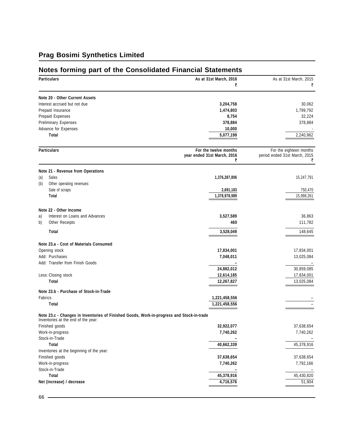### **Notes forming part of the Consolidated Financial Statements**

| <b>Particulars</b>           |                                                                                                                                  | As at 31st March, 2016           | As at 31st March, 2015        |
|------------------------------|----------------------------------------------------------------------------------------------------------------------------------|----------------------------------|-------------------------------|
|                              |                                                                                                                                  | ₹                                | ₹                             |
|                              | Note 20 - Other Current Assets                                                                                                   |                                  |                               |
| Interest accrued but not due |                                                                                                                                  | 3,204,758                        | 30,062                        |
|                              | Prepaid Insurance                                                                                                                | 1,474,803                        | 1,799,792                     |
|                              | Prepaid Expenses                                                                                                                 | 8,754                            | 32,224                        |
|                              | <b>Preliminary Expenses</b>                                                                                                      | 378,884                          | 378,884                       |
|                              | Advance for Expenses                                                                                                             | 10,000                           |                               |
|                              | Total                                                                                                                            | 5,077,199                        | 2,240,962                     |
|                              | <b>Particulars</b>                                                                                                               | For the twelve months            | For the eighteen months       |
|                              |                                                                                                                                  | year ended 31st March, 2016<br>₹ | period ended 31st March, 2015 |
|                              | Note 21 - Revenue from Operations                                                                                                |                                  |                               |
| (a)                          | Sales                                                                                                                            | 1,376,287,806                    | 15,247,791                    |
| (b)                          | Other operating revenues:                                                                                                        |                                  |                               |
|                              | Sale of scraps                                                                                                                   | 2,691,183                        | 750,470                       |
|                              | Total                                                                                                                            | 1,378,978,989                    | 15,998,261                    |
|                              | Note 22 - Other Income                                                                                                           |                                  |                               |
| a)                           | Interest on Loans and Advances                                                                                                   | 3,527,589                        | 36,863                        |
| b)                           | Other Receipts                                                                                                                   | 460                              | 111,782                       |
|                              |                                                                                                                                  |                                  |                               |
|                              | Total                                                                                                                            | 3,528,049                        | 148,645                       |
|                              | Note 23.a - Cost of Materials Consumed                                                                                           |                                  |                               |
|                              | Opening stock                                                                                                                    | 17,834,001                       | 17,834,001                    |
|                              | Add: Purchases                                                                                                                   | 7,048,011                        | 13,025,084                    |
|                              | Add: Transfer from Finish Goods                                                                                                  |                                  |                               |
|                              |                                                                                                                                  | 24,882,012                       | 30,859,085                    |
|                              | Less: Closing stock                                                                                                              | 12,614,185                       | 17,834,001                    |
|                              | Total                                                                                                                            | 12,267,827                       | 13,025,084                    |
|                              | Note 23.b - Purchase of Stock-in-Trade                                                                                           |                                  |                               |
| Fabrics                      |                                                                                                                                  | 1,221,458,556                    |                               |
|                              | Total                                                                                                                            | 1,221,458,556                    |                               |
|                              | Note 23.c - Changes in Inventories of Finished Goods, Work-in-progress and Stock-in-trade<br>Inventories at the end of the year: |                                  |                               |
|                              | Finished goods                                                                                                                   | 32,922,077                       | 37,638,654                    |
|                              | Work-in-progress                                                                                                                 | 7,740,262                        | 7,740,262                     |
|                              | Stock-in-Trade                                                                                                                   |                                  |                               |
|                              | Total                                                                                                                            | 40,662,339                       | 45,378,916                    |
|                              | Inventories at the beginning of the year:                                                                                        |                                  |                               |
|                              | Finished goods                                                                                                                   | 37,638,654                       | 37,638,654                    |
|                              | Work-in-progress                                                                                                                 | 7,740,262                        | 7,792,166                     |
|                              | Stock-in-Trade                                                                                                                   |                                  |                               |
|                              | Total                                                                                                                            | 45,378,916                       | 45,430,820                    |
|                              | Net (increase) / decrease                                                                                                        | 4,716,576                        | 51,904                        |
|                              |                                                                                                                                  |                                  |                               |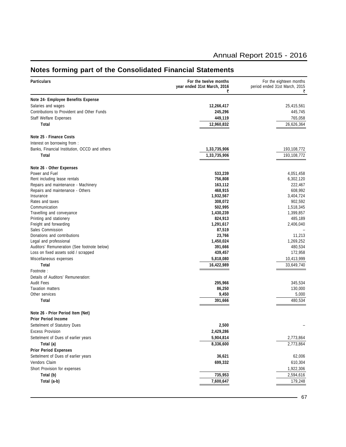#### **Particulars For the twelve months For the eighteen months For the eighteen months For the eighteen months For the eighteen months For the eighteen months Particulars Particulars Particulars Particulars year ended 31st March, 2016** period ended 31st March, 2015  $\vec{\zeta}$  and  $\vec{\zeta}$ **Note 24- Employee Benefits Expense** Salaries and wages **12,266,417** 25,415,561 Contributions to Provident and Other Funds **245,296** 445,745 Staff Welfare Expenses **449,119** 765,058 **Total 12,960,832** 26,626,364 **Note 25 - Finance Costs** Interest on borrowing from : Banks, Financial Institution, OCCD and others **1,33,735,906** 193,108,772 **Total 1,33,735,906** 193,108,772 **Note 26 - Other Expenses** Power and Fuel **533,239** 4,051,458 Rent including lease rentals **756,808** 6,302,120 Repairs and maintenance - Machinery **163,112** 222,467 Repairs and maintenance - Others **608,992**<br>
Insurance **1,932,567** 608,992<br> **1,932,567** 3,404,724 Insurance **1,932,567** 3,404,724 Rates and taxes **308,072** 902,592 Communication **502,995** 1,518,345 Travelling and conveyance **1,430,239** 1,399,857 Printing and stationery **824,913** 485,189 Freight and forwarding **1,291,617** 2,406,040 Sales Commission **87,519** – Donations and contributions **23,766** 11,213 Legal and professional **1,450,024** 1,269,252 Auditors' Remuneration (See footnote below) **391,666 391,666** 480,534 **480,534**<br>
Loss on fixed assets sold / scrapped **172.958** Loss on fixed assets sold / scrapped **172,958** 172,958 Miscellaneous expenses **5,818,080** 10,413,999 **Total 16,422,989** 33,649,740 Footnote : Details of Auditors' Remuneration: Audit Fees **295,966** 345,534 Taxation matters **86,250** 130,000 Other services **9,450** 5,000 **Total 391,666** 480,534 **Note 26 - Prior Period Item (Net) Prior Period Income** Settelment of Statutory Dues **2,500** – Excess Provision **2,429,286** Settelment of Dues of earlier years **5,904,814** 2,773,864 **Total (a) 8,336,600** 2,773,864 **Prior Period Expenses** Settelment of Dues of earlier years **32,006 36,621 36,621 36,621 62,006 62,006** Vendors Claim **699,332** 610,304 Short Provision for expenses 1,922,306 **Total (b) 735,953** 2,594,616 **Total (a-b) 7,600,647** 179,248

#### **Notes forming part of the Consolidated Financial Statements**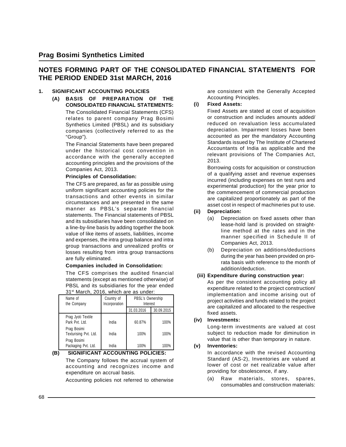#### **NOTES FORMING PART OF THE CONSOLIDATED FINANCIAL STATEMENTS FOR THE PERIOD ENDED 31st MARCH, 2016**

#### **1. SIGNIFICANT ACCOUNTING POLICIES**

**(A) BASIS OF PREPARATION OF THE CONSOLIDATED FINANCIAL STATEMENTS:** The Consolidated Financial Statements (CFS) relates to parent company Prag Bosimi Synthetics Limited (PBSL) and its subsidiary companies (collectively referred to as the "Group").

> The Financial Statements have been prepared under the historical cost convention in accordance with the generally accepted accounting principles and the provisions of the Companies Act, 2013.

#### **Principles of Consolidation:**

The CFS are prepared, as far as possible using uniform significant accounting policies for the transactions and other events in similar circumstances and are presented in the same manner as PBSL's separate financial statements. The Financial statements of PBSL and its subsidiaries have been consolidated on a line-by-line basis by adding together the book value of like items of assets, liabilities, income and expenses, the intra group balance and intra group transactions and unrealized profits or losses resulting from intra group transactions are fully eliminated.

#### **Companies included in Consolidation:**

The CFS comprises the audited financial statements (except as mentioned otherwise) of PBSL and its subsidiaries for the year ended 31<sup>st</sup> March, 2016, which are as under:

| Name of<br>the Company               | Country of<br>Incorporation | PBSL's Ownership<br>Interest |            |
|--------------------------------------|-----------------------------|------------------------------|------------|
|                                      |                             | 31.03.2016                   | 30.09.2015 |
| Prag Jyoti Textile<br>Park Pvt. Ltd. | India                       | 60.87%                       | 100%       |
| Prag Bosimi<br>Texturising Pvt. Ltd. | India                       | 100%                         | 100%       |
| Prag Bosimi<br>Packaging Pvt. Ltd.   | India                       | 100%                         | 100%       |

**(B) SIGNIFICANT ACCOUNTING POLICIES:**

The Company follows the accrual system of accounting and recognizes income and expenditure on accrual basis.

Accounting policies not referred to otherwise

are consistent with the Generally Accepted Accounting Principles.

#### **(i) Fixed Assets:**

Fixed Assets are stated at cost of acquisition or construction and includes amounts added/ reduced on revaluation less accumulated depreciation. Impairment losses have been accounted as per the mandatory Accounting Standards issued by The Institute of Chartered Accountants of India as applicable and the relevant provisions of The Companies Act, 2013.

Borrowing costs for acquisition or construction of a qualifying asset and revenue expenses incurred (including expenses on test runs and experimental production) for the year prior to the commencement of commercial production are capitalized proportionately as part of the asset cost in respect of machineries put to use.

#### **(ii) Depreciation:**

- (a) Depreciation on fixed assets other than lease-hold land is provided on straightline method at the rates and in the manner specified in Schedule II of Companies Act, 2013.
- (b) Depreciation on additions/deductions during the year has been provided on prorata basis with reference to the month of addition/deduction.

#### **(iii) Expenditure during construction year:**

As per the consistent accounting policy all expenditure related to the project construction/ implementation and income arising out of project activities and funds related to the project are capitalized and allocated to the respective fixed assets.

#### **(iv) Investments:**

Long-term investments are valued at cost subject to reduction made for diminution in value that is other than temporary in nature.

#### **(v) Inventories:**

In accordance with the revised Accounting Standard (AS-2), Inventories are valued at lower of cost or net realizable value after providing for obsolescence, if any.

(a) Raw materials, stores, spares, consumables and construction materials: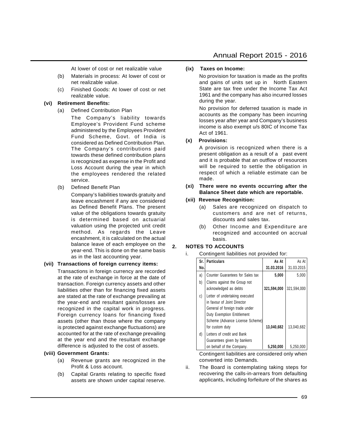At lower of cost or net realizable value

- (b) Materials in process: At lower of cost or net realizable value.
- (c) Finished Goods: At lower of cost or net realizable value.

#### **(vi) Retirement Benefits:**

(a) Defined Contribution Plan

The Company's liability towards Employee's Provident Fund scheme administered by the Employees Provident Fund Scheme, Govt. of India is considered as Defined Contribution Plan. The Company's contributions paid towards these defined contribution plans is recognized as expense in the Profit and Loss Account during the year in which the employees rendered the related service.

(b) Defined Benefit Plan

Company's liabilities towards gratuity and leave encashment if any are considered as Defined Benefit Plans. The present value of the obligations towards gratuity is determined based on actuarial valuation using the projected unit credit method. As regards the Leave encashment, it is calculated on the actual balance leave of each employee on the year-end. This is done on the same basis as in the last accounting year.

#### **(vii) Transactions of foreign currency items:**

Transactions in foreign currency are recorded at the rate of exchange in force at the date of transaction. Foreign currency assets and other liabilities other than for financing fixed assets are stated at the rate of exchange prevailing at the year-end and resultant gains/losses are recognized in the capital work in progress. Foreign currency loans for financing fixed assets (other than those where the company is protected against exchange fluctuations) are accounted for at the rate of exchange prevailing at the year end and the resultant exchange difference is adjusted to the cost of assets.

#### **(viii) Government Grants:**

- (a) Revenue grants are recognized in the Profit & Loss account.
- (b) Capital Grants relating to specific fixed assets are shown under capital reserve.

#### **(ix) Taxes on Income:**

No provision for taxation is made as the profits and gains of units set up in North Eastern State are tax free under the Income Tax Act 1961 and the company has also incurred losses during the year.

No provision for deferred taxation is made in accounts as the company has been incurring losses year after year and Company's business income is also exempt u/s 80IC of Income Tax Act of 1961.

#### **(x) Provisions:**

A provision is recognized when there is a present obligation as a result of a past event and it is probable that an outflow of resources will be required to settle the obligation in respect of which a reliable estimate can be made.

- **(xi) There were no events occurring after the Balance Sheet date which are reportable.**
- **(xii) Revenue Recognition:**
	- (a) Sales are recognized on dispatch to customers and are net of returns, discounts and sales tax.
	- (b) Other Income and Expenditure are recognized and accounted on accrual basis.

#### **2. NOTES TO ACCOUNTS**

i. Contingent liabilities not provided for:

| Sr. | <b>Particulars</b>                                                                                                                                                                         | As At       | As At       |
|-----|--------------------------------------------------------------------------------------------------------------------------------------------------------------------------------------------|-------------|-------------|
| No. |                                                                                                                                                                                            | 31.03.2016  | 31.03.2015  |
| a)  | Counter Guarantees for Sales tax                                                                                                                                                           | 5,000       | 5,000       |
| b)  | Claims against the Group not<br>acknowledged as debts                                                                                                                                      | 321,594,000 | 321,594,000 |
| C)  | Letter of undertaking executed<br>in favour of Joint Director<br>General of foreign trade under<br><b>Duty Exemption Entitlement</b><br>Scheme (Advance License Scheme)<br>for custom duty | 13,040,682  | 13,040,682  |
| d)  | Letters of credit and Bank<br>Guarantees given by bankers                                                                                                                                  |             |             |
|     | on behalf of the Company.                                                                                                                                                                  | 5,250,000   | 5,250,000   |

Contingent liabilities are considered only when converted into Demands.

ii. The Board is contemplating taking steps for recovering the calls-in-arrears from defaulting applicants, including forfeiture of the shares as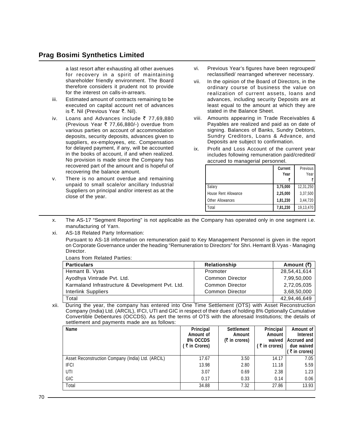a last resort after exhausting all other avenues for recovery in a spirit of maintaining shareholder friendly environment. The Board therefore considers it prudent not to provide for the interest on calls-in-arrears.

- iii. Estimated amount of contracts remaining to be executed on capital account net of advances is ₹. Nil (Previous Year ₹. Nil).
- iv. Loans and Advances include  $\bar{\tau}$  77,69,880 (Previous Year  $\overline{\tau}$  77,66,880/-) overdue from various parties on account of accommodation deposits, security deposits, advances given to suppliers, ex-employees, etc. Compensation for delayed payment, if any, will be accounted in the books of account, if and when realized. No provision is made since the Company has recovered part of the amount and is hopeful of recovering the balance amount.
- v. There is no amount overdue and remaining unpaid to small scale/or ancillary Industrial Suppliers on principal and/or interest as at the close of the year.
- vi. Previous Year's figures have been regrouped/ reclassified/ rearranged wherever necessary.
- vii. In the opinion of the Board of Directors, in the ordinary course of business the value on realization of current assets, loans and advances, including security Deposits are at least equal to the amount at which they are stated in the Balance Sheet.
- viii. Amounts appearing in Trade Receivables & Payables are realized and paid as on date of signing. Balances of Banks, Sundry Debtors, Sundry Creditors, Loans & Advance, and Deposits are subject to confirmation.
- ix. Profit and Loss Account of the current year includes following remuneration paid/credited/ accrued to managerial personnel.

|                      | Current<br>Year | Previous<br>Year |
|----------------------|-----------------|------------------|
| Salary               | 3,75,000        | 12,31,250        |
| House Rent Allowance | 2,25,000        | 3,37,500         |
| Other Allowances     | 1,81,230        | 3,44,720         |
| Total                | 7,81,230        | 19,13,470        |

- x. The AS-17 "Segment Reporting" is not applicable as the Company has operated only in one segment i.e. manufacturing of Yarn.
- xi. AS-18 Related Party Information:

Pursuant to AS-18 information on remuneration paid to Key Management Personnel is given in the report on Corporate Governance under the heading "Remuneration to Directors" for Shri. Hemant B.Vyas - Managing Director.

Loans from Related Parties:

| <b>Particulars</b>                               | Relationship           | Amount (₹)   |
|--------------------------------------------------|------------------------|--------------|
| Hemant B. Vyas                                   | Promoter               | 28,54,41,614 |
| Ayodhya Vintrade Pvt. Ltd.                       | <b>Common Director</b> | 7,99,50,000  |
| Karmaland Infrastructure & Development Pvt. Ltd. | Common Director        | 2,72,05,035  |
| Interlink Suppliers                              | Common Director        | 3,68,50,000  |
| Total                                            |                        | 42,94,46,649 |

xii. During the year, the company has entered into One Time Settlement (OTS) with Asset Reconstruction Company (India) Ltd. (ARCIL), IFCI, UTI and GIC in respect of their dues of holding 8% Optionally Cumulative Convertible Debentures (OCCDS). As pert the terms of OTS with the aforesaid Institutions; the details of settlement and payments made are as follows:

| Name                                              | Principal<br>Amount of<br>8% OCCDS<br>₹ in Crores) | <b>Settlement</b><br>Amount<br>$(5 \text{ in cross})$ | Principal<br>Amount<br>waived<br>$(3\bar{5})$ in crores) | Amount of<br>Interest<br>Accrued and<br>due waived<br>$($ ₹ in crores) $ $ |
|---------------------------------------------------|----------------------------------------------------|-------------------------------------------------------|----------------------------------------------------------|----------------------------------------------------------------------------|
| Asset Reconstruction Company (India) Ltd. (ARCIL) | 17.67                                              | 3.50                                                  | 14.17                                                    | 7.05                                                                       |
| <b>IFCI</b>                                       | 13.98                                              | 2.80                                                  | 11.18                                                    | 5.59                                                                       |
| UTI                                               | 3.07                                               | 0.69                                                  | 2.38                                                     | 1.23                                                                       |
| GIC                                               | 0.17                                               | 0.33                                                  | 0.14                                                     | 0.06                                                                       |
| Total                                             | 34.88                                              | 7.32                                                  | 27.86                                                    | 13.93                                                                      |

 $70 -$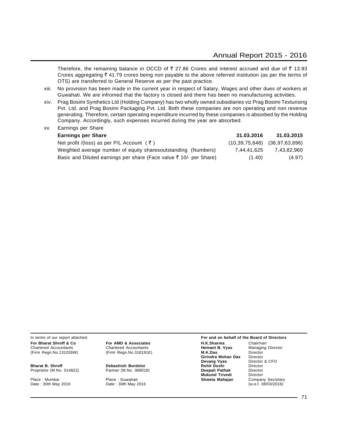Therefore, the remaining balance in OCCD of  $\bar{\tau}$  27.86 Crores and interest accrued and due of  $\bar{\tau}$  13.93 Crores aggregating  $\bar{\tau}$  41.79 crores being non payable to the above referred institution (as per the terms of OTS) are transferred to General Reserve as per the past practice.

- xiii. No provision has been made in the current year in respect of Salary, Wages and other dues of workers at Guwahati. We are infromed that the factory is closed and there has been no manufacturing activities.
- xiv. Prag Bosimi Synthetics Ltd (Holding Company) has two wholly owned subsidiaries viz Prag Bosimi Texturising Pvt. Ltd. and Prag Bosimi Packaging Pvt. Ltd. Both these companies are non operating and non revenue generating. Therefore, certain operating expenditure incurred by these companies is absorbed by the Holding Company. Accordingly, such expenses incurred during the year are absorbed.

| <b>Earnings per Share</b>                                          | 31.03.2016  | 31.03.2015                        |
|--------------------------------------------------------------------|-------------|-----------------------------------|
| Net profit /(loss) as per P/L Account (₹)                          |             | $(10.39.75.648)$ $(36.97.63.696)$ |
| Weighted average number of equity sharesoutstanding (Numbers)      | 7.44.41.625 | 7.43.82.960                       |
| Basic and Diluted earnings per share (Face value ₹ 10/- per Share) | (1.40)      | (4.97)                            |

Chartered Accountants **Chartered Accountants Hemant I**<br>Chartered Accountants (Firm Regn. No. 318191E) **M.K.Das** M.K.Das

xv. Earnings per Share

Date : 30th May 2016

In terms of our report attached. **For and on behalf of the Board of Directors For Bharat Shroff & Co For AMD & Associates H.K.Sharma** Chairman Chairman Chairman Chairman Chairman Chairman Chairman Chairman Chairman Chairman Chairman Chairman Chairman Chairman Chairman Chairman Chairman Chairman (Firm Regn.No.131026W) (Firm Regn.No.318191E) **M.K.Das** Director **Girindra Mohan Das** Director<br>**Devang Vyas** Director & CFO **Devang Vyas Bharat B. Shroff Community Communist Debashish Bordoloi Communist Proprietor (M.No. 068018)**<br>Partner (M.No. 068018) **Deepali Pathak** Director Proprietor (M.No. 014822) Partner (M.No. 068018) **Deepali Pathak** Director **Mukund Trivedi** Place : Mumbai **Place : Guwahati Place : Guwahati Place 1 Shweta Mahajan** Company Secretary<br>
Date : 30th May 2016 **Date : 30th May 2016 Shweta Mahajan** (w.e.f. 08/03/2016)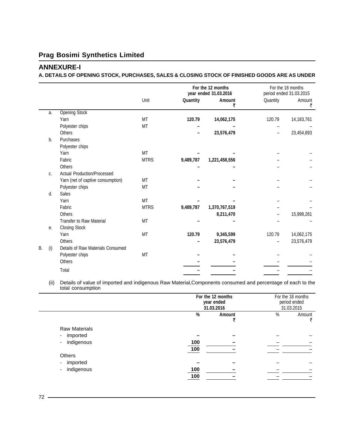# **Prag Bosimi Synthetics Limited**

## **ANNEXURE-I**

#### **A. DETAILS OF OPENING STOCK, PURCHASES, SALES & CLOSING STOCK OF FINISHED GOODS ARE AS UNDER**

|    |     |                                   |             |           | For the 12 months<br>year ended 31.03.2016 |          | For the 18 months<br>period ended 31.03.2015 |
|----|-----|-----------------------------------|-------------|-----------|--------------------------------------------|----------|----------------------------------------------|
|    |     |                                   | Unit        | Quantity  | Amount<br>₹                                | Quantity | Amount<br>₹                                  |
|    | a.  | <b>Opening Stock</b>              |             |           |                                            |          |                                              |
|    |     | Yarn                              | <b>MT</b>   | 120.79    | 14,062,175                                 | 120.79   | 14,183,761                                   |
|    |     | Polyester chips                   | MT          |           |                                            |          |                                              |
|    |     | <b>Others</b>                     |             |           | 23,576,479                                 |          | 23,454,893                                   |
|    | b.  | Purchases                         |             |           |                                            |          |                                              |
|    |     | Polyester chips                   |             |           |                                            |          |                                              |
|    |     | Yarn                              | MT          |           |                                            |          |                                              |
|    |     | Fabric                            | <b>MTRS</b> | 9,489,787 | 1,221,458,556                              |          |                                              |
|    |     | Others                            |             |           |                                            |          |                                              |
|    | C.  | Actual Production/Processed       |             |           |                                            |          |                                              |
|    |     | Yarn (net of captive consumption) | <b>MT</b>   |           |                                            |          |                                              |
|    |     | Polyester chips                   | MT          |           |                                            |          |                                              |
|    | d.  | <b>Sales</b>                      |             |           |                                            |          |                                              |
|    |     | Yarn                              | <b>MT</b>   |           |                                            |          |                                              |
|    |     | Fabric                            | <b>MTRS</b> | 9,489,787 | 1,370,767,519                              |          |                                              |
|    |     | <b>Others</b>                     |             |           | 8,211,470                                  |          | 15,998,261                                   |
|    |     | <b>Transfer to Raw Material</b>   | MT          |           |                                            |          |                                              |
|    | е.  | <b>Closing Stock</b>              |             |           |                                            |          |                                              |
|    |     | Yarn                              | MT          | 120.79    | 9,345,599                                  | 120.79   | 14,062,175                                   |
|    |     | <b>Others</b>                     |             |           | 23,576,479                                 |          | 23,576,479                                   |
| Β. | (i) | Details of Raw Materials Consumed |             |           |                                            |          |                                              |
|    |     | Polyester chips                   | MT          |           |                                            |          |                                              |
|    |     | <b>Others</b>                     |             |           |                                            |          |                                              |
|    |     | Total                             |             |           |                                            |          |                                              |
|    |     |                                   |             |           |                                            |          |                                              |

(ii) Details of value of imported and indigenous Raw Material,Components consumed and percentage of each to the total consumption

|                                        |     | For the 12 months<br>year ended<br>31.03.2016 |      | For the 18 months<br>period ended<br>31.03.2015 |
|----------------------------------------|-----|-----------------------------------------------|------|-------------------------------------------------|
|                                        | %   | Amount                                        | $\%$ | Amount<br>₹                                     |
| <b>Raw Materials</b>                   |     |                                               |      |                                                 |
| imported<br>$\overline{\phantom{a}}$   |     |                                               |      |                                                 |
| indigenous<br>$\overline{\phantom{a}}$ | 100 |                                               |      |                                                 |
|                                        | 100 |                                               |      |                                                 |
| Others                                 |     |                                               |      |                                                 |
| imported<br>$\sim$                     |     |                                               |      |                                                 |
| indigenous<br>-                        | 100 |                                               |      |                                                 |
|                                        | 100 |                                               |      |                                                 |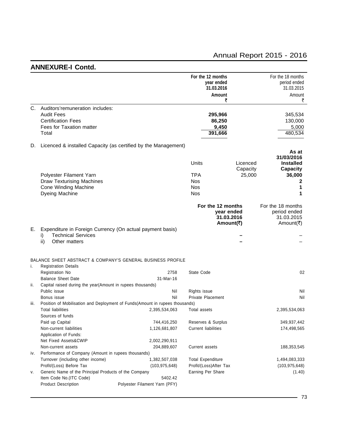# **ANNEXURE-I Contd.**

|      |                                                                                                                        |                               | For the 12 months<br>year ended<br>31.03.2016<br>Amount<br>₹ |                                       | For the 18 months<br>period ended<br>31.03.2015<br>Amount<br>₹ |
|------|------------------------------------------------------------------------------------------------------------------------|-------------------------------|--------------------------------------------------------------|---------------------------------------|----------------------------------------------------------------|
| C.   | Auditors'remuneration includes:<br><b>Audit Fees</b><br><b>Certification Fees</b><br>Fees for Taxation matter<br>Total |                               | 295,966<br>86,250<br>9,450<br>391,666                        |                                       | 345,534<br>130,000<br>5,000<br>480,534                         |
| D.   | Licenced & installed Capacity (as certified by the Management)                                                         |                               |                                                              |                                       |                                                                |
|      |                                                                                                                        |                               | Units                                                        | Licenced<br>Capacity                  | As at<br>31/03/2016<br><b>Installed</b><br>Capacity            |
|      | Polyester Filament Yarn                                                                                                |                               | <b>TPA</b>                                                   | 25,000                                | 36,000                                                         |
|      | <b>Draw Texturising Machines</b>                                                                                       |                               | <b>Nos</b>                                                   |                                       | 2                                                              |
|      | Cone Winding Machine                                                                                                   |                               | <b>Nos</b>                                                   |                                       | 1                                                              |
|      | Dyeing Machine                                                                                                         |                               | <b>Nos</b>                                                   |                                       | 1                                                              |
|      |                                                                                                                        |                               | For the 12 months                                            | year ended<br>31.03.2016<br>Amount(₹) | For the 18 months<br>period ended<br>31.03.2015<br>Amount(₹)   |
| Е.   | Expenditure in Foreign Currency (On actual payment basis)<br><b>Technical Services</b><br>i)                           |                               |                                                              |                                       |                                                                |
|      | ii)<br>Other matters                                                                                                   |                               |                                                              |                                       |                                                                |
| i.   | BALANCE SHEET ABSTRACT & COMPANY'S GENERAL BUSINESS PROFILE<br><b>Registration Details</b>                             |                               |                                                              |                                       |                                                                |
|      | Registration No                                                                                                        | 2758                          | State Code                                                   |                                       | 02                                                             |
|      | <b>Balance Sheet Date</b>                                                                                              | 31-Mar-16                     |                                                              |                                       |                                                                |
| ii.  | Capital raised during the year(Amount in rupees thousands)                                                             |                               |                                                              |                                       |                                                                |
|      | Public issue                                                                                                           | Nil                           | Rights issue                                                 |                                       | Nil                                                            |
|      | Bonus issue                                                                                                            | Nil                           | Private Placement                                            |                                       | Nil                                                            |
| iii. | Position of Mobilisation and Deployment of Funds(Amount in rupees thousands)<br><b>Total liabilities</b>               |                               |                                                              |                                       |                                                                |
|      | Sources of funds                                                                                                       | 2,395,534,063                 | Total assets                                                 |                                       | 2,395,534,063                                                  |
|      | Paid up Capital                                                                                                        | 744,416,250                   | Reserves & Surplus                                           |                                       | 349,937,442                                                    |
|      | Non-current liabilities                                                                                                | 1,126,681,807                 | <b>Current liabilities</b>                                   |                                       | 174,498,565                                                    |
|      | Application of Funds:                                                                                                  |                               |                                                              |                                       |                                                                |
|      | Net Fixed Assets&CWIP                                                                                                  | 2,002,290,911                 |                                                              |                                       |                                                                |
|      | Non-current assets                                                                                                     | 204,889,607                   | Current assets                                               |                                       | 188,353,545                                                    |
| iv.  | Performance of Company (Amount in rupees thousands)                                                                    |                               |                                                              |                                       |                                                                |
|      | Turnover (including other income)                                                                                      | 1,382,507,038                 | <b>Total Expenditure</b>                                     |                                       | 1,494,083,333                                                  |
|      | Profit/(Loss) Before Tax                                                                                               | (103, 975, 648)               | Profit/(Loss)After Tax                                       |                                       | (103, 975, 648)                                                |
| ٧.   | Generic Name of the Principal Products of the Company                                                                  |                               | Earning Per Share                                            |                                       | (1.40)                                                         |
|      | Item Code No.(ITC Code)                                                                                                | 5402.42                       |                                                              |                                       |                                                                |
|      | <b>Product Description</b>                                                                                             | Polyester Filament Yarn (PFY) |                                                              |                                       |                                                                |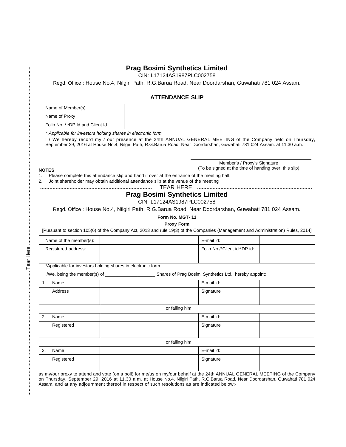### **Prag Bosimi Synthetics Limited**

CIN: L17124AS1987PLC002758

Regd. Office : House No.4, Nilgiri Path, R.G.Barua Road, Near Doordarshan, Guwahati 781 024 Assam.

#### **ATTENDANCE SLIP**

| Name of Member(s)                |  |
|----------------------------------|--|
| Name of Proxy                    |  |
| Folio No. / *DP Id and Client Id |  |

\* Applicable for investors holding shares in electronic form

I / We hereby record my / our presence at the 24th ANNUAL GENERAL MEETING of the Company held on Thursday, September 29, 2016 at House No.4, Nilgiri Path, R.G.Barua Road, Near Doordarshan, Guwahati 781 024 Assam. at 11.30 a.m.

#### **NOTES**

Member's / Proxy's Signature (To be signed at the time of handing over this slip)

1. Please complete this attendance slip and hand it over at the entrance of the meeting hall.

2. Joint shareholder may obtain additional attendance slip at the venue of the meeting

**........................................................................** TEAR HERE **..........................................................................**

#### **Prag Bosimi Synthetics Limited**

## CIN: L17124AS1987PLC002758

Regd. Office : House No.4, Nilgiri Path, R.G.Barua Road, Near Doordarshan, Guwahati 781 024 Assam.

**Form No. MGT- 11**

**Proxy Form**

[Pursuant to section 105(6) of the Company Act, 2013 and rule 19(3) of the Companies (Management and Administration) Rules, 2014]

| Name of the member(s): | E-mail id:                   |  |
|------------------------|------------------------------|--|
| Registered address:    | Folio No./*Client id:*DP id: |  |
|                        |                              |  |

\*Applicable for investors holding shares in electronic form

I/We, being the member(s) of \_\_\_\_\_\_\_\_\_\_\_\_\_\_\_\_\_\_\_\_ Shares of Prag Bosimi Synthetics Ltd., hereby appoint:

| . . | Name    | E-mail id: |  |
|-----|---------|------------|--|
|     | Address | Signature  |  |
|     |         |            |  |

or failing him

| Name<br>$\sqrt{2}$<br><u>.</u> | E-mail id: |  |
|--------------------------------|------------|--|
| Registered                     | Signature  |  |
|                                |            |  |

or failing him

| ີ<br>. ა | Name       | E-mail id: |  |
|----------|------------|------------|--|
|          | Registered | Signature  |  |

as my/our proxy to attend and vote (on a poll) for me/us on my/our behalf at the 24th ANNUAL GENERAL MEETING of the Company on Thursday, September 29, 2016 at 11.30 a.m. at House No.4, Nilgiri Path, R.G.Barua Road, Near Doordarshan, Guwahati 781 024 Assam. and at any adjournment thereof in respect of such resolutions as are indicated below:-

.......................................................................................... Tear Here ................................................................................................................................. Tear Here ...............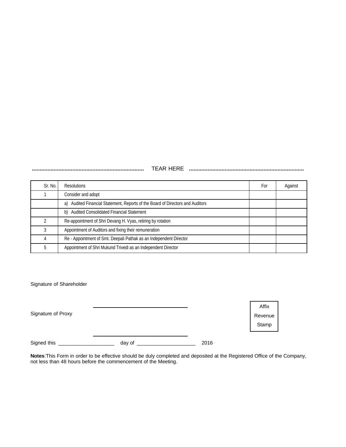**........................................................................** TEAR HERE **..........................................................................**

| Sr. No. | <b>Resolutions</b>                                                             | For | Against |
|---------|--------------------------------------------------------------------------------|-----|---------|
|         | Consider and adopt                                                             |     |         |
|         | a) Audited Financial Statement, Reports of the Board of Directors and Auditors |     |         |
|         | Audited Consolidated Financial Statement<br>b)                                 |     |         |
|         | Re-appointment of Shri Devang H. Vyas, retiring by rotation                    |     |         |
|         | Appointment of Auditors and fixing their remuneration                          |     |         |
|         | Re - Appointment of Smt. Deepali Pathak as an Independent Director             |     |         |
| 5       | Appointment of Shri Mukund Trivedi as an Independent Director                  |     |         |

Signature of Shareholder

| Signature of Proxy |        |      | Affix<br>Revenue<br>Stamp |
|--------------------|--------|------|---------------------------|
| Signed this        | day of | 2016 |                           |

**Notes**:This Form in order to be effective should be duly completed and deposited at the Registered Office of the Company, not less than 48 hours before the commencement of the Meeting.